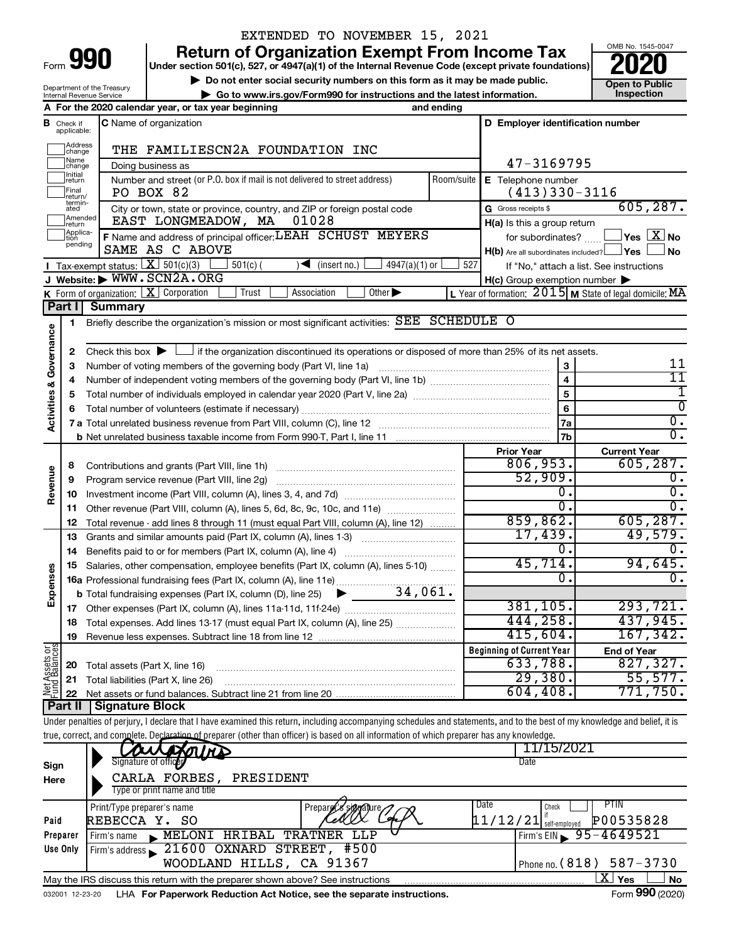| Form |  |  |
|------|--|--|
|      |  |  |

Department of the Treasury

# EXTENDED TO NOVEMBER 15, 2021

**990** Return of Organization Exempt From Income Tax <br>
Under section 501(c), 527, or 4947(a)(1) of the Internal Revenue Code (except private foundations)<br> **PO20** 

▶ Do not enter social security numbers on this form as it may be made public.<br>
▶ Go to www.irs.gov/Form990 for instructions and the latest information. **Department in the latest** information. **| Go to www.irs.gov/Form990 for instructions and the latest information. Inspection**



|                                    |                                       | Internal Revenue Service | $\blacktriangleright$ Go to www.irs.gov/Form990 for instructions and the latest information.                                                                               |                                 |            |                                                                       | <b>Inspection</b>                                         |
|------------------------------------|---------------------------------------|--------------------------|----------------------------------------------------------------------------------------------------------------------------------------------------------------------------|---------------------------------|------------|-----------------------------------------------------------------------|-----------------------------------------------------------|
|                                    |                                       |                          | A For the 2020 calendar year, or tax year beginning                                                                                                                        |                                 | and ending |                                                                       |                                                           |
|                                    | <b>B</b> Check if applicable:         |                          | <b>C</b> Name of organization                                                                                                                                              |                                 |            | D Employer identification number                                      |                                                           |
|                                    | ]Address<br>]change                   |                          | THE FAMILIESCN2A FOUNDATION INC                                                                                                                                            |                                 |            |                                                                       |                                                           |
|                                    | ]Name<br>]change                      |                          | Doing business as                                                                                                                                                          |                                 |            | 47-3169795                                                            |                                                           |
|                                    | Initial<br>return<br>Final<br>return/ |                          | Number and street (or P.O. box if mail is not delivered to street address)<br>PO BOX 82                                                                                    |                                 | Room/suite | E Telephone number<br>$(413)330-3116$                                 |                                                           |
|                                    | termin-<br>ated                       |                          | City or town, state or province, country, and ZIP or foreign postal code                                                                                                   |                                 |            | G Gross receipts \$                                                   | 605, 287.                                                 |
|                                    | Amended <br>return                    |                          | EAST LONGMEADOW, MA<br>01028                                                                                                                                               |                                 |            | H(a) Is this a group return                                           |                                                           |
|                                    | Applica-<br>Ition<br>pending          |                          | F Name and address of principal officer: LEAH SCHUST MEYERS<br>SAME AS C ABOVE                                                                                             |                                 |            | for subordinates?<br>$H(b)$ Are all subordinates included? $\Box$ Yes | $Yes$ $X no$<br>No                                        |
|                                    |                                       |                          | <b>I</b> Tax-exempt status: $X \ 501(c)(3)$<br>$501(c)$ (<br>$\blacktriangleright$                                                                                         | (insert no.)<br>$4947(a)(1)$ or | 527        |                                                                       | If "No," attach a list. See instructions                  |
|                                    |                                       |                          | J Website: WWW.SCN2A.ORG                                                                                                                                                   |                                 |            | $H(c)$ Group exemption number $\blacktriangleright$                   |                                                           |
|                                    |                                       |                          | K Form of organization: $X$ Corporation<br>Trust<br>Association                                                                                                            | Other $\blacktriangleright$     |            |                                                                       | L Year of formation: $2015$ M State of legal domicile: MA |
|                                    | Part I                                | <b>Summary</b>           |                                                                                                                                                                            |                                 |            |                                                                       |                                                           |
|                                    | 1                                     |                          | Briefly describe the organization's mission or most significant activities: SEE SCHEDULE O                                                                                 |                                 |            |                                                                       |                                                           |
|                                    |                                       |                          |                                                                                                                                                                            |                                 |            |                                                                       |                                                           |
| <b>Activities &amp; Governance</b> | 2                                     |                          | Check this box $\blacktriangleright$ $\Box$ if the organization discontinued its operations or disposed of more than 25% of its net assets.                                |                                 |            |                                                                       |                                                           |
|                                    | З                                     |                          | Number of voting members of the governing body (Part VI, line 1a)                                                                                                          |                                 |            | 3                                                                     | 11                                                        |
|                                    | 4                                     |                          |                                                                                                                                                                            |                                 |            | $\overline{4}$                                                        | $\overline{11}$                                           |
|                                    | 5                                     |                          |                                                                                                                                                                            |                                 |            | $\overline{5}$                                                        | 1                                                         |
|                                    | 6                                     |                          | Total number of volunteers (estimate if necessary)                                                                                                                         |                                 |            | 6                                                                     | $\overline{0}$                                            |
|                                    |                                       |                          |                                                                                                                                                                            |                                 |            | 7a                                                                    | $\overline{0}$ .                                          |
|                                    |                                       |                          |                                                                                                                                                                            |                                 |            | 7b                                                                    | $\overline{0}$ .                                          |
|                                    |                                       |                          |                                                                                                                                                                            |                                 |            | <b>Prior Year</b>                                                     | <b>Current Year</b>                                       |
|                                    | 8                                     |                          |                                                                                                                                                                            |                                 |            | 806,953.                                                              | 605, 287.                                                 |
|                                    | 9                                     |                          | Program service revenue (Part VIII, line 2g) [11] [11] matter contracts are revenued as Program service revenu                                                             |                                 |            | 52,909.                                                               | 0.                                                        |
| Revenue                            | 10                                    |                          |                                                                                                                                                                            |                                 |            | σ.                                                                    | σ.                                                        |
|                                    | 11                                    |                          | Other revenue (Part VIII, column (A), lines 5, 6d, 8c, 9c, 10c, and 11e)                                                                                                   |                                 |            | $\overline{0}$ .                                                      | $\overline{0}$ .                                          |
|                                    | 12                                    |                          | Total revenue - add lines 8 through 11 (must equal Part VIII, column (A), line 12)                                                                                         |                                 |            | 859, 862.                                                             | 605, 287.                                                 |
|                                    | 13                                    |                          | Grants and similar amounts paid (Part IX, column (A), lines 1-3)                                                                                                           |                                 |            | 17,439.                                                               | 49,579.                                                   |
|                                    | 14                                    |                          | Benefits paid to or for members (Part IX, column (A), line 4)                                                                                                              |                                 |            | $\overline{0}$ .                                                      | 0.                                                        |
|                                    | 15                                    |                          | Salaries, other compensation, employee benefits (Part IX, column (A), lines 5-10)                                                                                          |                                 |            | 45,714.                                                               | 94,645.                                                   |
| Expenses                           |                                       |                          |                                                                                                                                                                            |                                 |            | О.                                                                    | 0.                                                        |
|                                    |                                       |                          |                                                                                                                                                                            |                                 |            |                                                                       |                                                           |
|                                    |                                       |                          |                                                                                                                                                                            |                                 |            | 381, 105.                                                             | 293,721.                                                  |
|                                    |                                       |                          | 18 Total expenses. Add lines 13-17 (must equal Part IX, column (A), line 25)                                                                                               |                                 |            | 444,258.                                                              | 437,945.                                                  |
|                                    | 19                                    |                          |                                                                                                                                                                            |                                 |            | 415,604.                                                              | 167,342.                                                  |
|                                    |                                       |                          |                                                                                                                                                                            |                                 |            | <b>Beginning of Current Year</b>                                      | <b>End of Year</b>                                        |
|                                    | 20                                    |                          | Total assets (Part X, line 16)                                                                                                                                             |                                 |            | 633,788.                                                              | $\frac{227}{827}$ , 327.                                  |
| Net Assets or<br>Fund Balances     | 21                                    |                          | Total liabilities (Part X, line 26)                                                                                                                                        |                                 |            | 29,380.                                                               | 55,577.                                                   |
|                                    | 22                                    |                          |                                                                                                                                                                            |                                 |            | 604, 408.                                                             | 771,750.                                                  |
|                                    | Part II                               |                          | <b>Signature Block</b>                                                                                                                                                     |                                 |            |                                                                       |                                                           |
|                                    |                                       |                          | Under penalties of perjury, I declare that I have examined this return, including accompanying schedules and statements, and to the best of my knowledge and belief, it is |                                 |            |                                                                       |                                                           |
|                                    |                                       |                          | true, correct, and complete. Declaration of preparer (other than officer) is based on all information of which preparer has any knowledge.                                 |                                 |            |                                                                       |                                                           |
|                                    |                                       |                          | <b>YOU ND</b>                                                                                                                                                              |                                 |            | 11/15/2021                                                            |                                                           |
| Sign                               |                                       |                          | Signature of officer                                                                                                                                                       |                                 |            | Date                                                                  |                                                           |
| Horo                               |                                       |                          | CARLA FORBES<br>PRESIDENT                                                                                                                                                  |                                 |            |                                                                       |                                                           |

| -----<br>Here   | CARLA FORBES,<br>PRESIDENT                                                      |                                                                        |                                       |
|-----------------|---------------------------------------------------------------------------------|------------------------------------------------------------------------|---------------------------------------|
|                 | Type or print name and title                                                    |                                                                        |                                       |
|                 | Print/Type preparer's name                                                      | Preparet's signature                                                   | Date<br>PTIN<br>Check                 |
| Paid            | REBECCA Y. SO                                                                   |                                                                        | P00535828<br>$11/12/21$ self-employed |
| Preparer        | MELONI<br>HRIBAL<br>Firm's name                                                 | TRATNER<br>LLP                                                         | Firm's EIN $\geq 95 - 4649521$        |
| Use Only        | Firm's address 21600 OXNARD STREET, #500                                        |                                                                        |                                       |
|                 | WOODLAND HILLS, CA 91367                                                        |                                                                        | Phone no. $(818)$ 587 - 3730          |
|                 | May the IRS discuss this return with the preparer shown above? See instructions |                                                                        | $X \mid$<br>Yes<br>No                 |
| 032001 12-23-20 |                                                                                 | LHA For Paperwork Reduction Act Notice, see the separate instructions. | Form 990 (2020)                       |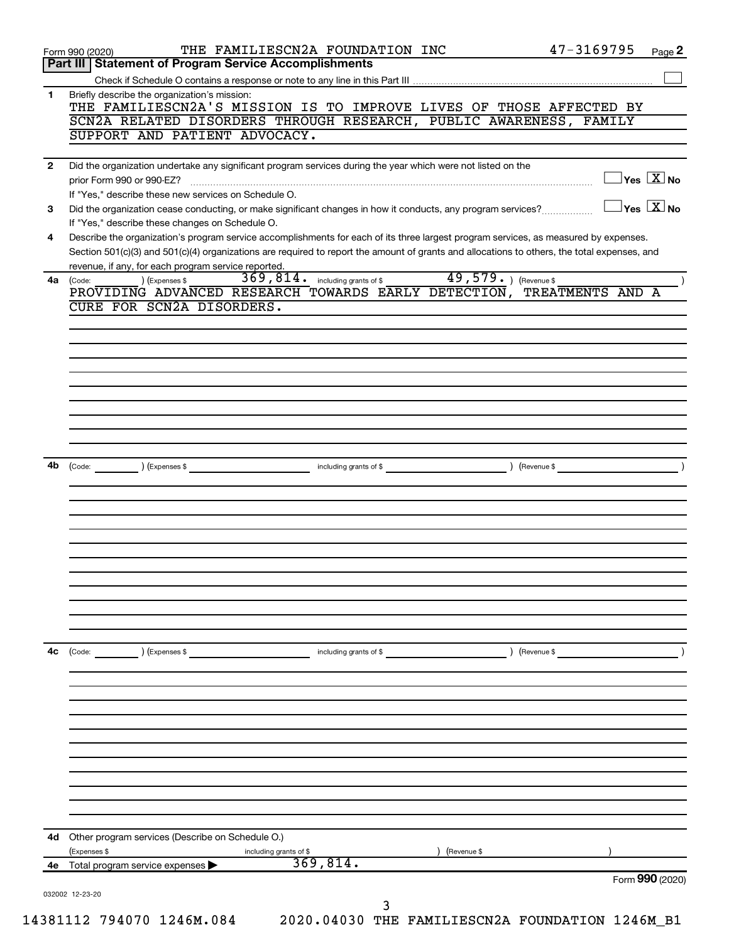| 4е           | 369,814.<br>Total program service expenses                                                                                                                                              |                  | Form 990 (2020)                     |
|--------------|-----------------------------------------------------------------------------------------------------------------------------------------------------------------------------------------|------------------|-------------------------------------|
| 4d           | Other program services (Describe on Schedule O.)<br>(Expenses \$<br>(Revenue \$<br>including grants of \$                                                                               |                  |                                     |
|              |                                                                                                                                                                                         |                  |                                     |
|              |                                                                                                                                                                                         |                  |                                     |
|              |                                                                                                                                                                                         |                  |                                     |
|              |                                                                                                                                                                                         |                  |                                     |
|              |                                                                                                                                                                                         |                  |                                     |
|              |                                                                                                                                                                                         |                  |                                     |
| 4с           | including grants of \$<br>) (Expenses \$<br>) (Revenue \$                                                                                                                               |                  |                                     |
|              |                                                                                                                                                                                         |                  |                                     |
|              |                                                                                                                                                                                         |                  |                                     |
|              |                                                                                                                                                                                         |                  |                                     |
|              |                                                                                                                                                                                         |                  |                                     |
|              |                                                                                                                                                                                         |                  |                                     |
|              |                                                                                                                                                                                         |                  |                                     |
| 4b           | (Expenses \$<br>(Revenue \$<br>(Code:<br>including grants of \$                                                                                                                         |                  |                                     |
|              |                                                                                                                                                                                         |                  |                                     |
|              |                                                                                                                                                                                         |                  |                                     |
|              |                                                                                                                                                                                         |                  |                                     |
|              |                                                                                                                                                                                         |                  |                                     |
|              |                                                                                                                                                                                         |                  |                                     |
|              | PROVIDING ADVANCED RESEARCH TOWARDS EARLY DETECTION,<br>CURE FOR SCN2A DISORDERS.                                                                                                       | TREATMENTS AND A |                                     |
| 4a           | revenue, if any, for each program service reported.<br>49,579. (Revenue \$<br>369, 814 . including grants of \$<br>) (Expenses \$<br>(Code:                                             |                  |                                     |
|              | Section 501(c)(3) and 501(c)(4) organizations are required to report the amount of grants and allocations to others, the total expenses, and                                            |                  |                                     |
| 4            | If "Yes," describe these changes on Schedule O.<br>Describe the organization's program service accomplishments for each of its three largest program services, as measured by expenses. |                  |                                     |
| 3            | If "Yes," describe these new services on Schedule O.<br>Did the organization cease conducting, or make significant changes in how it conducts, any program services?                    |                  | $\exists$ Yes $\boxed{\text{X}}$ No |
| $\mathbf{2}$ | Did the organization undertake any significant program services during the year which were not listed on the<br>prior Form 990 or 990-EZ?                                               |                  | $\exists$ Yes $\boxed{\text{X}}$ No |
|              |                                                                                                                                                                                         |                  |                                     |
|              | SCN2A RELATED DISORDERS THROUGH RESEARCH, PUBLIC AWARENESS, FAMILY<br>SUPPORT AND PATIENT ADVOCACY.                                                                                     |                  |                                     |
| 1            | Briefly describe the organization's mission:<br>THE FAMILIESCN2A'S MISSION IS TO IMPROVE LIVES OF THOSE AFFECTED BY                                                                     |                  |                                     |
|              |                                                                                                                                                                                         |                  |                                     |
|              | Part III   Statement of Program Service Accomplishments                                                                                                                                 |                  |                                     |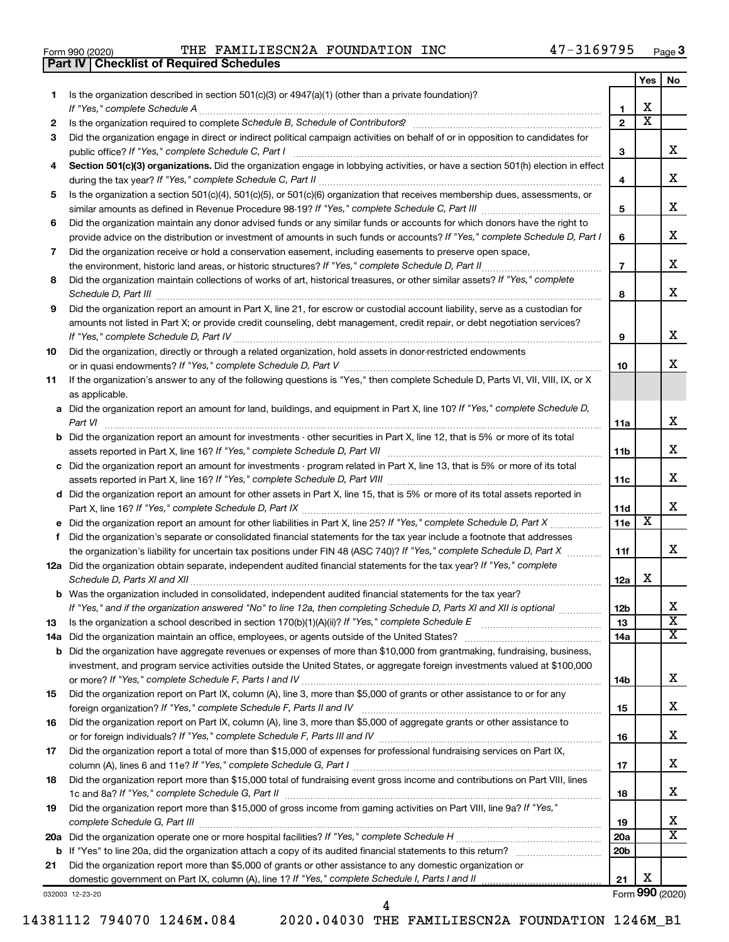|  | Form 990 (2020) |
|--|-----------------|
|  |                 |

**Part IV Checklist of Required Schedules** 

THE FAMILIESCN2A FOUNDATION INC

|    |                                                                                                                                                                                                                                     |                  | Yes | No                           |
|----|-------------------------------------------------------------------------------------------------------------------------------------------------------------------------------------------------------------------------------------|------------------|-----|------------------------------|
| 1. | Is the organization described in section $501(c)(3)$ or $4947(a)(1)$ (other than a private foundation)?                                                                                                                             |                  |     |                              |
|    | If "Yes," complete Schedule A                                                                                                                                                                                                       | 1                | x   |                              |
| 2  |                                                                                                                                                                                                                                     | $\mathbf{2}$     | x   |                              |
| 3  | Did the organization engage in direct or indirect political campaign activities on behalf of or in opposition to candidates for                                                                                                     |                  |     | x                            |
|    | public office? If "Yes," complete Schedule C, Part I                                                                                                                                                                                | 3                |     |                              |
| 4  | Section 501(c)(3) organizations. Did the organization engage in lobbying activities, or have a section 501(h) election in effect                                                                                                    |                  |     | x                            |
| 5  | Is the organization a section 501(c)(4), 501(c)(5), or 501(c)(6) organization that receives membership dues, assessments, or                                                                                                        | 4                |     |                              |
|    |                                                                                                                                                                                                                                     | 5                |     | x                            |
| 6  | Did the organization maintain any donor advised funds or any similar funds or accounts for which donors have the right to                                                                                                           |                  |     |                              |
|    | provide advice on the distribution or investment of amounts in such funds or accounts? If "Yes," complete Schedule D, Part I                                                                                                        | 6                |     | x.                           |
| 7  | Did the organization receive or hold a conservation easement, including easements to preserve open space,                                                                                                                           |                  |     |                              |
|    | the environment, historic land areas, or historic structures? If "Yes," complete Schedule D, Part II                                                                                                                                | $\overline{7}$   |     | х                            |
| 8  | Did the organization maintain collections of works of art, historical treasures, or other similar assets? If "Yes," complete                                                                                                        |                  |     |                              |
|    | Schedule D, Part III                                                                                                                                                                                                                | 8                |     | х                            |
| 9  | Did the organization report an amount in Part X, line 21, for escrow or custodial account liability, serve as a custodian for                                                                                                       |                  |     |                              |
|    | amounts not listed in Part X; or provide credit counseling, debt management, credit repair, or debt negotiation services?                                                                                                           |                  |     |                              |
|    |                                                                                                                                                                                                                                     | 9                |     | x                            |
| 10 | Did the organization, directly or through a related organization, hold assets in donor-restricted endowments                                                                                                                        |                  |     |                              |
|    |                                                                                                                                                                                                                                     | 10               |     | x.                           |
| 11 | If the organization's answer to any of the following questions is "Yes," then complete Schedule D, Parts VI, VII, VIII, IX, or X                                                                                                    |                  |     |                              |
|    | as applicable.                                                                                                                                                                                                                      |                  |     |                              |
|    | a Did the organization report an amount for land, buildings, and equipment in Part X, line 10? If "Yes," complete Schedule D,                                                                                                       |                  |     |                              |
|    | Part VI                                                                                                                                                                                                                             | 11a              |     | х                            |
|    | <b>b</b> Did the organization report an amount for investments - other securities in Part X, line 12, that is 5% or more of its total                                                                                               |                  |     | x                            |
|    | assets reported in Part X, line 16? If "Yes," complete Schedule D, Part VII<br>c Did the organization report an amount for investments - program related in Part X, line 13, that is 5% or more of its total                        | 11b              |     |                              |
|    |                                                                                                                                                                                                                                     | 11c              |     | x                            |
|    | d Did the organization report an amount for other assets in Part X, line 15, that is 5% or more of its total assets reported in                                                                                                     |                  |     |                              |
|    |                                                                                                                                                                                                                                     | 11d              |     | x                            |
|    | e Did the organization report an amount for other liabilities in Part X, line 25? If "Yes," complete Schedule D, Part X                                                                                                             | 11e              | X   |                              |
| f. | Did the organization's separate or consolidated financial statements for the tax year include a footnote that addresses                                                                                                             |                  |     |                              |
|    | the organization's liability for uncertain tax positions under FIN 48 (ASC 740)? If "Yes," complete Schedule D, Part X                                                                                                              | 11f              |     | x                            |
|    | 12a Did the organization obtain separate, independent audited financial statements for the tax year? If "Yes," complete                                                                                                             |                  |     |                              |
|    | Schedule D, Parts XI and XII                                                                                                                                                                                                        | 12a              | x   |                              |
|    | <b>b</b> Was the organization included in consolidated, independent audited financial statements for the tax year?                                                                                                                  |                  |     |                              |
|    | If "Yes," and if the organization answered "No" to line 12a, then completing Schedule D, Parts XI and XII is optional                                                                                                               | 12 <sub>b</sub>  |     | х<br>$\overline{\textbf{x}}$ |
| 13 | Is the organization a school described in section 170(b)(1)(A)(ii)? If "Yes," complete Schedule E [[[[[[[[[[[[                                                                                                                      | 13               |     | x                            |
|    | 14a Did the organization maintain an office, employees, or agents outside of the United States?<br><b>b</b> Did the organization have aggregate revenues or expenses of more than \$10,000 from grantmaking, fundraising, business, | 14a              |     |                              |
|    | investment, and program service activities outside the United States, or aggregate foreign investments valued at \$100,000                                                                                                          |                  |     |                              |
|    |                                                                                                                                                                                                                                     | 14b              |     | x                            |
| 15 | Did the organization report on Part IX, column (A), line 3, more than \$5,000 of grants or other assistance to or for any                                                                                                           |                  |     |                              |
|    |                                                                                                                                                                                                                                     | 15               |     | x                            |
| 16 | Did the organization report on Part IX, column (A), line 3, more than \$5,000 of aggregate grants or other assistance to                                                                                                            |                  |     |                              |
|    |                                                                                                                                                                                                                                     | 16               |     | x                            |
| 17 | Did the organization report a total of more than \$15,000 of expenses for professional fundraising services on Part IX,                                                                                                             |                  |     |                              |
|    |                                                                                                                                                                                                                                     | 17               |     | x                            |
| 18 | Did the organization report more than \$15,000 total of fundraising event gross income and contributions on Part VIII, lines                                                                                                        |                  |     |                              |
|    |                                                                                                                                                                                                                                     | 18               |     | x                            |
| 19 | Did the organization report more than \$15,000 of gross income from gaming activities on Part VIII, line 9a? If "Yes,"                                                                                                              |                  |     | x                            |
|    |                                                                                                                                                                                                                                     | 19<br><b>20a</b> |     | x                            |
|    |                                                                                                                                                                                                                                     | 20 <sub>b</sub>  |     |                              |
| 21 | Did the organization report more than \$5,000 of grants or other assistance to any domestic organization or                                                                                                                         |                  |     |                              |
|    |                                                                                                                                                                                                                                     | 21               | х   |                              |
|    |                                                                                                                                                                                                                                     |                  |     |                              |

032003 12-23-20

14381112 794070 1246M.084

4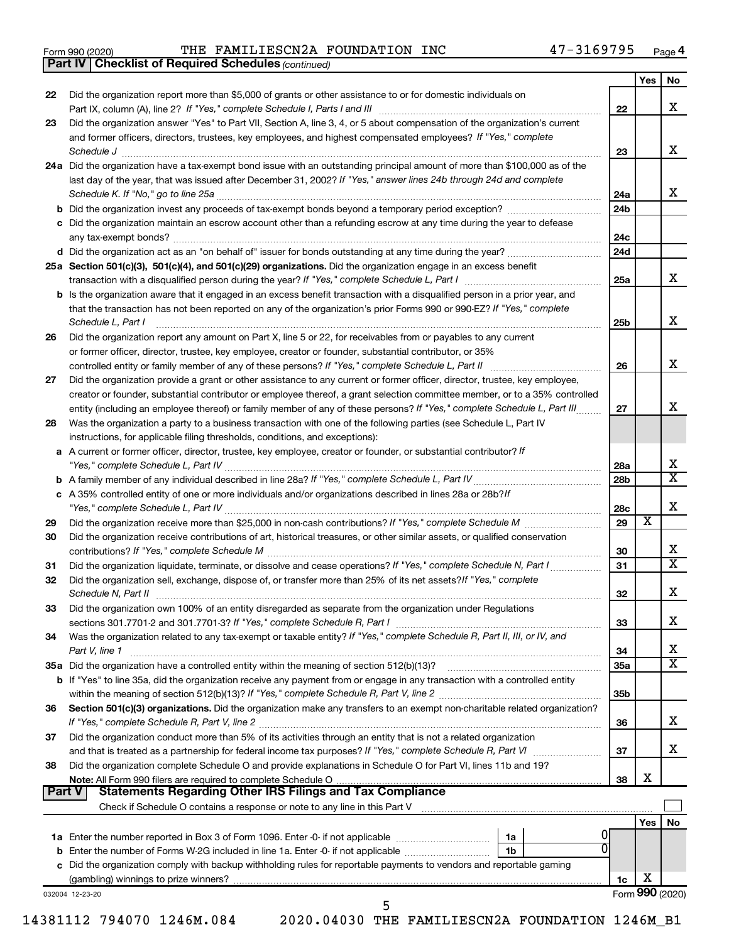|  | Form 990 (2020) |
|--|-----------------|
|  |                 |

**Part IV | Checklist of Required Schedules (continued)** 

|        |                                                                                                                                                                                                                                                                     |                 | Yes | No                         |
|--------|---------------------------------------------------------------------------------------------------------------------------------------------------------------------------------------------------------------------------------------------------------------------|-----------------|-----|----------------------------|
| 22     | Did the organization report more than \$5,000 of grants or other assistance to or for domestic individuals on<br>Part IX, column (A), line 2? If "Yes," complete Schedule I, Parts I and III [11]] [11]] [11] [11] [11] [11] [1                                     | 22              |     | х                          |
| 23     | Did the organization answer "Yes" to Part VII, Section A, line 3, 4, or 5 about compensation of the organization's current                                                                                                                                          |                 |     |                            |
|        | and former officers, directors, trustees, key employees, and highest compensated employees? If "Yes," complete                                                                                                                                                      | 23              |     | х                          |
|        | 24a Did the organization have a tax-exempt bond issue with an outstanding principal amount of more than \$100,000 as of the                                                                                                                                         |                 |     |                            |
|        | last day of the year, that was issued after December 31, 2002? If "Yes," answer lines 24b through 24d and complete                                                                                                                                                  |                 |     |                            |
|        |                                                                                                                                                                                                                                                                     | 24a             |     | x                          |
|        | <b>b</b> Did the organization invest any proceeds of tax-exempt bonds beyond a temporary period exception?                                                                                                                                                          | 24 <sub>b</sub> |     |                            |
|        | c Did the organization maintain an escrow account other than a refunding escrow at any time during the year to defease                                                                                                                                              |                 |     |                            |
|        |                                                                                                                                                                                                                                                                     | 24c             |     |                            |
|        |                                                                                                                                                                                                                                                                     | 24d             |     |                            |
|        | 25a Section 501(c)(3), 501(c)(4), and 501(c)(29) organizations. Did the organization engage in an excess benefit                                                                                                                                                    |                 |     |                            |
|        |                                                                                                                                                                                                                                                                     | 25a             |     | x                          |
|        | <b>b</b> Is the organization aware that it engaged in an excess benefit transaction with a disqualified person in a prior year, and                                                                                                                                 |                 |     |                            |
|        | that the transaction has not been reported on any of the organization's prior Forms 990 or 990-EZ? If "Yes," complete                                                                                                                                               |                 |     |                            |
|        | Schedule L, Part I                                                                                                                                                                                                                                                  | 25b             |     | х                          |
| 26     | Did the organization report any amount on Part X, line 5 or 22, for receivables from or payables to any current                                                                                                                                                     |                 |     |                            |
|        | or former officer, director, trustee, key employee, creator or founder, substantial contributor, or 35%                                                                                                                                                             |                 |     |                            |
|        |                                                                                                                                                                                                                                                                     | 26              |     | х                          |
| 27     | Did the organization provide a grant or other assistance to any current or former officer, director, trustee, key employee,                                                                                                                                         |                 |     |                            |
|        | creator or founder, substantial contributor or employee thereof, a grant selection committee member, or to a 35% controlled                                                                                                                                         |                 |     |                            |
|        | entity (including an employee thereof) or family member of any of these persons? If "Yes," complete Schedule L, Part III                                                                                                                                            | 27              |     | х                          |
| 28     | Was the organization a party to a business transaction with one of the following parties (see Schedule L, Part IV                                                                                                                                                   |                 |     |                            |
|        | instructions, for applicable filing thresholds, conditions, and exceptions):                                                                                                                                                                                        |                 |     |                            |
|        | a A current or former officer, director, trustee, key employee, creator or founder, or substantial contributor? If                                                                                                                                                  |                 |     |                            |
|        |                                                                                                                                                                                                                                                                     | 28a             |     | х<br>$\overline{\text{x}}$ |
|        |                                                                                                                                                                                                                                                                     | 28 <sub>b</sub> |     |                            |
|        | c A 35% controlled entity of one or more individuals and/or organizations described in lines 28a or 28b? If                                                                                                                                                         |                 |     | X                          |
|        |                                                                                                                                                                                                                                                                     | 28c<br>29       | X   |                            |
| 29     |                                                                                                                                                                                                                                                                     |                 |     |                            |
| 30     | Did the organization receive contributions of art, historical treasures, or other similar assets, or qualified conservation                                                                                                                                         | 30              |     | х                          |
| 31     | Did the organization liquidate, terminate, or dissolve and cease operations? If "Yes," complete Schedule N, Part I                                                                                                                                                  | 31              |     | $\overline{\text{x}}$      |
| 32     | Did the organization sell, exchange, dispose of, or transfer more than 25% of its net assets? If "Yes," complete                                                                                                                                                    |                 |     |                            |
|        | Schedule N, Part II                                                                                                                                                                                                                                                 | 32              |     | х                          |
| 33     | Did the organization own 100% of an entity disregarded as separate from the organization under Regulations                                                                                                                                                          |                 |     |                            |
|        |                                                                                                                                                                                                                                                                     | 33              |     | х                          |
| 34     | Was the organization related to any tax-exempt or taxable entity? If "Yes," complete Schedule R, Part II, III, or IV, and                                                                                                                                           |                 |     |                            |
|        | Part V, line 1                                                                                                                                                                                                                                                      | 34              |     | х                          |
|        |                                                                                                                                                                                                                                                                     | 35a             |     | $\overline{\textbf{X}}$    |
|        | b If "Yes" to line 35a, did the organization receive any payment from or engage in any transaction with a controlled entity                                                                                                                                         |                 |     |                            |
|        |                                                                                                                                                                                                                                                                     | 35 <sub>b</sub> |     |                            |
| 36     | Section 501(c)(3) organizations. Did the organization make any transfers to an exempt non-charitable related organization?                                                                                                                                          |                 |     |                            |
|        |                                                                                                                                                                                                                                                                     | 36              |     | х                          |
| 37     | Did the organization conduct more than 5% of its activities through an entity that is not a related organization                                                                                                                                                    |                 |     |                            |
|        | and that is treated as a partnership for federal income tax purposes? If "Yes," complete Schedule R, Part VI                                                                                                                                                        | 37              |     | х                          |
| 38     | Did the organization complete Schedule O and provide explanations in Schedule O for Part VI, lines 11b and 19?                                                                                                                                                      |                 |     |                            |
|        | Note: All Form 990 filers are required to complete Schedule O                                                                                                                                                                                                       | 38              | х   |                            |
| Part V | <b>Statements Regarding Other IRS Filings and Tax Compliance</b>                                                                                                                                                                                                    |                 |     |                            |
|        |                                                                                                                                                                                                                                                                     |                 |     |                            |
|        |                                                                                                                                                                                                                                                                     |                 | Yes | No                         |
|        | 1a                                                                                                                                                                                                                                                                  |                 |     |                            |
|        | <b>b</b> Enter the number of Forms W-2G included in line 1a. Enter -0- if not applicable <i>manumerane in</i> the setting<br>1 <sub>b</sub><br>c Did the organization comply with backup withholding rules for reportable payments to vendors and reportable gaming |                 |     |                            |
|        | (gambling) winnings to prize winners?                                                                                                                                                                                                                               | 1c              | х   |                            |
|        | 032004 12-23-20                                                                                                                                                                                                                                                     |                 |     | Form 990 (2020)            |
|        | г,                                                                                                                                                                                                                                                                  |                 |     |                            |

14381112 794070 1246M.084 2020.04030 THE FAMILIESCN2A FOUNDATION 1246M\_B1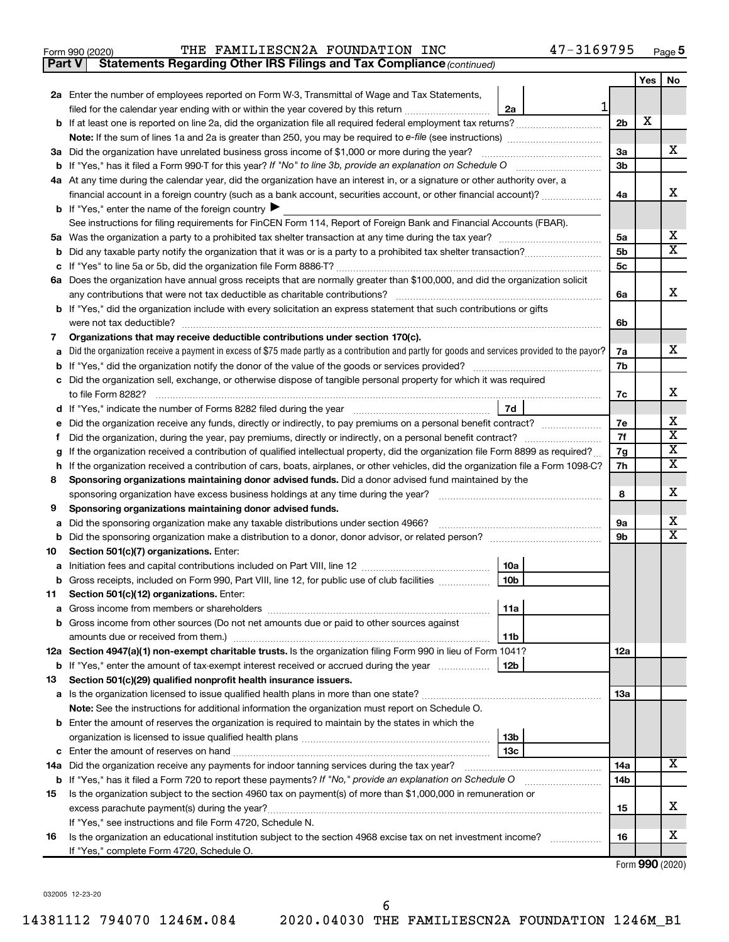| Form 990 (2020) |     |
|-----------------|-----|
| <b>Part V</b>   | Sta |

Statements Regarding Other IRS Filings and Tax Compliance (continued)

|         |                                                                                                                                                                                                                                                                              |                      | Yes | No                      |
|---------|------------------------------------------------------------------------------------------------------------------------------------------------------------------------------------------------------------------------------------------------------------------------------|----------------------|-----|-------------------------|
|         | 2a Enter the number of employees reported on Form W-3, Transmittal of Wage and Tax Statements,                                                                                                                                                                               |                      |     |                         |
|         | $\mathbf{1}$<br>filed for the calendar year ending with or within the year covered by this return<br>2a                                                                                                                                                                      |                      |     |                         |
|         |                                                                                                                                                                                                                                                                              | 2 <sub>b</sub>       | х   |                         |
|         |                                                                                                                                                                                                                                                                              |                      |     |                         |
|         | 3a Did the organization have unrelated business gross income of \$1,000 or more during the year?                                                                                                                                                                             | 3a                   |     | x                       |
|         |                                                                                                                                                                                                                                                                              | 3b                   |     |                         |
|         | 4a At any time during the calendar year, did the organization have an interest in, or a signature or other authority over, a                                                                                                                                                 |                      |     |                         |
|         | financial account in a foreign country (such as a bank account, securities account, or other financial account)?                                                                                                                                                             | 4a                   |     | х                       |
|         | <b>b</b> If "Yes," enter the name of the foreign country $\blacktriangleright$                                                                                                                                                                                               |                      |     |                         |
|         | See instructions for filing requirements for FinCEN Form 114, Report of Foreign Bank and Financial Accounts (FBAR).                                                                                                                                                          |                      |     | х                       |
|         |                                                                                                                                                                                                                                                                              | 5a<br>5 <sub>b</sub> |     | X                       |
|         |                                                                                                                                                                                                                                                                              | 5c                   |     |                         |
| с       | 6a Does the organization have annual gross receipts that are normally greater than \$100,000, and did the organization solicit                                                                                                                                               |                      |     |                         |
|         | any contributions that were not tax deductible as charitable contributions?                                                                                                                                                                                                  | 6a                   |     | х                       |
|         | b If "Yes," did the organization include with every solicitation an express statement that such contributions or gifts                                                                                                                                                       |                      |     |                         |
|         | were not tax deductible?                                                                                                                                                                                                                                                     | 6b                   |     |                         |
| 7       | Organizations that may receive deductible contributions under section 170(c).                                                                                                                                                                                                |                      |     |                         |
| а       | Did the organization receive a payment in excess of \$75 made partly as a contribution and partly for goods and services provided to the payor?                                                                                                                              | 7a                   |     | x                       |
|         |                                                                                                                                                                                                                                                                              | 7b                   |     |                         |
| с       | Did the organization sell, exchange, or otherwise dispose of tangible personal property for which it was required                                                                                                                                                            |                      |     |                         |
|         | to file Form 8282?                                                                                                                                                                                                                                                           | 7c                   |     | x                       |
| d       | 7d<br>If "Yes," indicate the number of Forms 8282 filed during the year [11,111] [11] If "Yes," indicate the number of Forms 8282 filed during the year                                                                                                                      |                      |     |                         |
|         | Did the organization receive any funds, directly or indirectly, to pay premiums on a personal benefit contract?                                                                                                                                                              | 7e                   |     | х                       |
|         | Did the organization, during the year, pay premiums, directly or indirectly, on a personal benefit contract?                                                                                                                                                                 | 7f                   |     | $\overline{\textbf{x}}$ |
| g       | If the organization received a contribution of qualified intellectual property, did the organization file Form 8899 as required?                                                                                                                                             | 7g                   |     | х                       |
| h       | If the organization received a contribution of cars, boats, airplanes, or other vehicles, did the organization file a Form 1098-C?                                                                                                                                           | 7h                   |     | х                       |
| 8       | Sponsoring organizations maintaining donor advised funds. Did a donor advised fund maintained by the                                                                                                                                                                         |                      |     |                         |
|         | sponsoring organization have excess business holdings at any time during the year?                                                                                                                                                                                           | 8                    |     | x                       |
| 9       | Sponsoring organizations maintaining donor advised funds.                                                                                                                                                                                                                    | <b>9a</b>            |     | х                       |
|         | Did the sponsoring organization make any taxable distributions under section 4966?<br>а                                                                                                                                                                                      |                      |     |                         |
| b<br>10 | Section 501(c)(7) organizations. Enter:                                                                                                                                                                                                                                      | 9b                   |     | X                       |
| а       | 10a                                                                                                                                                                                                                                                                          |                      |     |                         |
| b       | 10 <sub>b</sub><br>Gross receipts, included on Form 990, Part VIII, line 12, for public use of club facilities                                                                                                                                                               |                      |     |                         |
| 11      | Section 501(c)(12) organizations. Enter:                                                                                                                                                                                                                                     |                      |     |                         |
|         | 11a                                                                                                                                                                                                                                                                          |                      |     |                         |
|         | b Gross income from other sources (Do not net amounts due or paid to other sources against                                                                                                                                                                                   |                      |     |                         |
|         | amounts due or received from them.)<br>11b                                                                                                                                                                                                                                   |                      |     |                         |
|         | 12a Section 4947(a)(1) non-exempt charitable trusts. Is the organization filing Form 990 in lieu of Form 1041?                                                                                                                                                               | 12a                  |     |                         |
|         | <b>b</b> If "Yes," enter the amount of tax-exempt interest received or accrued during the year<br>12b                                                                                                                                                                        |                      |     |                         |
| 13      | Section 501(c)(29) qualified nonprofit health insurance issuers.                                                                                                                                                                                                             |                      |     |                         |
|         |                                                                                                                                                                                                                                                                              | <b>13a</b>           |     |                         |
|         | Note: See the instructions for additional information the organization must report on Schedule O.                                                                                                                                                                            |                      |     |                         |
|         | <b>b</b> Enter the amount of reserves the organization is required to maintain by the states in which the                                                                                                                                                                    |                      |     |                         |
|         | 13 <sub>b</sub>                                                                                                                                                                                                                                                              |                      |     |                         |
|         | 13 <sub>c</sub>                                                                                                                                                                                                                                                              |                      |     | х                       |
|         | 14a Did the organization receive any payments for indoor tanning services during the tax year?                                                                                                                                                                               | 14a<br>14b           |     |                         |
| 15      | b If "Yes," has it filed a Form 720 to report these payments? If "No," provide an explanation on Schedule O<br><u> 1986 - John Bernstein, skriuwer en s</u><br>Is the organization subject to the section 4960 tax on payment(s) of more than \$1,000,000 in remuneration or |                      |     |                         |
|         |                                                                                                                                                                                                                                                                              | 15                   |     | x                       |
|         | If "Yes," see instructions and file Form 4720, Schedule N.                                                                                                                                                                                                                   |                      |     |                         |
| 16      | Is the organization an educational institution subject to the section 4968 excise tax on net investment income?                                                                                                                                                              | 16                   |     | х                       |
|         | If "Yes," complete Form 4720, Schedule O.                                                                                                                                                                                                                                    |                      |     |                         |

Form 990 (2020)

032005 12-23-20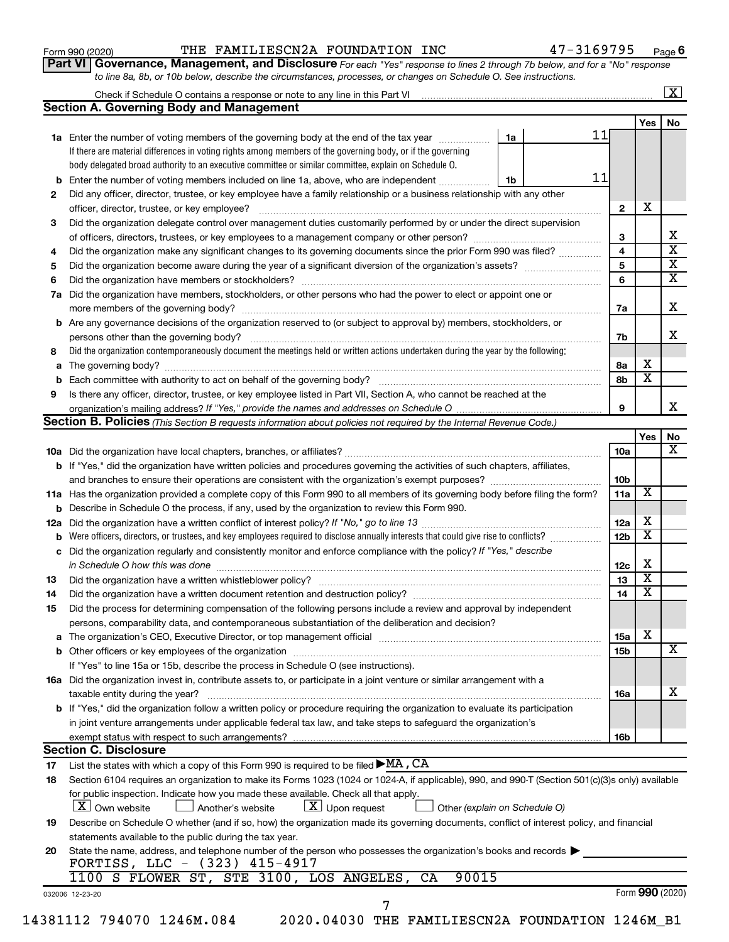| Form 990 (2020) |  |
|-----------------|--|
|-----------------|--|

Part VI | Governance, Management, and Disclosure For each "Yes" response to lines 2 through 7b below, and for a "No" response to line 8a, 8b, or 10b below, describe the circumstances, processes, or changes on Schedule O. See instructions.

|     | Check if Schedule O contains a response or note to any line in this Part VI [11] [12] Check if Schedule O contains a response or note to any line in this Part VI |                               |                 |                              |  |
|-----|-------------------------------------------------------------------------------------------------------------------------------------------------------------------|-------------------------------|-----------------|------------------------------|--|
|     | <b>Section A. Governing Body and Management</b>                                                                                                                   |                               |                 |                              |  |
|     |                                                                                                                                                                   |                               |                 | <b>Yes</b>                   |  |
|     | 1a Enter the number of voting members of the governing body at the end of the tax year                                                                            | 11<br>1a                      |                 |                              |  |
|     | If there are material differences in voting rights among members of the governing body, or if the governing                                                       |                               |                 |                              |  |
|     | body delegated broad authority to an executive committee or similar committee, explain on Schedule O.                                                             |                               |                 |                              |  |
| b   | Enter the number of voting members included on line 1a, above, who are independent                                                                                | 11<br>1b                      |                 |                              |  |
| 2   | Did any officer, director, trustee, or key employee have a family relationship or a business relationship with any other                                          |                               |                 |                              |  |
|     | officer, director, trustee, or key employee?                                                                                                                      |                               | $\mathbf{2}$    | X                            |  |
| 3   | Did the organization delegate control over management duties customarily performed by or under the direct supervision                                             |                               |                 |                              |  |
|     |                                                                                                                                                                   |                               | 3               |                              |  |
| 4   | Did the organization make any significant changes to its governing documents since the prior Form 990 was filed?                                                  |                               | $\overline{4}$  |                              |  |
| 5   |                                                                                                                                                                   |                               | 5               |                              |  |
| 6   |                                                                                                                                                                   |                               | 6               |                              |  |
| 7a  | Did the organization have members, stockholders, or other persons who had the power to elect or appoint one or                                                    |                               |                 |                              |  |
|     |                                                                                                                                                                   |                               | 7a              |                              |  |
|     | <b>b</b> Are any governance decisions of the organization reserved to (or subject to approval by) members, stockholders, or                                       |                               |                 |                              |  |
|     | persons other than the governing body?                                                                                                                            |                               | 7b              |                              |  |
| 8   | Did the organization contemporaneously document the meetings held or written actions undertaken during the year by the following:                                 |                               |                 |                              |  |
|     |                                                                                                                                                                   |                               | 8а              | х                            |  |
|     |                                                                                                                                                                   |                               | 8b              | $\overline{\mathbf{x}}$      |  |
| 9   | Is there any officer, director, trustee, or key employee listed in Part VII, Section A, who cannot be reached at the                                              |                               |                 |                              |  |
|     |                                                                                                                                                                   |                               | 9               |                              |  |
|     | Section B. Policies (This Section B requests information about policies not required by the Internal Revenue Code.)                                               |                               |                 |                              |  |
|     |                                                                                                                                                                   |                               |                 | Yes                          |  |
|     |                                                                                                                                                                   |                               | 10a             |                              |  |
|     | b If "Yes," did the organization have written policies and procedures governing the activities of such chapters, affiliates,                                      |                               |                 |                              |  |
|     |                                                                                                                                                                   |                               | 10 <sub>b</sub> |                              |  |
|     | and branches to ensure their operations are consistent with the organization's exempt purposes? <i>managereconominion</i>                                         |                               |                 | $\overline{\mathbf{X}}$      |  |
|     | 11a Has the organization provided a complete copy of this Form 990 to all members of its governing body before filing the form?                                   |                               | 11a             |                              |  |
|     | <b>b</b> Describe in Schedule O the process, if any, used by the organization to review this Form 990.                                                            |                               |                 | х                            |  |
| 12a |                                                                                                                                                                   |                               | 12a             | $\overline{\text{x}}$        |  |
| b   | Were officers, directors, or trustees, and key employees required to disclose annually interests that could give rise to conflicts?                               |                               | 12 <sub>b</sub> |                              |  |
|     | c Did the organization regularly and consistently monitor and enforce compliance with the policy? If "Yes," describe                                              |                               |                 |                              |  |
|     | in Schedule O how this was done manufactured and continuum and contact the way to the set of the set of the schedule O how this was done                          |                               | 12c             | х<br>$\overline{\textbf{x}}$ |  |
| 13  |                                                                                                                                                                   |                               | 13              |                              |  |
| 14  | Did the organization have a written document retention and destruction policy? [11] manufaction manufaction in                                                    |                               | 14              | $\overline{\textbf{x}}$      |  |
| 15  | Did the process for determining compensation of the following persons include a review and approval by independent                                                |                               |                 |                              |  |
|     | persons, comparability data, and contemporaneous substantiation of the deliberation and decision?                                                                 |                               |                 |                              |  |
|     |                                                                                                                                                                   |                               | 15a             | x                            |  |
|     |                                                                                                                                                                   |                               | 15b             |                              |  |
|     | If "Yes" to line 15a or 15b, describe the process in Schedule O (see instructions).                                                                               |                               |                 |                              |  |
|     | 16a Did the organization invest in, contribute assets to, or participate in a joint venture or similar arrangement with a                                         |                               |                 |                              |  |
|     | taxable entity during the year?                                                                                                                                   |                               | 16a             |                              |  |
|     | b If "Yes," did the organization follow a written policy or procedure requiring the organization to evaluate its participation                                    |                               |                 |                              |  |
|     | in joint venture arrangements under applicable federal tax law, and take steps to safeguard the organization's                                                    |                               |                 |                              |  |
|     | exempt status with respect to such arrangements?                                                                                                                  |                               | 16b             |                              |  |
|     | <b>Section C. Disclosure</b>                                                                                                                                      |                               |                 |                              |  |
| 17  | List the states with which a copy of this Form 990 is required to be filed $\blacktriangleright$ MA, CA                                                           |                               |                 |                              |  |
| 18  | Section 6104 requires an organization to make its Forms 1023 (1024 or 1024-A, if applicable), 990, and 990-T (Section 501(c)(3)s only) available                  |                               |                 |                              |  |
|     | for public inspection. Indicate how you made these available. Check all that apply.                                                                               |                               |                 |                              |  |
|     | X   Own website<br>$ \underline{X} $ Upon request<br>Another's website                                                                                            | Other (explain on Schedule O) |                 |                              |  |
| 19  | Describe on Schedule O whether (and if so, how) the organization made its governing documents, conflict of interest policy, and financial                         |                               |                 |                              |  |
|     | statements available to the public during the tax year.                                                                                                           |                               |                 |                              |  |
|     |                                                                                                                                                                   |                               |                 |                              |  |
|     |                                                                                                                                                                   |                               |                 |                              |  |
| 20  | State the name, address, and telephone number of the person who possesses the organization's books and records                                                    |                               |                 |                              |  |
|     | FORTISS, LLC - (323) 415-4917                                                                                                                                     |                               |                 |                              |  |
|     | 1100 S FLOWER ST, STE 3100, LOS ANGELES,<br>CA<br>90015<br>032006 12-23-20                                                                                        |                               |                 | Form 990 (2020)              |  |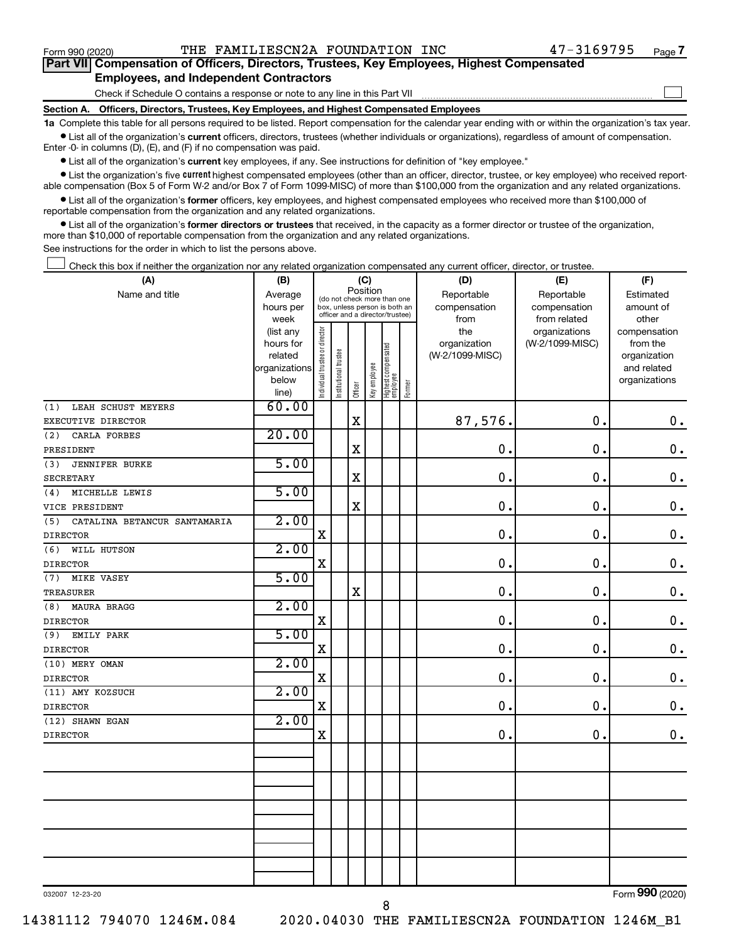$/E<sub>1</sub>$ 

| Part VII Compensation of Officers, Directors, Trustees, Key Employees, Highest Compensated |  |  |  |
|--------------------------------------------------------------------------------------------|--|--|--|
| <b>Employees, and Independent Contractors</b>                                              |  |  |  |

Check if Schedule O contains a response or note to any line in this Part VII

 $\mathbf{I}$ 

 $ID<sub>1</sub>$ 

Section A. Officers, Directors, Trustees, Key Employees, and Highest Compensated Employees

1a Complete this table for all persons required to be listed. Report compensation for the calendar year ending with or within the organization's tax year. · List all of the organization's current officers, directors, trustees (whether individuals or organizations), regardless of amount of compensation.

Enter -0- in columns (D), (E), and (F) if no compensation was paid.

• List all of the organization's current key employees, if any. See instructions for definition of "key employee."

• List the organization's five current highest compensated employees (other than an officer, director, trustee, or key employee) who received reportable compensation (Box 5 of Form W-2 and/or Box 7 of Form 1099-MISC) of more than \$100,000 from the organization and any related organizations.

 $\sim$ 

Т

 $\mathbf{m}$ 

 $($  $\Box$ 

• List all of the organization's former officers, key employees, and highest compensated employees who received more than \$100,000 of reportable compensation from the organization and any related organizations.

**•** List all of the organization's former directors or trustees that received, in the capacity as a former director or trustee of the organization, more than \$10,000 of reportable compensation from the organization and any related organizations.

See instructions for the order in which to list the persons above.

 $\overline{11}$ 

Check this box if neither the organization nor any related organization compensated any current officer, director, or trustee  $\mathbf{I}$ 

| (A)                                 | נכון (                 |                                |                                                                  | ru<br>Position |              |                                   |        | וש)                 | <b>IEI</b>                       | VГ)                      |
|-------------------------------------|------------------------|--------------------------------|------------------------------------------------------------------|----------------|--------------|-----------------------------------|--------|---------------------|----------------------------------|--------------------------|
| Name and title                      | Average                |                                | (do not check more than one                                      |                |              |                                   |        | Reportable          | Reportable                       | Estimated                |
|                                     | hours per              |                                | box, unless person is both an<br>officer and a director/trustee) |                |              |                                   |        | compensation        | compensation                     | amount of                |
|                                     | week                   |                                |                                                                  |                |              |                                   |        | from                | from related                     | other                    |
|                                     | (list any<br>hours for |                                |                                                                  |                |              |                                   |        | the<br>organization | organizations<br>(W-2/1099-MISC) | compensation<br>from the |
|                                     | related                |                                |                                                                  |                |              |                                   |        | (W-2/1099-MISC)     |                                  | organization             |
|                                     | organizations          |                                |                                                                  |                |              |                                   |        |                     |                                  | and related              |
|                                     | below                  |                                |                                                                  |                |              |                                   |        |                     |                                  | organizations            |
|                                     | line)                  | Individual trustee or director | Institutional trustee                                            | Officer        | Key employee | Highest compensated<br>  employee | Former |                     |                                  |                          |
| LEAH SCHUST MEYERS<br>(1)           | 60.00                  |                                |                                                                  |                |              |                                   |        |                     |                                  |                          |
| EXECUTIVE DIRECTOR                  |                        |                                |                                                                  | $\mathbf X$    |              |                                   |        | 87,576.             | 0.                               | $\mathbf 0$ .            |
| (2)<br>CARLA FORBES                 | 20.00                  |                                |                                                                  |                |              |                                   |        |                     |                                  |                          |
| PRESIDENT                           |                        |                                |                                                                  | $\mathbf X$    |              |                                   |        | $\mathbf 0$ .       | 0.                               | $\mathbf 0$ .            |
| (3)<br><b>JENNIFER BURKE</b>        | 5.00                   |                                |                                                                  |                |              |                                   |        |                     |                                  |                          |
| <b>SECRETARY</b>                    |                        |                                |                                                                  | $\mathbf X$    |              |                                   |        | $\mathbf 0$         | $\mathbf 0$ .                    | $\mathbf 0$ .            |
| MICHELLE LEWIS<br>(4)               | 5.00                   |                                |                                                                  |                |              |                                   |        |                     |                                  |                          |
| VICE PRESIDENT                      |                        |                                |                                                                  | $\mathbf X$    |              |                                   |        | $\mathbf 0$ .       | 0.                               | $\mathbf 0$ .            |
| (5)<br>CATALINA BETANCUR SANTAMARIA | 2.00                   |                                |                                                                  |                |              |                                   |        |                     |                                  |                          |
| <b>DIRECTOR</b>                     |                        | X                              |                                                                  |                |              |                                   |        | 0                   | $\mathbf 0$ .                    | $\boldsymbol{0}$ .       |
| (6)<br>WILL HUTSON                  | 2.00                   |                                |                                                                  |                |              |                                   |        |                     |                                  |                          |
| <b>DIRECTOR</b>                     |                        | X                              |                                                                  |                |              |                                   |        | $\mathbf 0$         | 0.                               | $\mathbf 0$ .            |
| (7)<br><b>MIKE VASEY</b>            | 5.00                   |                                |                                                                  |                |              |                                   |        |                     |                                  |                          |
| TREASURER                           |                        |                                |                                                                  | $\mathbf X$    |              |                                   |        | 0.                  | $\mathbf 0$ .                    | $\mathbf 0$ .            |
| MAURA BRAGG<br>(8)                  | 2.00                   |                                |                                                                  |                |              |                                   |        |                     |                                  |                          |
| <b>DIRECTOR</b>                     |                        | X                              |                                                                  |                |              |                                   |        | $\mathbf 0$         | 0.                               | $\mathbf 0$ .            |
| (9)<br>EMILY PARK                   | 5.00                   |                                |                                                                  |                |              |                                   |        |                     |                                  |                          |
| <b>DIRECTOR</b>                     |                        | X                              |                                                                  |                |              |                                   |        | 0                   | $\mathbf 0$ .                    | $\boldsymbol{0}$ .       |
| (10) MERY OMAN                      | 2.00                   |                                |                                                                  |                |              |                                   |        |                     |                                  |                          |
| <b>DIRECTOR</b>                     |                        | X                              |                                                                  |                |              |                                   |        | $\mathbf 0$         | 0.                               | $\mathbf 0$ .            |
| (11) AMY KOZSUCH                    | 2.00                   |                                |                                                                  |                |              |                                   |        |                     |                                  |                          |
| <b>DIRECTOR</b>                     |                        | X                              |                                                                  |                |              |                                   |        | $\mathbf 0$         | 0.                               | $\mathbf 0$ .            |
| (12) SHAWN EGAN                     | 2.00                   |                                |                                                                  |                |              |                                   |        |                     |                                  |                          |
| <b>DIRECTOR</b>                     |                        | $\mathbf X$                    |                                                                  |                |              |                                   |        | 0.                  | 0.                               | $\mathbf 0$ .            |
|                                     |                        |                                |                                                                  |                |              |                                   |        |                     |                                  |                          |
|                                     |                        |                                |                                                                  |                |              |                                   |        |                     |                                  |                          |
|                                     |                        |                                |                                                                  |                |              |                                   |        |                     |                                  |                          |
|                                     |                        |                                |                                                                  |                |              |                                   |        |                     |                                  |                          |
|                                     |                        |                                |                                                                  |                |              |                                   |        |                     |                                  |                          |
|                                     |                        |                                |                                                                  |                |              |                                   |        |                     |                                  |                          |
|                                     |                        |                                |                                                                  |                |              |                                   |        |                     |                                  |                          |
|                                     |                        |                                |                                                                  |                |              |                                   |        |                     |                                  |                          |
|                                     |                        |                                |                                                                  |                |              |                                   |        |                     |                                  |                          |
|                                     |                        |                                |                                                                  |                |              |                                   |        |                     |                                  | $0.00 -$                 |

032007 12-23-20

Form 990 (2020)

14381112 794070 1246M.084

8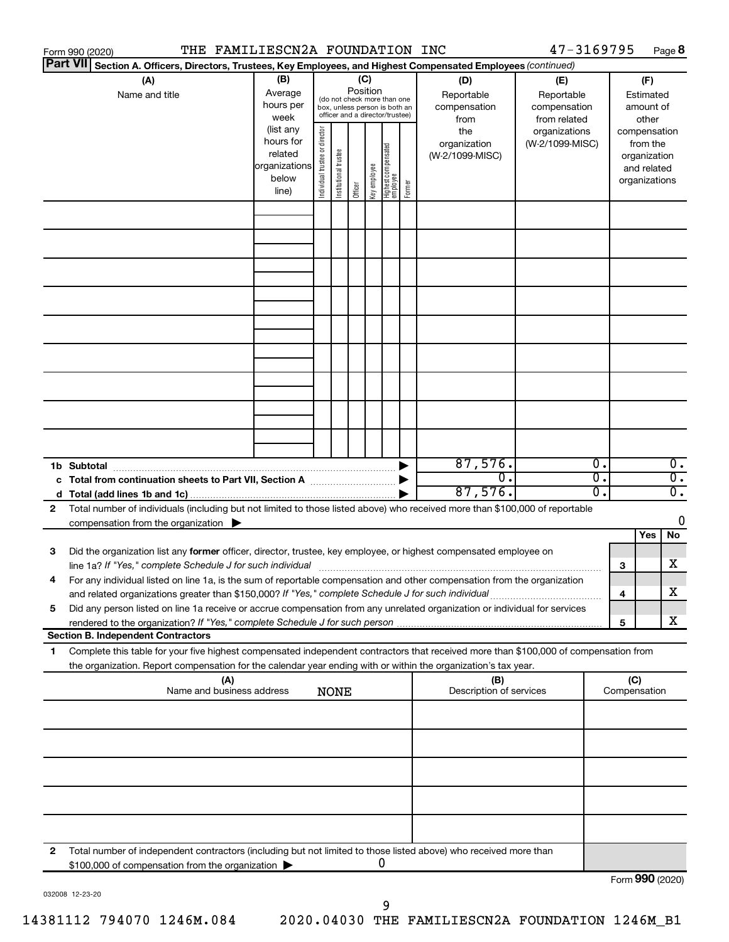|                 | THE FAMILIESCN2A FOUNDATION INC<br>Form 990 (2020)                                                                                                                                                                              |                                                         |                                |                                                                                                 |                 |              |                                   |        |                                                  | 47-3169795                                                         |          |                     |                                                          | Page 8                               |
|-----------------|---------------------------------------------------------------------------------------------------------------------------------------------------------------------------------------------------------------------------------|---------------------------------------------------------|--------------------------------|-------------------------------------------------------------------------------------------------|-----------------|--------------|-----------------------------------|--------|--------------------------------------------------|--------------------------------------------------------------------|----------|---------------------|----------------------------------------------------------|--------------------------------------|
| <b>Part VII</b> | Section A. Officers, Directors, Trustees, Key Employees, and Highest Compensated Employees (continued)                                                                                                                          |                                                         |                                |                                                                                                 |                 |              |                                   |        |                                                  |                                                                    |          |                     |                                                          |                                      |
|                 | (A)<br>Name and title                                                                                                                                                                                                           | (B)<br>Average<br>hours per<br>week<br>(list any        |                                | (do not check more than one<br>box, unless person is both an<br>officer and a director/trustee) | (C)<br>Position |              |                                   |        | (D)<br>Reportable<br>compensation<br>from<br>the | (E)<br>Reportable<br>compensation<br>from related<br>organizations |          |                     | (F)<br>Estimated<br>amount of<br>other<br>compensation   |                                      |
|                 |                                                                                                                                                                                                                                 | hours for<br>related<br>organizations<br>below<br>line) | Individual trustee or director | Institutional trustee                                                                           | Officer         | Key employee | Highest compensated<br>  employee | Former | organization<br>(W-2/1099-MISC)                  | (W-2/1099-MISC)                                                    |          |                     | from the<br>organization<br>and related<br>organizations |                                      |
|                 |                                                                                                                                                                                                                                 |                                                         |                                |                                                                                                 |                 |              |                                   |        |                                                  |                                                                    |          |                     |                                                          |                                      |
|                 |                                                                                                                                                                                                                                 |                                                         |                                |                                                                                                 |                 |              |                                   |        |                                                  |                                                                    |          |                     |                                                          |                                      |
|                 |                                                                                                                                                                                                                                 |                                                         |                                |                                                                                                 |                 |              |                                   |        |                                                  |                                                                    |          |                     |                                                          |                                      |
|                 |                                                                                                                                                                                                                                 |                                                         |                                |                                                                                                 |                 |              |                                   |        |                                                  |                                                                    |          |                     |                                                          |                                      |
|                 |                                                                                                                                                                                                                                 |                                                         |                                |                                                                                                 |                 |              |                                   |        | 87,576.<br>σ.                                    |                                                                    | σ.<br>σ. |                     |                                                          | $\overline{0}$ .<br>$\overline{0}$ . |
| 2               | Total number of individuals (including but not limited to those listed above) who received more than \$100,000 of reportable                                                                                                    |                                                         |                                |                                                                                                 |                 |              |                                   |        | 87,576.                                          |                                                                    | σ.       |                     |                                                          | σ.                                   |
|                 | compensation from the organization $\blacktriangleright$                                                                                                                                                                        |                                                         |                                |                                                                                                 |                 |              |                                   |        |                                                  |                                                                    |          |                     | Yes                                                      | 0<br>No                              |
| 3               | Did the organization list any former officer, director, trustee, key employee, or highest compensated employee on                                                                                                               |                                                         |                                |                                                                                                 |                 |              |                                   |        |                                                  |                                                                    |          | 3                   |                                                          | x                                    |
|                 | For any individual listed on line 1a, is the sum of reportable compensation and other compensation from the organization<br>and related organizations greater than \$150,000? If "Yes," complete Schedule J for such individual |                                                         |                                |                                                                                                 |                 |              |                                   |        |                                                  |                                                                    |          | 4                   |                                                          | х                                    |
| 5               | Did any person listed on line 1a receive or accrue compensation from any unrelated organization or individual for services                                                                                                      |                                                         |                                |                                                                                                 |                 |              |                                   |        |                                                  |                                                                    |          | 5                   |                                                          | x                                    |
| 1.              | <b>Section B. Independent Contractors</b><br>Complete this table for your five highest compensated independent contractors that received more than \$100,000 of compensation from                                               |                                                         |                                |                                                                                                 |                 |              |                                   |        |                                                  |                                                                    |          |                     |                                                          |                                      |
|                 | the organization. Report compensation for the calendar year ending with or within the organization's tax year.                                                                                                                  |                                                         |                                |                                                                                                 |                 |              |                                   |        |                                                  |                                                                    |          |                     |                                                          |                                      |
|                 | (A)<br>Name and business address                                                                                                                                                                                                |                                                         |                                | <b>NONE</b>                                                                                     |                 |              |                                   |        | (B)<br>Description of services                   |                                                                    |          | (C)<br>Compensation |                                                          |                                      |
|                 |                                                                                                                                                                                                                                 |                                                         |                                |                                                                                                 |                 |              |                                   |        |                                                  |                                                                    |          |                     |                                                          |                                      |
|                 |                                                                                                                                                                                                                                 |                                                         |                                |                                                                                                 |                 |              |                                   |        |                                                  |                                                                    |          |                     |                                                          |                                      |
|                 |                                                                                                                                                                                                                                 |                                                         |                                |                                                                                                 |                 |              |                                   |        |                                                  |                                                                    |          |                     |                                                          |                                      |
| 2               | Total number of independent contractors (including but not limited to those listed above) who received more than<br>\$100,000 of compensation from the organization                                                             |                                                         |                                |                                                                                                 |                 |              | 0                                 |        |                                                  |                                                                    |          |                     |                                                          |                                      |
|                 |                                                                                                                                                                                                                                 |                                                         |                                |                                                                                                 |                 |              |                                   |        |                                                  |                                                                    |          | Form 990 (2020)     |                                                          |                                      |

032008 12-23-20

14381112 794070 1246M.084

2020.04030 THE FAMILIESCN2A FOUNDATION 1246M\_B1

 $\boldsymbol{9}$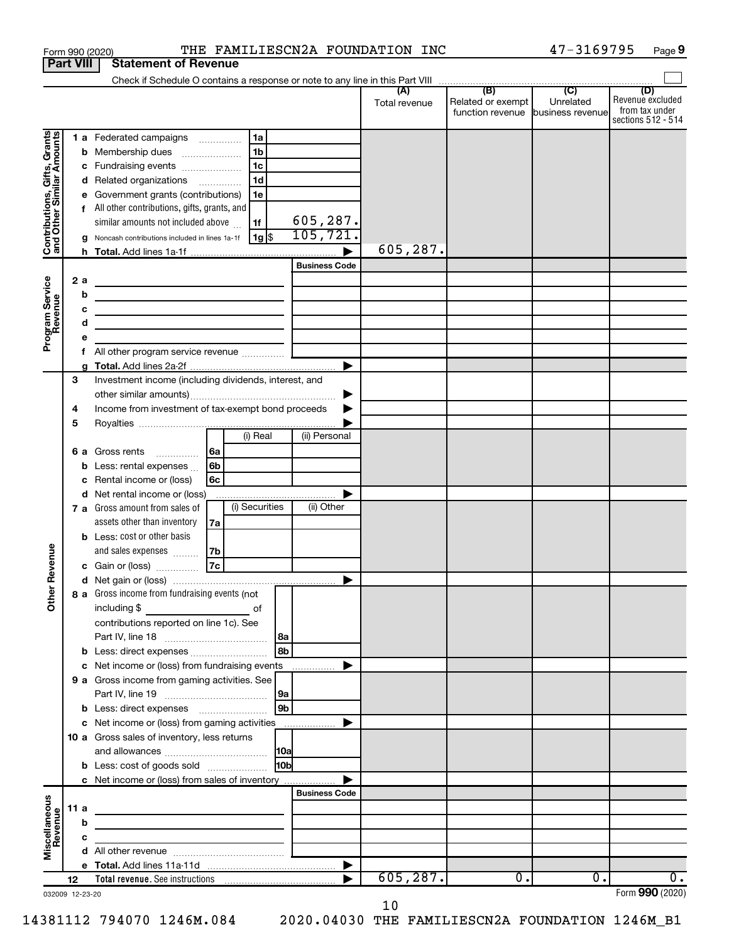|                                                           |                  |     | Form 990 (2020)                                                                                                                                                                                                                      |      |                |                |                       | THE FAMILIESCN2A FOUNDATION INC |                                   | 47-3169795 |                    | Page 9 |
|-----------------------------------------------------------|------------------|-----|--------------------------------------------------------------------------------------------------------------------------------------------------------------------------------------------------------------------------------------|------|----------------|----------------|-----------------------|---------------------------------|-----------------------------------|------------|--------------------|--------|
|                                                           | <b>Part VIII</b> |     | <b>Statement of Revenue</b>                                                                                                                                                                                                          |      |                |                |                       |                                 |                                   |            |                    |        |
|                                                           |                  |     |                                                                                                                                                                                                                                      |      |                |                |                       |                                 | (B)                               | (C)        | (D)                |        |
|                                                           |                  |     |                                                                                                                                                                                                                                      |      |                |                |                       | (A)<br>Total revenue            | Related or exempt                 | Unrelated  | Revenue excluded   |        |
|                                                           |                  |     |                                                                                                                                                                                                                                      |      |                |                |                       |                                 | function revenue business revenue |            | from tax under     |        |
|                                                           |                  |     |                                                                                                                                                                                                                                      |      |                |                |                       |                                 |                                   |            | sections 512 - 514 |        |
| Contributions, Gifts, Grants<br>and Other Similar Amounts |                  |     | 1 a Federated campaigns                                                                                                                                                                                                              |      | 1a             |                |                       |                                 |                                   |            |                    |        |
|                                                           |                  |     | <b>b</b> Membership dues                                                                                                                                                                                                             |      | 1 <sub>b</sub> |                |                       |                                 |                                   |            |                    |        |
|                                                           |                  |     | c Fundraising events                                                                                                                                                                                                                 |      | 1 <sub>c</sub> |                |                       |                                 |                                   |            |                    |        |
|                                                           |                  |     | d Related organizations                                                                                                                                                                                                              |      | 1 <sub>d</sub> |                |                       |                                 |                                   |            |                    |        |
|                                                           |                  |     | e Government grants (contributions)                                                                                                                                                                                                  |      | 1e             |                |                       |                                 |                                   |            |                    |        |
|                                                           |                  |     | f All other contributions, gifts, grants, and                                                                                                                                                                                        |      |                |                |                       |                                 |                                   |            |                    |        |
|                                                           |                  |     | similar amounts not included above                                                                                                                                                                                                   |      | 1f             |                | 605,287.              |                                 |                                   |            |                    |        |
|                                                           |                  |     | Noncash contributions included in lines 1a-1f                                                                                                                                                                                        |      | 1g  \$         |                | 105,721.              |                                 |                                   |            |                    |        |
|                                                           |                  |     |                                                                                                                                                                                                                                      |      |                |                |                       | 605,287.                        |                                   |            |                    |        |
|                                                           |                  |     |                                                                                                                                                                                                                                      |      |                |                | <b>Business Code</b>  |                                 |                                   |            |                    |        |
|                                                           |                  | 2 a | the control of the control of the control of the control of the control of                                                                                                                                                           |      |                |                |                       |                                 |                                   |            |                    |        |
|                                                           |                  | b   | <u> 1989 - Johann Barn, mars et al. (b. 1989)</u>                                                                                                                                                                                    |      |                |                |                       |                                 |                                   |            |                    |        |
|                                                           |                  | с   |                                                                                                                                                                                                                                      |      |                |                |                       |                                 |                                   |            |                    |        |
|                                                           |                  | d   | <u> 1989 - Johann Barbara, martin a bhann an t-Alban an t-Alban an t-Alban an t-Alban an t-Alban an t-Alban an t-Alban an t-Alban an t-Alban an t-Alban an t-Alban an t-Alban an t-Alban an t-Alban an t-Alban an t-Alban an t-A</u> |      |                |                |                       |                                 |                                   |            |                    |        |
| Program Service<br>Revenue                                |                  |     |                                                                                                                                                                                                                                      |      |                |                |                       |                                 |                                   |            |                    |        |
|                                                           |                  | f.  | All other program service revenue                                                                                                                                                                                                    |      |                |                |                       |                                 |                                   |            |                    |        |
|                                                           |                  |     |                                                                                                                                                                                                                                      |      |                |                | $\blacktriangleright$ |                                 |                                   |            |                    |        |
|                                                           | 3                |     | Investment income (including dividends, interest, and                                                                                                                                                                                |      |                |                |                       |                                 |                                   |            |                    |        |
|                                                           |                  |     |                                                                                                                                                                                                                                      |      |                |                |                       |                                 |                                   |            |                    |        |
|                                                           | 4                |     | Income from investment of tax-exempt bond proceeds                                                                                                                                                                                   |      |                |                |                       |                                 |                                   |            |                    |        |
|                                                           | 5                |     |                                                                                                                                                                                                                                      |      |                |                |                       |                                 |                                   |            |                    |        |
|                                                           |                  |     |                                                                                                                                                                                                                                      |      | (i) Real       |                | (ii) Personal         |                                 |                                   |            |                    |        |
|                                                           |                  | 6а  | Gross rents                                                                                                                                                                                                                          | l 6a |                |                |                       |                                 |                                   |            |                    |        |
|                                                           |                  | b   | Less: rental expenses                                                                                                                                                                                                                | 6b   |                |                |                       |                                 |                                   |            |                    |        |
|                                                           |                  | c   | Rental income or (loss)                                                                                                                                                                                                              | 6с   |                |                |                       |                                 |                                   |            |                    |        |
|                                                           |                  |     | d Net rental income or (loss)                                                                                                                                                                                                        |      |                |                |                       |                                 |                                   |            |                    |        |
|                                                           |                  |     | 7 a Gross amount from sales of                                                                                                                                                                                                       |      | (i) Securities |                | (ii) Other            |                                 |                                   |            |                    |        |
|                                                           |                  |     | assets other than inventory                                                                                                                                                                                                          | 7a   |                |                |                       |                                 |                                   |            |                    |        |
|                                                           |                  |     | <b>b</b> Less: cost or other basis                                                                                                                                                                                                   |      |                |                |                       |                                 |                                   |            |                    |        |
|                                                           |                  |     | and sales expenses                                                                                                                                                                                                                   | 7b   |                |                |                       |                                 |                                   |            |                    |        |
| venue                                                     |                  |     | c Gain or (loss)                                                                                                                                                                                                                     | 7c   |                |                |                       |                                 |                                   |            |                    |        |
| č                                                         |                  |     |                                                                                                                                                                                                                                      |      |                |                |                       |                                 |                                   |            |                    |        |
|                                                           |                  |     | 8 a Gross income from fundraising events (not                                                                                                                                                                                        |      |                |                |                       |                                 |                                   |            |                    |        |
| Other                                                     |                  |     |                                                                                                                                                                                                                                      |      |                |                |                       |                                 |                                   |            |                    |        |
|                                                           |                  |     | contributions reported on line 1c). See                                                                                                                                                                                              |      |                |                |                       |                                 |                                   |            |                    |        |
|                                                           |                  |     |                                                                                                                                                                                                                                      |      |                | 8a             |                       |                                 |                                   |            |                    |        |
|                                                           |                  |     | b Less: direct expenses                                                                                                                                                                                                              |      |                | 8b             |                       |                                 |                                   |            |                    |        |
|                                                           |                  |     | c Net income or (loss) from fundraising events                                                                                                                                                                                       |      |                |                | .                     |                                 |                                   |            |                    |        |
|                                                           |                  |     | 9 a Gross income from gaming activities. See                                                                                                                                                                                         |      |                |                |                       |                                 |                                   |            |                    |        |
|                                                           |                  |     |                                                                                                                                                                                                                                      |      |                | 9a             |                       |                                 |                                   |            |                    |        |
|                                                           |                  |     | b Less: direct expenses                                                                                                                                                                                                              |      |                | 9 <sub>b</sub> |                       |                                 |                                   |            |                    |        |
|                                                           |                  |     | c Net income or (loss) from gaming activities                                                                                                                                                                                        |      |                |                |                       |                                 |                                   |            |                    |        |
|                                                           |                  |     | 10 a Gross sales of inventory, less returns                                                                                                                                                                                          |      |                |                |                       |                                 |                                   |            |                    |        |
|                                                           |                  |     |                                                                                                                                                                                                                                      |      |                | <b>10a</b>     |                       |                                 |                                   |            |                    |        |
|                                                           |                  |     | <b>b</b> Less: cost of goods sold                                                                                                                                                                                                    |      |                | 10bl           |                       |                                 |                                   |            |                    |        |
|                                                           |                  |     |                                                                                                                                                                                                                                      |      |                |                |                       |                                 |                                   |            |                    |        |
|                                                           |                  |     | c Net income or (loss) from sales of inventory                                                                                                                                                                                       |      |                |                | <b>Business Code</b>  |                                 |                                   |            |                    |        |
|                                                           | 11 a             |     |                                                                                                                                                                                                                                      |      |                |                |                       |                                 |                                   |            |                    |        |
| Miscellaneous<br>Revenue                                  |                  | b   | <u> 1989 - Johann Barbara, martxa alemaniar a</u>                                                                                                                                                                                    |      |                |                |                       |                                 |                                   |            |                    |        |
|                                                           |                  |     | <u> 1989 - John Stein, mars and de Brandenburg and de Brandenburg and de Brandenburg and de Brandenburg and de Br</u>                                                                                                                |      |                |                |                       |                                 |                                   |            |                    |        |
|                                                           |                  | с   |                                                                                                                                                                                                                                      |      |                |                |                       |                                 |                                   |            |                    |        |
|                                                           |                  |     |                                                                                                                                                                                                                                      |      |                |                |                       |                                 |                                   |            |                    |        |
|                                                           | 12               |     |                                                                                                                                                                                                                                      |      |                |                |                       | 605, 287.                       | $\overline{0}$ .                  | 0.         |                    | 0.     |
| 032009 12-23-20                                           |                  |     |                                                                                                                                                                                                                                      |      |                |                |                       |                                 |                                   |            | Form 990 (2020)    |        |

 $10$ 

14381112 794070 1246M.084 2020.04030 THE FAMILIESCN2A FOUNDATION 1246M\_B1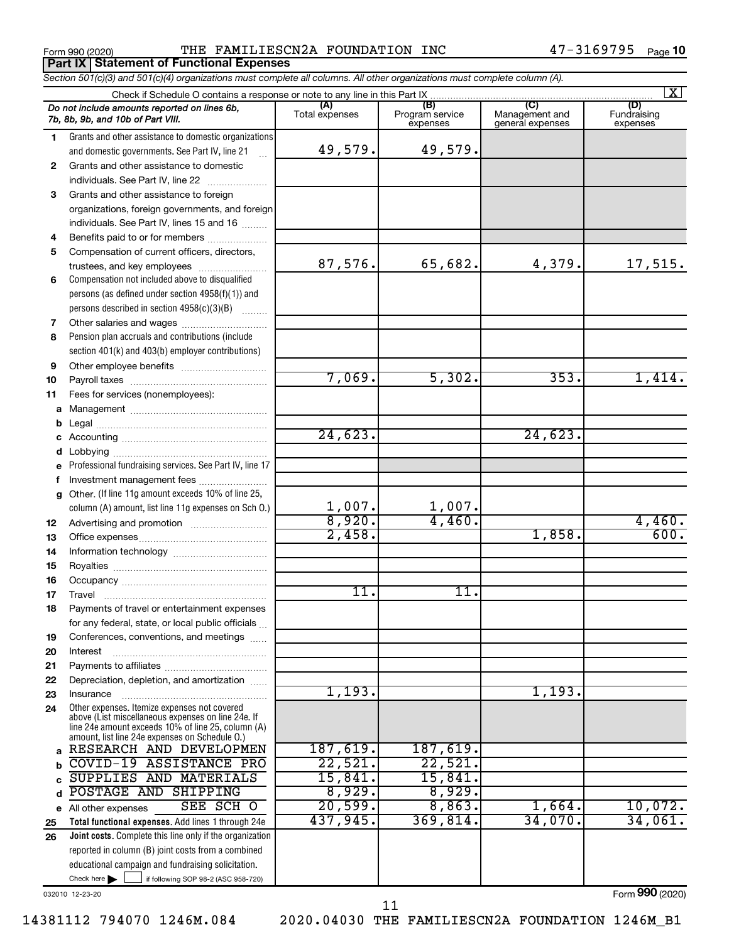**Part IX Statement of Functional Expenses** 

THE FAMILIESCN2A FOUNDATION INC

Section 501(c)(3) and 501(c)(4) organizations must complete all columns. All other organizations must complete column (A).

|          |                                                                                                                               |                       |                        |                       | $\overline{\mathbf{X}}$ |
|----------|-------------------------------------------------------------------------------------------------------------------------------|-----------------------|------------------------|-----------------------|-------------------------|
|          | Do not include amounts reported on lines 6b,<br>7b, 8b, 9b, and 10b of Part VIII.                                             | (A)<br>Total expenses | (B)<br>Program service | (C)<br>Management and | (D)<br>Fundraising      |
|          |                                                                                                                               |                       | expenses               | general expenses      | expenses                |
| 1.       | Grants and other assistance to domestic organizations<br>and domestic governments. See Part IV, line 21                       | 49,579.               | 49,579.                |                       |                         |
| 2        | Grants and other assistance to domestic                                                                                       |                       |                        |                       |                         |
|          | individuals. See Part IV, line 22                                                                                             |                       |                        |                       |                         |
| 3        | Grants and other assistance to foreign                                                                                        |                       |                        |                       |                         |
|          | organizations, foreign governments, and foreign                                                                               |                       |                        |                       |                         |
|          | individuals. See Part IV, lines 15 and 16                                                                                     |                       |                        |                       |                         |
| 4        | Benefits paid to or for members                                                                                               |                       |                        |                       |                         |
| 5        | Compensation of current officers, directors,                                                                                  | 87,576.               | 65,682.                | 4,379.                | 17,515.                 |
| 6        | trustees, and key employees<br>Compensation not included above to disqualified                                                |                       |                        |                       |                         |
|          | persons (as defined under section $4958(f)(1)$ ) and                                                                          |                       |                        |                       |                         |
|          | persons described in section 4958(c)(3)(B)                                                                                    |                       |                        |                       |                         |
| 7        |                                                                                                                               |                       |                        |                       |                         |
| 8        | Pension plan accruals and contributions (include                                                                              |                       |                        |                       |                         |
|          | section 401(k) and 403(b) employer contributions)                                                                             |                       |                        |                       |                         |
| 9        |                                                                                                                               |                       |                        |                       |                         |
| 10       |                                                                                                                               | 7,069.                | 5,302.                 | 353.                  | 1,414.                  |
| 11       | Fees for services (nonemployees):                                                                                             |                       |                        |                       |                         |
|          |                                                                                                                               |                       |                        |                       |                         |
|          |                                                                                                                               |                       |                        |                       |                         |
|          |                                                                                                                               | 24,623.               |                        | 24,623.               |                         |
|          |                                                                                                                               |                       |                        |                       |                         |
|          | e Professional fundraising services. See Part IV, line 17                                                                     |                       |                        |                       |                         |
|          | f Investment management fees                                                                                                  |                       |                        |                       |                         |
|          | g Other. (If line 11g amount exceeds 10% of line 25,                                                                          |                       |                        |                       |                         |
|          | column (A) amount, list line 11g expenses on Sch O.)                                                                          | 1,007.                | 1,007.                 |                       |                         |
| 12       |                                                                                                                               | 8,920.                | 4,460.                 |                       | 4,460.                  |
| 13       |                                                                                                                               | 2,458.                |                        | 1,858.                | 600.                    |
| 14       |                                                                                                                               |                       |                        |                       |                         |
| 15       |                                                                                                                               |                       |                        |                       |                         |
| 16       |                                                                                                                               | 11.                   | 11.                    |                       |                         |
| 17       |                                                                                                                               |                       |                        |                       |                         |
| 18       | Payments of travel or entertainment expenses                                                                                  |                       |                        |                       |                         |
|          | for any federal, state, or local public officials                                                                             |                       |                        |                       |                         |
| 19<br>20 | Conferences, conventions, and meetings<br>Interest                                                                            |                       |                        |                       |                         |
| 21       |                                                                                                                               |                       |                        |                       |                         |
| 22       | Depreciation, depletion, and amortization                                                                                     |                       |                        |                       |                         |
| 23       | Insurance                                                                                                                     | 1,193.                |                        | 1,193.                |                         |
| 24       | Other expenses. Itemize expenses not covered                                                                                  |                       |                        |                       |                         |
|          | above (List miscellaneous expenses on line 24e. If<br>line 24e amount exceeds 10% of line 25, column (A)                      |                       |                        |                       |                         |
|          | amount, list line 24e expenses on Schedule O.)                                                                                |                       |                        |                       |                         |
|          | RESEARCH AND DEVELOPMEN                                                                                                       | 187,619.              | 187,619.               |                       |                         |
|          | COVID-19 ASSISTANCE PRO                                                                                                       | 22,521.               | 22,521.                |                       |                         |
|          | SUPPLIES AND MATERIALS                                                                                                        | 15,841.               | 15,841.                |                       |                         |
| d        | POSTAGE AND SHIPPING                                                                                                          | 8,929.                | 8,929.                 |                       |                         |
| е        | SEE SCH O<br>All other expenses                                                                                               | 20,599.               | 8,863.                 | 1,664.                | 10,072.                 |
| 25       | Total functional expenses. Add lines 1 through 24e                                                                            | 437,945.              | 369,814.               | 34,070.               | 34,061.                 |
| 26       | Joint costs. Complete this line only if the organization                                                                      |                       |                        |                       |                         |
|          | reported in column (B) joint costs from a combined                                                                            |                       |                        |                       |                         |
|          | educational campaign and fundraising solicitation.<br>Check here $\blacktriangleright$<br>if following SOP 98-2 (ASC 958-720) |                       |                        |                       |                         |
|          |                                                                                                                               |                       |                        |                       |                         |

032010 12-23-20

Form 990 (2020)

14381112 794070 1246M.084

 $11$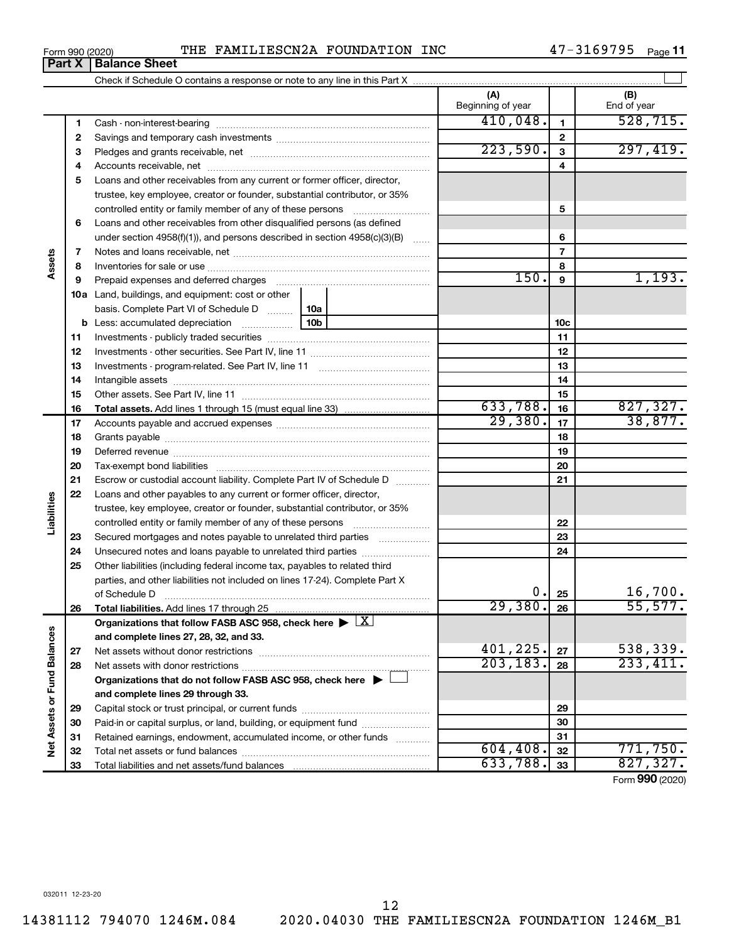$\overline{\phantom{0}}$ 

14381112 794070 1246M.084

47-3169795 Page 11

|                             |    |                                                                                                                                                                                                                                |  | (A)<br>Beginning of year |                 | (B)<br>End of year |
|-----------------------------|----|--------------------------------------------------------------------------------------------------------------------------------------------------------------------------------------------------------------------------------|--|--------------------------|-----------------|--------------------|
|                             | 1  |                                                                                                                                                                                                                                |  | 410,048.                 | 1               | 528, 715.          |
|                             | 2  |                                                                                                                                                                                                                                |  |                          | $\mathbf{2}$    |                    |
|                             | 3  |                                                                                                                                                                                                                                |  | 223,590.                 | 3               | 297,419.           |
|                             | 4  |                                                                                                                                                                                                                                |  |                          | 4               |                    |
|                             | 5  | Loans and other receivables from any current or former officer, director,                                                                                                                                                      |  |                          |                 |                    |
|                             |    | trustee, key employee, creator or founder, substantial contributor, or 35%                                                                                                                                                     |  |                          |                 |                    |
|                             |    | controlled entity or family member of any of these persons                                                                                                                                                                     |  |                          | 5               |                    |
|                             | 6  | Loans and other receivables from other disqualified persons (as defined                                                                                                                                                        |  |                          |                 |                    |
|                             |    | under section $4958(f)(1)$ , and persons described in section $4958(c)(3)(B)$                                                                                                                                                  |  |                          | 6               |                    |
|                             | 7  |                                                                                                                                                                                                                                |  |                          | $\overline{7}$  |                    |
| Assets                      | 8  |                                                                                                                                                                                                                                |  |                          | 8               |                    |
|                             | 9  | Prepaid expenses and deferred charges [11] [11] prepaid expenses and deferred charges [11] [11] minimum and the Prepaid expenses and deferred charges [11] minimum and the Prepaid experiment of Prepaid experiment and the Pr |  | 150.                     | 9               | 1,193.             |
|                             |    | <b>10a</b> Land, buildings, and equipment: cost or other                                                                                                                                                                       |  |                          |                 |                    |
|                             |    | basis. Complete Part VI of Schedule D    10a                                                                                                                                                                                   |  |                          |                 |                    |
|                             |    |                                                                                                                                                                                                                                |  |                          | 10 <sub>c</sub> |                    |
|                             | 11 |                                                                                                                                                                                                                                |  |                          | 11              |                    |
|                             | 12 |                                                                                                                                                                                                                                |  | 12                       |                 |                    |
|                             | 13 |                                                                                                                                                                                                                                |  | 13                       |                 |                    |
|                             | 14 |                                                                                                                                                                                                                                |  |                          | 14              |                    |
|                             | 15 |                                                                                                                                                                                                                                |  |                          | 15              |                    |
|                             | 16 |                                                                                                                                                                                                                                |  | 633,788.                 | 16              | 827, 327.          |
|                             | 17 |                                                                                                                                                                                                                                |  | 29,380.                  | 17              | 38,877.            |
|                             | 18 |                                                                                                                                                                                                                                |  | 18                       |                 |                    |
|                             | 19 |                                                                                                                                                                                                                                |  | 19                       |                 |                    |
|                             | 20 |                                                                                                                                                                                                                                |  | 20                       |                 |                    |
|                             | 21 | Escrow or custodial account liability. Complete Part IV of Schedule D                                                                                                                                                          |  | 21                       |                 |                    |
|                             | 22 | Loans and other payables to any current or former officer, director,                                                                                                                                                           |  |                          |                 |                    |
| Liabilities                 |    | trustee, key employee, creator or founder, substantial contributor, or 35%                                                                                                                                                     |  |                          |                 |                    |
|                             |    |                                                                                                                                                                                                                                |  |                          | 22              |                    |
|                             | 23 | Secured mortgages and notes payable to unrelated third parties                                                                                                                                                                 |  |                          | 23              |                    |
|                             | 24 | Unsecured notes and loans payable to unrelated third parties                                                                                                                                                                   |  |                          | 24              |                    |
|                             | 25 | Other liabilities (including federal income tax, payables to related third                                                                                                                                                     |  |                          |                 |                    |
|                             |    | parties, and other liabilities not included on lines 17-24). Complete Part X                                                                                                                                                   |  |                          |                 |                    |
|                             |    |                                                                                                                                                                                                                                |  | 0.1                      | 25              | 16,700.            |
|                             | 26 |                                                                                                                                                                                                                                |  | 29,380.                  | 26              | 55,577.            |
|                             |    | Organizations that follow FASB ASC 958, check here $\blacktriangleright \lfloor \underline{X} \rfloor$                                                                                                                         |  |                          |                 |                    |
|                             |    | and complete lines 27, 28, 32, and 33.                                                                                                                                                                                         |  |                          |                 |                    |
|                             | 27 |                                                                                                                                                                                                                                |  | 401,225.                 | 27              | 538,339.           |
|                             | 28 |                                                                                                                                                                                                                                |  | 203, 183.                | 28              | 233,411.           |
|                             |    | Organizations that do not follow FASB ASC 958, check here $\blacktriangleright$                                                                                                                                                |  |                          |                 |                    |
| Net Assets or Fund Balances |    | and complete lines 29 through 33.                                                                                                                                                                                              |  |                          |                 |                    |
|                             | 29 |                                                                                                                                                                                                                                |  |                          | 29              |                    |
|                             | 30 | Paid-in or capital surplus, or land, building, or equipment fund                                                                                                                                                               |  |                          | 30              |                    |
|                             | 31 | Retained earnings, endowment, accumulated income, or other funds                                                                                                                                                               |  | 604, 408.                | 31              | 771,750.           |
|                             | 32 |                                                                                                                                                                                                                                |  | 633,788.                 | 32              | 827,327.           |
|                             | 33 |                                                                                                                                                                                                                                |  |                          | 33              |                    |

Form 990 (2020)

12 2020.04030 THE FAMILIESCN2A FOUNDATION 1246M\_B1

Form 990 (2020)

 $\overline{\phantom{0}}$ 

**Part X Balance Sheet**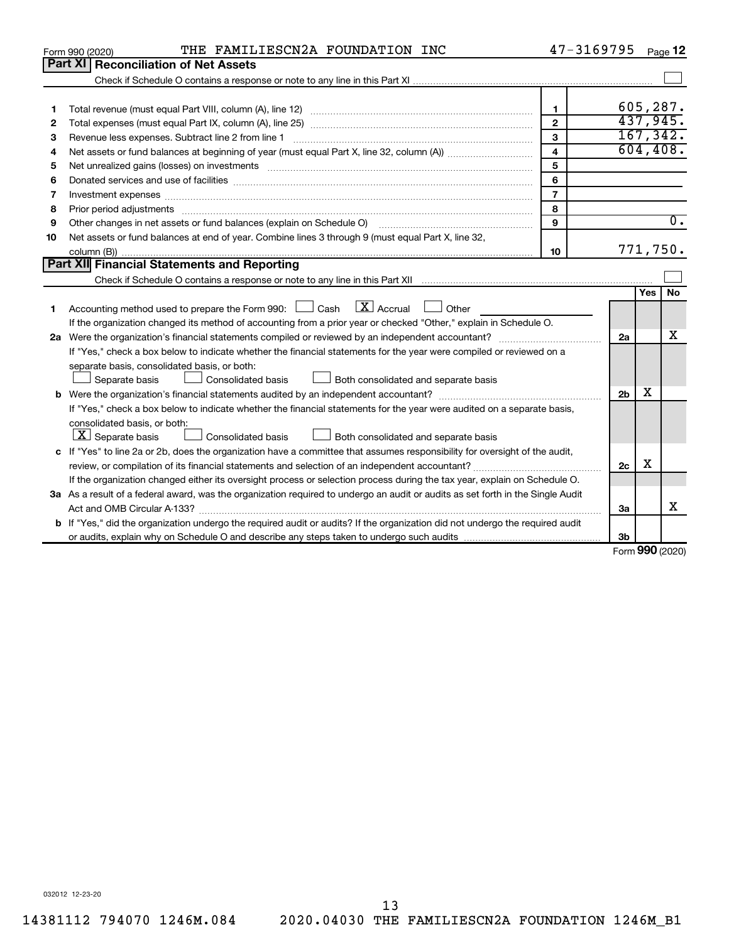|    | THE FAMILIESCN2A FOUNDATION INC<br>Form 990 (2020)                                                                                                                                                                             | 47-3169795     |                |                     | Page 12          |
|----|--------------------------------------------------------------------------------------------------------------------------------------------------------------------------------------------------------------------------------|----------------|----------------|---------------------|------------------|
|    | <b>Part XI Reconciliation of Net Assets</b>                                                                                                                                                                                    |                |                |                     |                  |
|    |                                                                                                                                                                                                                                |                |                |                     |                  |
|    |                                                                                                                                                                                                                                |                |                |                     |                  |
| 1  |                                                                                                                                                                                                                                | $\mathbf{1}$   |                |                     | 605,287.         |
| 2  |                                                                                                                                                                                                                                | $\overline{2}$ |                | 437,945.            |                  |
| 3  | Revenue less expenses. Subtract line 2 from line 1                                                                                                                                                                             | 3              |                |                     | 167, 342.        |
| 4  |                                                                                                                                                                                                                                | 4              |                |                     | 604, 408.        |
| 5  |                                                                                                                                                                                                                                | 5              |                |                     |                  |
| 6  | Donated services and use of facilities [[111] matter contracts and use of facilities [[11] matter contracts and use of facilities [[11] matter contracts and use of facilities [[11] matter contracts and a service contract o | 6              |                |                     |                  |
| 7  |                                                                                                                                                                                                                                | $\overline{7}$ |                |                     |                  |
| 8  | Prior period adjustments [111] manufactured and prior period adjustments [11] manufactured and period adjustments                                                                                                              | 8              |                |                     |                  |
| 9  | Other changes in net assets or fund balances (explain on Schedule O)                                                                                                                                                           | 9              |                |                     | $\overline{0}$ . |
| 10 | Net assets or fund balances at end of year. Combine lines 3 through 9 (must equal Part X, line 32,                                                                                                                             |                |                |                     |                  |
|    |                                                                                                                                                                                                                                | 10             |                | 771,750.            |                  |
|    | Part XII Financial Statements and Reporting                                                                                                                                                                                    |                |                |                     |                  |
|    |                                                                                                                                                                                                                                |                |                |                     |                  |
|    | $\lfloor \mathbf{X} \rfloor$ Accrual                                                                                                                                                                                           |                |                | Yes                 | <b>No</b>        |
| 1  | Accounting method used to prepare the Form 990: [130] Cash<br>$\Box$ Other                                                                                                                                                     |                |                |                     |                  |
|    | If the organization changed its method of accounting from a prior year or checked "Other," explain in Schedule O.                                                                                                              |                |                |                     | x                |
|    |                                                                                                                                                                                                                                |                | 2a             |                     |                  |
|    | If "Yes," check a box below to indicate whether the financial statements for the year were compiled or reviewed on a                                                                                                           |                |                |                     |                  |
|    | separate basis, consolidated basis, or both:                                                                                                                                                                                   |                |                |                     |                  |
|    | Consolidated basis<br>Both consolidated and separate basis<br>Separate basis                                                                                                                                                   |                |                | х                   |                  |
|    |                                                                                                                                                                                                                                |                | 2 <sub>b</sub> |                     |                  |
|    | If "Yes," check a box below to indicate whether the financial statements for the year were audited on a separate basis,                                                                                                        |                |                |                     |                  |
|    | consolidated basis, or both:                                                                                                                                                                                                   |                |                |                     |                  |
|    | $\lfloor x \rfloor$ Separate basis<br>Consolidated basis<br>Both consolidated and separate basis                                                                                                                               |                |                |                     |                  |
|    | c If "Yes" to line 2a or 2b, does the organization have a committee that assumes responsibility for oversight of the audit,                                                                                                    |                |                | х                   |                  |
|    |                                                                                                                                                                                                                                |                | 2 <sub>c</sub> |                     |                  |
|    | If the organization changed either its oversight process or selection process during the tax year, explain on Schedule O.                                                                                                      |                |                |                     |                  |
|    | 3a As a result of a federal award, was the organization required to undergo an audit or audits as set forth in the Single Audit                                                                                                |                |                |                     |                  |
|    |                                                                                                                                                                                                                                |                | 3a             |                     | х                |
|    | <b>b</b> If "Yes," did the organization undergo the required audit or audits? If the organization did not undergo the required audit                                                                                           |                |                |                     |                  |
|    |                                                                                                                                                                                                                                |                | 3b             | $000 \text{ hours}$ |                  |

Form 990 (2020)

032012 12-23-20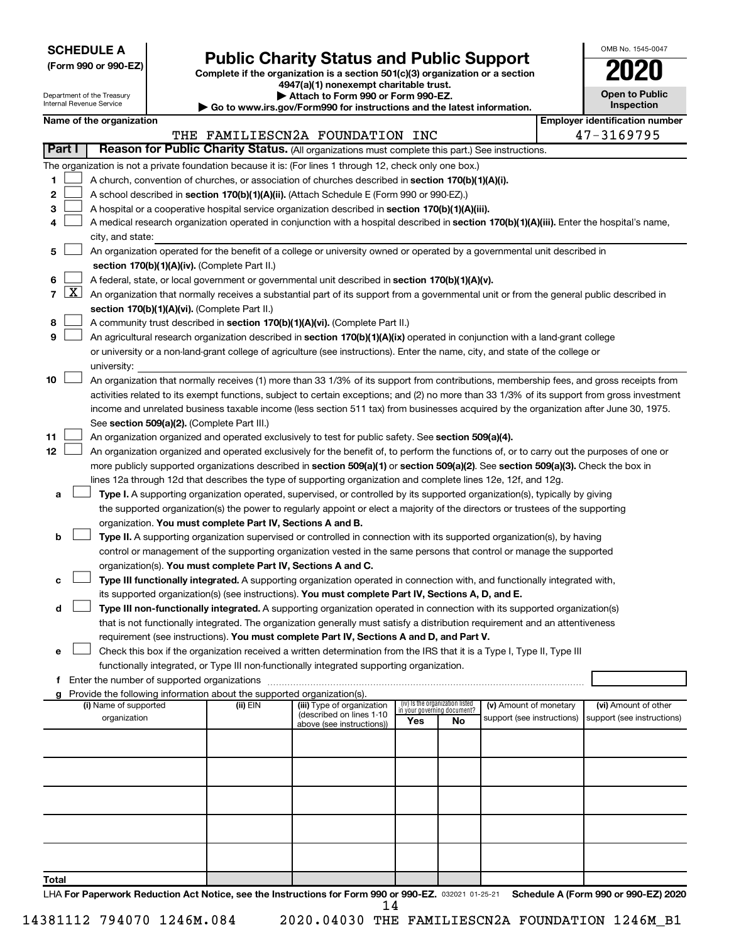| <b>SCHEDULE A</b> |  |
|-------------------|--|
|-------------------|--|

|  |  |  |  |  | (Form 990 or 990-EZ) |  |
|--|--|--|--|--|----------------------|--|
|--|--|--|--|--|----------------------|--|

## **Public Charity Status and Public Support**

Complete if the organization is a section 501(c)(3) organization or a section

4947(a)(1) nonexempt charitable trust.

| OMB No. 1545-0047                   |
|-------------------------------------|
| 2020                                |
| <b>Open to Public</b><br>Inspection |

|       |              | Department of the Treasury<br>Internal Revenue Service |                                               |                                                                        | ▶ Attach to Form 990 or Form 990-EZ.<br>$\blacktriangleright$ Go to www.irs.gov/Form990 for instructions and the latest information.                                                                                                                                                     |                                    |    |                            | Open to Fublic<br>Inspection          |
|-------|--------------|--------------------------------------------------------|-----------------------------------------------|------------------------------------------------------------------------|------------------------------------------------------------------------------------------------------------------------------------------------------------------------------------------------------------------------------------------------------------------------------------------|------------------------------------|----|----------------------------|---------------------------------------|
|       |              | Name of the organization                               |                                               |                                                                        |                                                                                                                                                                                                                                                                                          |                                    |    |                            | <b>Employer identification number</b> |
|       |              |                                                        |                                               |                                                                        | THE FAMILIESCN2A FOUNDATION INC                                                                                                                                                                                                                                                          |                                    |    |                            | 47-3169795                            |
|       | Part I       |                                                        |                                               |                                                                        | Reason for Public Charity Status. (All organizations must complete this part.) See instructions.                                                                                                                                                                                         |                                    |    |                            |                                       |
|       |              |                                                        |                                               |                                                                        | The organization is not a private foundation because it is: (For lines 1 through 12, check only one box.)                                                                                                                                                                                |                                    |    |                            |                                       |
| 1     |              |                                                        |                                               |                                                                        | A church, convention of churches, or association of churches described in section 170(b)(1)(A)(i).                                                                                                                                                                                       |                                    |    |                            |                                       |
| 2     |              |                                                        |                                               |                                                                        | A school described in section 170(b)(1)(A)(ii). (Attach Schedule E (Form 990 or 990-EZ).)                                                                                                                                                                                                |                                    |    |                            |                                       |
| 3     |              |                                                        |                                               |                                                                        | A hospital or a cooperative hospital service organization described in section 170(b)(1)(A)(iii).                                                                                                                                                                                        |                                    |    |                            |                                       |
| 4     |              |                                                        |                                               |                                                                        | A medical research organization operated in conjunction with a hospital described in section 170(b)(1)(A)(iii). Enter the hospital's name,                                                                                                                                               |                                    |    |                            |                                       |
|       |              | city, and state:                                       |                                               |                                                                        |                                                                                                                                                                                                                                                                                          |                                    |    |                            |                                       |
| 5     |              |                                                        |                                               |                                                                        | An organization operated for the benefit of a college or university owned or operated by a governmental unit described in                                                                                                                                                                |                                    |    |                            |                                       |
|       |              |                                                        |                                               | section 170(b)(1)(A)(iv). (Complete Part II.)                          |                                                                                                                                                                                                                                                                                          |                                    |    |                            |                                       |
| 6     |              |                                                        |                                               |                                                                        | A federal, state, or local government or governmental unit described in section $170(b)(1)(A)(v)$ .                                                                                                                                                                                      |                                    |    |                            |                                       |
| 7     | $\mathbf{X}$ |                                                        |                                               |                                                                        | An organization that normally receives a substantial part of its support from a governmental unit or from the general public described in                                                                                                                                                |                                    |    |                            |                                       |
|       |              |                                                        |                                               | section 170(b)(1)(A)(vi). (Complete Part II.)                          |                                                                                                                                                                                                                                                                                          |                                    |    |                            |                                       |
| 8     |              |                                                        |                                               |                                                                        | A community trust described in section 170(b)(1)(A)(vi). (Complete Part II.)                                                                                                                                                                                                             |                                    |    |                            |                                       |
| 9     |              |                                                        |                                               |                                                                        | An agricultural research organization described in section 170(b)(1)(A)(ix) operated in conjunction with a land-grant college                                                                                                                                                            |                                    |    |                            |                                       |
|       |              |                                                        |                                               |                                                                        | or university or a non-land-grant college of agriculture (see instructions). Enter the name, city, and state of the college or                                                                                                                                                           |                                    |    |                            |                                       |
|       |              | university:                                            |                                               |                                                                        |                                                                                                                                                                                                                                                                                          |                                    |    |                            |                                       |
| 10    |              |                                                        |                                               |                                                                        | An organization that normally receives (1) more than 33 1/3% of its support from contributions, membership fees, and gross receipts from<br>activities related to its exempt functions, subject to certain exceptions; and (2) no more than 33 1/3% of its support from gross investment |                                    |    |                            |                                       |
|       |              |                                                        |                                               |                                                                        | income and unrelated business taxable income (less section 511 tax) from businesses acquired by the organization after June 30, 1975.                                                                                                                                                    |                                    |    |                            |                                       |
|       |              |                                                        |                                               | See section 509(a)(2). (Complete Part III.)                            |                                                                                                                                                                                                                                                                                          |                                    |    |                            |                                       |
| 11    |              |                                                        |                                               |                                                                        | An organization organized and operated exclusively to test for public safety. See section 509(a)(4).                                                                                                                                                                                     |                                    |    |                            |                                       |
| 12    |              |                                                        |                                               |                                                                        | An organization organized and operated exclusively for the benefit of, to perform the functions of, or to carry out the purposes of one or                                                                                                                                               |                                    |    |                            |                                       |
|       |              |                                                        |                                               |                                                                        | more publicly supported organizations described in section 509(a)(1) or section 509(a)(2). See section 509(a)(3). Check the box in                                                                                                                                                       |                                    |    |                            |                                       |
|       |              |                                                        |                                               |                                                                        | lines 12a through 12d that describes the type of supporting organization and complete lines 12e, 12f, and 12g.                                                                                                                                                                           |                                    |    |                            |                                       |
| a     |              |                                                        |                                               |                                                                        | Type I. A supporting organization operated, supervised, or controlled by its supported organization(s), typically by giving                                                                                                                                                              |                                    |    |                            |                                       |
|       |              |                                                        |                                               |                                                                        | the supported organization(s) the power to regularly appoint or elect a majority of the directors or trustees of the supporting                                                                                                                                                          |                                    |    |                            |                                       |
|       |              |                                                        |                                               | organization. You must complete Part IV, Sections A and B.             |                                                                                                                                                                                                                                                                                          |                                    |    |                            |                                       |
| b     |              |                                                        |                                               |                                                                        | Type II. A supporting organization supervised or controlled in connection with its supported organization(s), by having                                                                                                                                                                  |                                    |    |                            |                                       |
|       |              |                                                        |                                               |                                                                        | control or management of the supporting organization vested in the same persons that control or manage the supported                                                                                                                                                                     |                                    |    |                            |                                       |
|       |              |                                                        |                                               | organization(s). You must complete Part IV, Sections A and C.          |                                                                                                                                                                                                                                                                                          |                                    |    |                            |                                       |
| с     |              |                                                        |                                               |                                                                        | Type III functionally integrated. A supporting organization operated in connection with, and functionally integrated with,                                                                                                                                                               |                                    |    |                            |                                       |
|       |              |                                                        |                                               |                                                                        | its supported organization(s) (see instructions). You must complete Part IV, Sections A, D, and E.                                                                                                                                                                                       |                                    |    |                            |                                       |
| d     |              |                                                        |                                               |                                                                        | Type III non-functionally integrated. A supporting organization operated in connection with its supported organization(s)                                                                                                                                                                |                                    |    |                            |                                       |
|       |              |                                                        |                                               |                                                                        | that is not functionally integrated. The organization generally must satisfy a distribution requirement and an attentiveness                                                                                                                                                             |                                    |    |                            |                                       |
|       |              |                                                        |                                               |                                                                        | requirement (see instructions). You must complete Part IV, Sections A and D, and Part V.                                                                                                                                                                                                 |                                    |    |                            |                                       |
| е     |              |                                                        |                                               |                                                                        | Check this box if the organization received a written determination from the IRS that it is a Type I, Type II, Type III                                                                                                                                                                  |                                    |    |                            |                                       |
|       |              |                                                        |                                               |                                                                        | functionally integrated, or Type III non-functionally integrated supporting organization.                                                                                                                                                                                                |                                    |    |                            |                                       |
|       |              |                                                        | f Enter the number of supported organizations | Provide the following information about the supported organization(s). |                                                                                                                                                                                                                                                                                          |                                    |    |                            |                                       |
| g     |              | (i) Name of supported                                  |                                               | (ii) EIN                                                               | (iii) Type of organization                                                                                                                                                                                                                                                               | (iv) Is the organization listed    |    | (v) Amount of monetary     | (vi) Amount of other                  |
|       |              | organization                                           |                                               |                                                                        | (described on lines 1-10                                                                                                                                                                                                                                                                 | in your governing document?<br>Yes | No | support (see instructions) | support (see instructions)            |
|       |              |                                                        |                                               |                                                                        | above (see instructions))                                                                                                                                                                                                                                                                |                                    |    |                            |                                       |
|       |              |                                                        |                                               |                                                                        |                                                                                                                                                                                                                                                                                          |                                    |    |                            |                                       |
|       |              |                                                        |                                               |                                                                        |                                                                                                                                                                                                                                                                                          |                                    |    |                            |                                       |
|       |              |                                                        |                                               |                                                                        |                                                                                                                                                                                                                                                                                          |                                    |    |                            |                                       |
|       |              |                                                        |                                               |                                                                        |                                                                                                                                                                                                                                                                                          |                                    |    |                            |                                       |
|       |              |                                                        |                                               |                                                                        |                                                                                                                                                                                                                                                                                          |                                    |    |                            |                                       |
|       |              |                                                        |                                               |                                                                        |                                                                                                                                                                                                                                                                                          |                                    |    |                            |                                       |
|       |              |                                                        |                                               |                                                                        |                                                                                                                                                                                                                                                                                          |                                    |    |                            |                                       |
|       |              |                                                        |                                               |                                                                        |                                                                                                                                                                                                                                                                                          |                                    |    |                            |                                       |
|       |              |                                                        |                                               |                                                                        |                                                                                                                                                                                                                                                                                          |                                    |    |                            |                                       |
| Total |              |                                                        |                                               |                                                                        |                                                                                                                                                                                                                                                                                          |                                    |    |                            |                                       |

LHA For Paperwork Reduction Act Notice, see the Instructions for Form 990 or 990-EZ. 032021 01-25-21 Schedule A (Form 990 or 990-EZ) 2020 14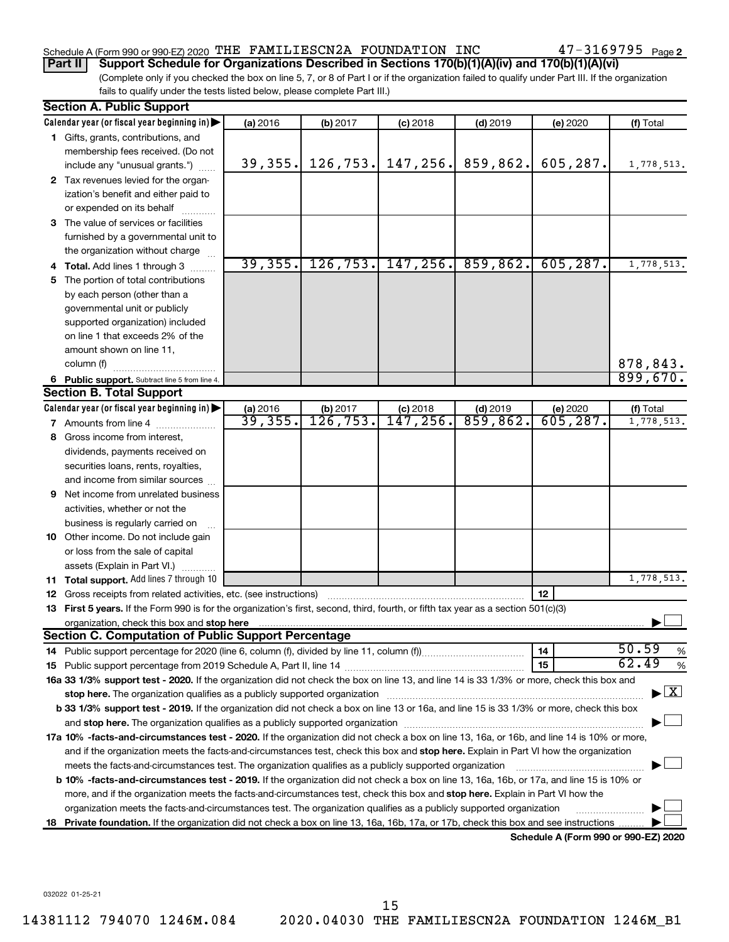### Schedule A (Form 990 or 990-EZ) 2020 THE FAMILIESCN2A FOUNDATION INC

Part II | Support Schedule for Organizations Described in Sections 170(b)(1)(A)(iv) and 170(b)(1)(A)(vi)

(Complete only if you checked the box on line 5, 7, or 8 of Part I or if the organization failed to qualify under Part III. If the organization fails to qualify under the tests listed below, please complete Part III.)

|    | Section A. Public Support                                                                                                                      |          |           |                       |            |                                      |                                          |  |  |  |  |
|----|------------------------------------------------------------------------------------------------------------------------------------------------|----------|-----------|-----------------------|------------|--------------------------------------|------------------------------------------|--|--|--|--|
|    | Calendar year (or fiscal year beginning in)                                                                                                    | (a) 2016 | (b) 2017  | $(c)$ 2018            | $(d)$ 2019 | (e) 2020                             | (f) Total                                |  |  |  |  |
|    | 1 Gifts, grants, contributions, and                                                                                                            |          |           |                       |            |                                      |                                          |  |  |  |  |
|    | membership fees received. (Do not                                                                                                              |          |           |                       |            |                                      |                                          |  |  |  |  |
|    | include any "unusual grants.")                                                                                                                 | 39, 355. |           | $126, 753.$ 147, 256. | 859,862.   | 605, 287.                            | 1,778,513.                               |  |  |  |  |
|    | 2 Tax revenues levied for the organ-                                                                                                           |          |           |                       |            |                                      |                                          |  |  |  |  |
|    | ization's benefit and either paid to                                                                                                           |          |           |                       |            |                                      |                                          |  |  |  |  |
|    | or expended on its behalf                                                                                                                      |          |           |                       |            |                                      |                                          |  |  |  |  |
|    | 3 The value of services or facilities                                                                                                          |          |           |                       |            |                                      |                                          |  |  |  |  |
|    | furnished by a governmental unit to                                                                                                            |          |           |                       |            |                                      |                                          |  |  |  |  |
|    | the organization without charge                                                                                                                |          |           |                       |            |                                      |                                          |  |  |  |  |
|    | 4 Total. Add lines 1 through 3                                                                                                                 | 39, 355. | 126, 753. | 147, 256.             | 859,862.   | 605, 287.                            | 1,778,513.                               |  |  |  |  |
| 5. | The portion of total contributions                                                                                                             |          |           |                       |            |                                      |                                          |  |  |  |  |
|    | by each person (other than a                                                                                                                   |          |           |                       |            |                                      |                                          |  |  |  |  |
|    | governmental unit or publicly                                                                                                                  |          |           |                       |            |                                      |                                          |  |  |  |  |
|    | supported organization) included                                                                                                               |          |           |                       |            |                                      |                                          |  |  |  |  |
|    | on line 1 that exceeds 2% of the                                                                                                               |          |           |                       |            |                                      |                                          |  |  |  |  |
|    | amount shown on line 11,                                                                                                                       |          |           |                       |            |                                      |                                          |  |  |  |  |
|    | column (f)                                                                                                                                     |          |           |                       |            |                                      | 878,843.                                 |  |  |  |  |
|    | 6 Public support. Subtract line 5 from line 4.                                                                                                 |          |           |                       |            |                                      | 899,670.                                 |  |  |  |  |
|    | <b>Section B. Total Support</b>                                                                                                                |          |           |                       |            |                                      |                                          |  |  |  |  |
|    | Calendar year (or fiscal year beginning in)                                                                                                    | (a) 2016 | (b) 2017  | $(c)$ 2018            | $(d)$ 2019 | (e) 2020                             | (f) Total                                |  |  |  |  |
|    | 7 Amounts from line 4                                                                                                                          | 39,355.  | 126, 753. | 147, 256.             | 859, 862.  | 605, 287.                            | 1,778,513.                               |  |  |  |  |
| 8  | Gross income from interest,                                                                                                                    |          |           |                       |            |                                      |                                          |  |  |  |  |
|    | dividends, payments received on                                                                                                                |          |           |                       |            |                                      |                                          |  |  |  |  |
|    | securities loans, rents, royalties,                                                                                                            |          |           |                       |            |                                      |                                          |  |  |  |  |
|    | and income from similar sources                                                                                                                |          |           |                       |            |                                      |                                          |  |  |  |  |
| 9  | Net income from unrelated business                                                                                                             |          |           |                       |            |                                      |                                          |  |  |  |  |
|    | activities, whether or not the                                                                                                                 |          |           |                       |            |                                      |                                          |  |  |  |  |
|    | business is regularly carried on                                                                                                               |          |           |                       |            |                                      |                                          |  |  |  |  |
|    | 10 Other income. Do not include gain                                                                                                           |          |           |                       |            |                                      |                                          |  |  |  |  |
|    | or loss from the sale of capital                                                                                                               |          |           |                       |            |                                      |                                          |  |  |  |  |
|    | assets (Explain in Part VI.)                                                                                                                   |          |           |                       |            |                                      |                                          |  |  |  |  |
|    | 11 Total support. Add lines 7 through 10                                                                                                       |          |           |                       |            |                                      | 1,778,513.                               |  |  |  |  |
|    | 12 Gross receipts from related activities, etc. (see instructions)                                                                             |          |           |                       |            | 12                                   |                                          |  |  |  |  |
|    | 13 First 5 years. If the Form 990 is for the organization's first, second, third, fourth, or fifth tax year as a section 501(c)(3)             |          |           |                       |            |                                      |                                          |  |  |  |  |
|    | organization, check this box and stop here                                                                                                     |          |           |                       |            |                                      |                                          |  |  |  |  |
|    | <b>Section C. Computation of Public Support Percentage</b>                                                                                     |          |           |                       |            |                                      |                                          |  |  |  |  |
|    |                                                                                                                                                |          |           |                       |            | 14                                   | 50.59<br>%                               |  |  |  |  |
|    |                                                                                                                                                |          |           |                       |            | 15                                   | 62.49<br>%                               |  |  |  |  |
|    | 16a 33 1/3% support test - 2020. If the organization did not check the box on line 13, and line 14 is 33 1/3% or more, check this box and      |          |           |                       |            |                                      |                                          |  |  |  |  |
|    |                                                                                                                                                |          |           |                       |            |                                      | $\blacktriangleright$ $\boxed{\text{X}}$ |  |  |  |  |
|    | b 33 1/3% support test - 2019. If the organization did not check a box on line 13 or 16a, and line 15 is 33 1/3% or more, check this box       |          |           |                       |            |                                      |                                          |  |  |  |  |
|    |                                                                                                                                                |          |           |                       |            |                                      |                                          |  |  |  |  |
|    | 17a 10% -facts-and-circumstances test - 2020. If the organization did not check a box on line 13, 16a, or 16b, and line 14 is 10% or more,     |          |           |                       |            |                                      |                                          |  |  |  |  |
|    | and if the organization meets the facts-and-circumstances test, check this box and stop here. Explain in Part VI how the organization          |          |           |                       |            |                                      |                                          |  |  |  |  |
|    | meets the facts-and-circumstances test. The organization qualifies as a publicly supported organization                                        |          |           |                       |            |                                      |                                          |  |  |  |  |
|    | <b>b 10% -facts-and-circumstances test - 2019.</b> If the organization did not check a box on line 13, 16a, 16b, or 17a, and line 15 is 10% or |          |           |                       |            |                                      |                                          |  |  |  |  |
|    | more, and if the organization meets the facts-and-circumstances test, check this box and stop here. Explain in Part VI how the                 |          |           |                       |            |                                      |                                          |  |  |  |  |
|    | organization meets the facts-and-circumstances test. The organization qualifies as a publicly supported organization                           |          |           |                       |            |                                      |                                          |  |  |  |  |
| 18 | Private foundation. If the organization did not check a box on line 13, 16a, 16b, 17a, or 17b, check this box and see instructions             |          |           |                       |            |                                      |                                          |  |  |  |  |
|    |                                                                                                                                                |          |           |                       |            | Schedule A (Form 990 or 990-EZ) 2020 |                                          |  |  |  |  |

032022 01-25-21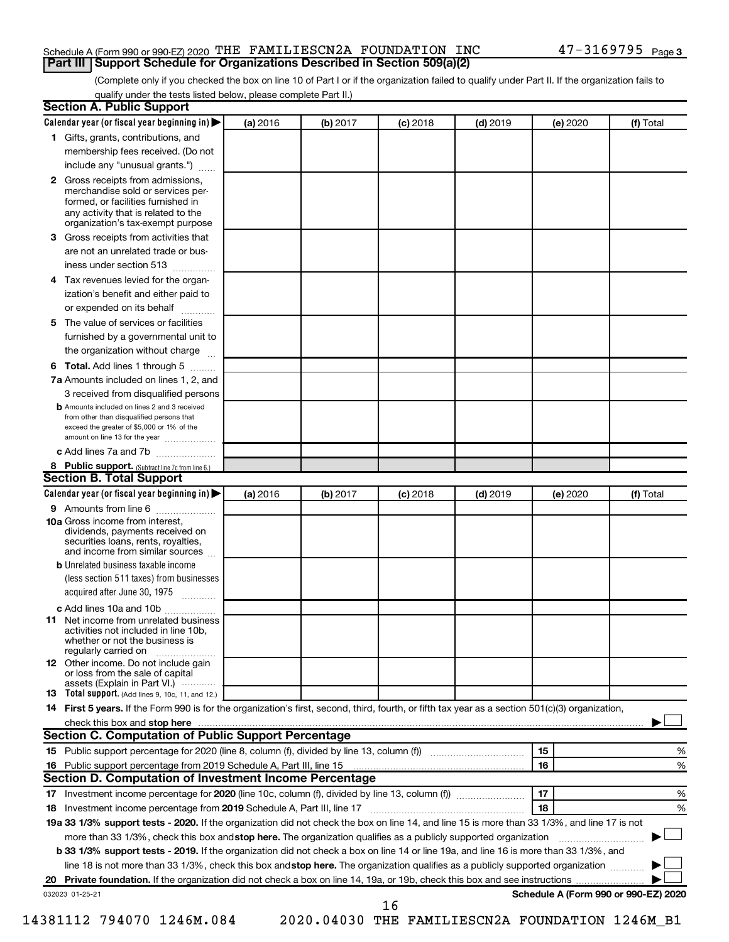### Schedule A (Form 990 or 990-EZ) 2020 THE FAMILIESCN2A FOUNDATION INC **Part III | Support Schedule for Organizations Described in Section 509(a)(2)**

(Complete only if you checked the box on line 10 of Part I or if the organization failed to qualify under Part II. If the organization fails to qualify under the tests listed below, please complete Part II.)

| Section A. Public Support                                                                                                                                                                |          |          |            |            |          |                                      |
|------------------------------------------------------------------------------------------------------------------------------------------------------------------------------------------|----------|----------|------------|------------|----------|--------------------------------------|
| Calendar year (or fiscal year beginning in)                                                                                                                                              | (a) 2016 | (b) 2017 | $(c)$ 2018 | $(d)$ 2019 | (e) 2020 | (f) Total                            |
| 1 Gifts, grants, contributions, and                                                                                                                                                      |          |          |            |            |          |                                      |
| membership fees received. (Do not                                                                                                                                                        |          |          |            |            |          |                                      |
| include any "unusual grants.")                                                                                                                                                           |          |          |            |            |          |                                      |
| 2 Gross receipts from admissions,<br>merchandise sold or services per-<br>formed, or facilities furnished in<br>any activity that is related to the<br>organization's tax-exempt purpose |          |          |            |            |          |                                      |
| Gross receipts from activities that<br>3                                                                                                                                                 |          |          |            |            |          |                                      |
| are not an unrelated trade or bus-                                                                                                                                                       |          |          |            |            |          |                                      |
| iness under section 513                                                                                                                                                                  |          |          |            |            |          |                                      |
| 4 Tax revenues levied for the organ-                                                                                                                                                     |          |          |            |            |          |                                      |
| ization's benefit and either paid to                                                                                                                                                     |          |          |            |            |          |                                      |
| or expended on its behalf<br>1.1.1.1.1.1.1.1.1                                                                                                                                           |          |          |            |            |          |                                      |
| 5 The value of services or facilities                                                                                                                                                    |          |          |            |            |          |                                      |
| furnished by a governmental unit to                                                                                                                                                      |          |          |            |            |          |                                      |
| the organization without charge                                                                                                                                                          |          |          |            |            |          |                                      |
| <b>6 Total.</b> Add lines 1 through 5                                                                                                                                                    |          |          |            |            |          |                                      |
| 7a Amounts included on lines 1, 2, and                                                                                                                                                   |          |          |            |            |          |                                      |
| 3 received from disqualified persons                                                                                                                                                     |          |          |            |            |          |                                      |
| <b>b</b> Amounts included on lines 2 and 3 received<br>from other than disqualified persons that<br>exceed the greater of \$5,000 or 1% of the<br>amount on line 13 for the year         |          |          |            |            |          |                                      |
| c Add lines 7a and 7b                                                                                                                                                                    |          |          |            |            |          |                                      |
| 8 Public support. (Subtract line 7c from line 6.)                                                                                                                                        |          |          |            |            |          |                                      |
| <b>Section B. Total Support</b>                                                                                                                                                          |          |          |            |            |          |                                      |
| Calendar year (or fiscal year beginning in)                                                                                                                                              | (a) 2016 | (b) 2017 | $(c)$ 2018 | $(d)$ 2019 | (e) 2020 | (f) Total                            |
| 9 Amounts from line 6                                                                                                                                                                    |          |          |            |            |          |                                      |
| <b>10a</b> Gross income from interest,<br>dividends, payments received on<br>securities loans, rents, royalties,<br>and income from similar sources                                      |          |          |            |            |          |                                      |
| <b>b</b> Unrelated business taxable income<br>(less section 511 taxes) from businesses<br>acquired after June 30, 1975<br>1.1.1.1.1.1.1.1.1.1                                            |          |          |            |            |          |                                      |
| c Add lines 10a and 10b                                                                                                                                                                  |          |          |            |            |          |                                      |
| <b>11</b> Net income from unrelated business<br>activities not included in line 10b,<br>whether or not the business is<br>regularly carried on                                           |          |          |            |            |          |                                      |
| 12 Other income. Do not include gain<br>or loss from the sale of capital                                                                                                                 |          |          |            |            |          |                                      |
| assets (Explain in Part VI.)<br>13 Total support. (Add lines 9, 10c, 11, and 12.)                                                                                                        |          |          |            |            |          |                                      |
| 14 First 5 years. If the Form 990 is for the organization's first, second, third, fourth, or fifth tax year as a section 501(c)(3) organization,                                         |          |          |            |            |          |                                      |
| check this box and stop here                                                                                                                                                             |          |          |            |            |          |                                      |
| <b>Section C. Computation of Public Support Percentage</b>                                                                                                                               |          |          |            |            |          |                                      |
|                                                                                                                                                                                          |          |          |            |            | 15       | %                                    |
| 16 Public support percentage from 2019 Schedule A, Part III, line 15                                                                                                                     |          |          |            |            | 16       | %                                    |
| Section D. Computation of Investment Income Percentage                                                                                                                                   |          |          |            |            |          |                                      |
|                                                                                                                                                                                          |          |          |            |            | 17       | %                                    |
| 18 Investment income percentage from 2019 Schedule A, Part III, line 17                                                                                                                  |          |          |            |            | 18       | %                                    |
| 19a 33 1/3% support tests - 2020. If the organization did not check the box on line 14, and line 15 is more than 33 1/3%, and line 17 is not                                             |          |          |            |            |          |                                      |
| more than 33 1/3%, check this box and stop here. The organization qualifies as a publicly supported organization                                                                         |          |          |            |            |          |                                      |
| b 33 1/3% support tests - 2019. If the organization did not check a box on line 14 or line 19a, and line 16 is more than 33 1/3%, and                                                    |          |          |            |            |          |                                      |
| line 18 is not more than 33 1/3%, check this box and stop here. The organization qualifies as a publicly supported organization                                                          |          |          |            |            |          |                                      |
| 20 Private foundation. If the organization did not check a box on line 14, 19a, or 19b, check this box and see instructions                                                              |          |          |            |            |          |                                      |
| 032023 01-25-21                                                                                                                                                                          |          |          |            |            |          | Schedule A (Form 990 or 990-EZ) 2020 |
|                                                                                                                                                                                          |          |          | 16         |            |          |                                      |

14381112 794070 1246M.084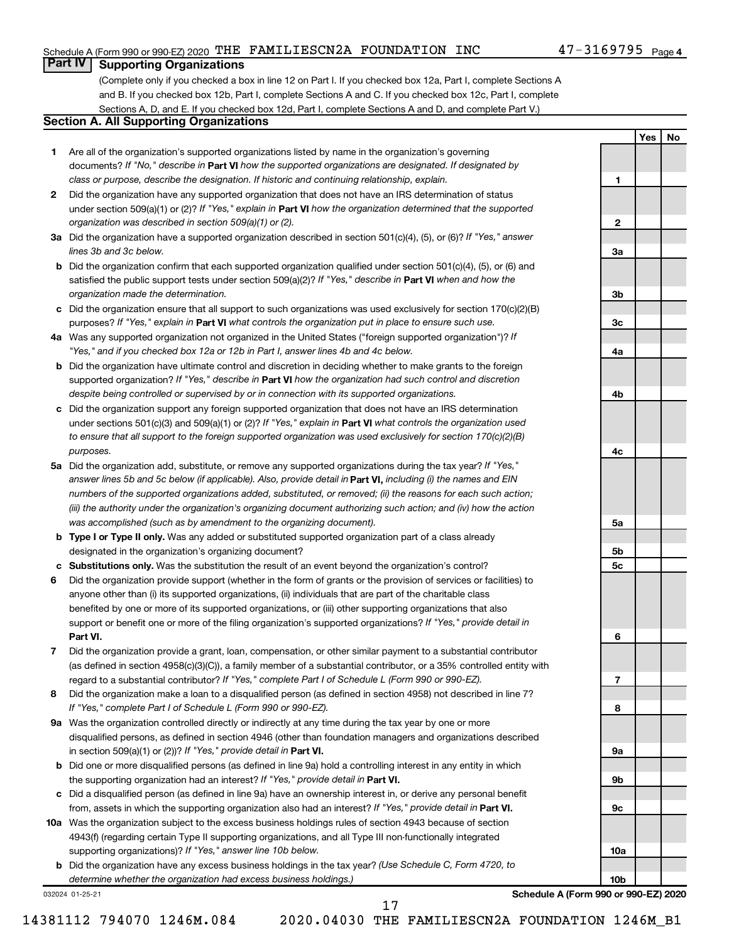### Schedule A (Form 990 or 990-EZ) 2020 THE FAMILIESCN2A FOUNDATION INC

 $\blacksquare$ 

 $\overline{2}$ 

3a

3b

3c

4a

4b

4c

 $5a$ 

5<sub>b</sub>

5c

6

 $\overline{7}$ 

8

9a

9b

 $9c$ 

 $10a$ 

 $10<sub>b</sub>$ 

Yes

**No** 

### **Part IV Supporting Organizations**

(Complete only if you checked a box in line 12 on Part I. If you checked box 12a, Part I, complete Sections A and B. If you checked box 12b, Part I, complete Sections A and C. If you checked box 12c, Part I, complete Sections A, D, and E. If you checked box 12d, Part I, complete Sections A and D, and complete Part V.)

### **Section A. All Supporting Organizations**

- 1 Are all of the organization's supported organizations listed by name in the organization's governing documents? If "No." describe in Part VI how the supported organizations are designated. If designated by class or purpose, describe the designation. If historic and continuing relationship, explain.
- 2 Did the organization have any supported organization that does not have an IRS determination of status under section 509(a)(1) or (2)? If "Yes," explain in Part VI how the organization determined that the supported organization was described in section 509(a)(1) or (2).
- 3a Did the organization have a supported organization described in section  $501(c)(4)$ , (5), or (6)? If "Yes," answer lines 3b and 3c below.
- **b** Did the organization confirm that each supported organization qualified under section  $501(c)(4)$ , (5), or (6) and satisfied the public support tests under section 509(a)(2)? If "Yes," describe in Part VI when and how the organization made the determination.
- c Did the organization ensure that all support to such organizations was used exclusively for section 170(c)(2)(B) purposes? If "Yes," explain in Part VI what controls the organization put in place to ensure such use.
- 4a Was any supported organization not organized in the United States ("foreign supported organization")? If "Yes," and if you checked box 12a or 12b in Part I, answer lines 4b and 4c below.
- **b** Did the organization have ultimate control and discretion in deciding whether to make grants to the foreign supported organization? If "Yes," describe in Part VI how the organization had such control and discretion despite being controlled or supervised by or in connection with its supported organizations.
- c Did the organization support any foreign supported organization that does not have an IRS determination under sections 501(c)(3) and 509(a)(1) or (2)? If "Yes," explain in Part VI what controls the organization used to ensure that all support to the foreign supported organization was used exclusively for section 170(c)(2)(B) purposes.
- 5a Did the organization add, substitute, or remove any supported organizations during the tax year? If "Yes," answer lines 5b and 5c below (if applicable). Also, provide detail in **Part VI,** including (i) the names and EIN numbers of the supported organizations added, substituted, or removed; (ii) the reasons for each such action; (iii) the authority under the organization's organizing document authorizing such action; and (iv) how the action was accomplished (such as by amendment to the organizing document).
- **b** Type I or Type II only. Was any added or substituted supported organization part of a class already designated in the organization's organizing document?
- c Substitutions only. Was the substitution the result of an event beyond the organization's control?
- 6 Did the organization provide support (whether in the form of grants or the provision of services or facilities) to anyone other than (i) its supported organizations, (ii) individuals that are part of the charitable class benefited by one or more of its supported organizations, or (iii) other supporting organizations that also support or benefit one or more of the filing organization's supported organizations? If "Yes," provide detail in Part VI.
- 7 Did the organization provide a grant, loan, compensation, or other similar payment to a substantial contributor (as defined in section 4958(c)(3)(C)), a family member of a substantial contributor, or a 35% controlled entity with regard to a substantial contributor? If "Yes," complete Part I of Schedule L (Form 990 or 990-EZ).
- 8 Did the organization make a loan to a disqualified person (as defined in section 4958) not described in line 7? If "Yes," complete Part I of Schedule L (Form 990 or 990-EZ).
- 9a Was the organization controlled directly or indirectly at any time during the tax year by one or more disqualified persons, as defined in section 4946 (other than foundation managers and organizations described in section 509(a)(1) or (2))? If "Yes," provide detail in Part VI.
- **b** Did one or more disqualified persons (as defined in line 9a) hold a controlling interest in any entity in which the supporting organization had an interest? If "Yes," provide detail in Part VI.
- c Did a disqualified person (as defined in line 9a) have an ownership interest in, or derive any personal benefit from, assets in which the supporting organization also had an interest? If "Yes," provide detail in Part VI.
- 10a Was the organization subject to the excess business holdings rules of section 4943 because of section 4943(f) (regarding certain Type II supporting organizations, and all Type III non-functionally integrated supporting organizations)? If "Yes," answer line 10b below.
	- b Did the organization have any excess business holdings in the tax year? (Use Schedule C, Form 4720, to determine whether the organization had excess business holdings.)

032024 01-25-21

Schedule A (Form 990 or 990-EZ) 2020

14381112 794070 1246M.084

2020.04030 THE FAMILIESCN2A FOUNDATION 1246M\_B1

17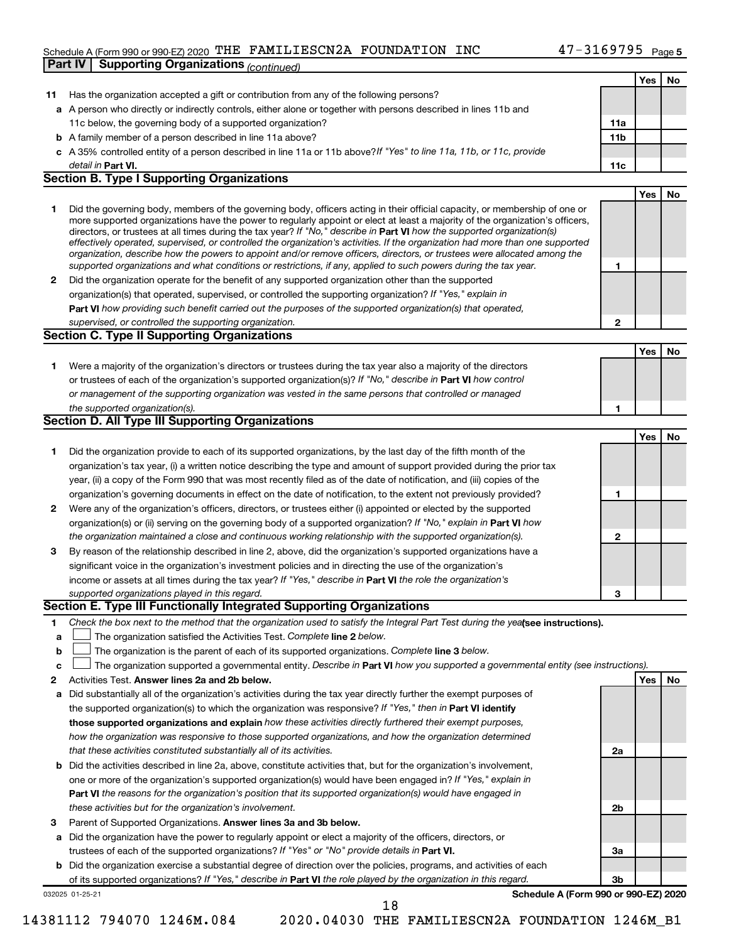# Schedule A (Form 990 or 990-EZ) 2020 THE FAMILIESCN2A FOUNDATION INC

|    | Part IV   Supporting Organizations (continued)                                                                                                                                                                                               |                 |            |    |
|----|----------------------------------------------------------------------------------------------------------------------------------------------------------------------------------------------------------------------------------------------|-----------------|------------|----|
|    |                                                                                                                                                                                                                                              |                 | <b>Yes</b> | No |
| 11 | Has the organization accepted a gift or contribution from any of the following persons?                                                                                                                                                      |                 |            |    |
|    | a A person who directly or indirectly controls, either alone or together with persons described in lines 11b and                                                                                                                             |                 |            |    |
|    | 11c below, the governing body of a supported organization?                                                                                                                                                                                   | 11a             |            |    |
|    | <b>b</b> A family member of a person described in line 11a above?                                                                                                                                                                            | 11 <sub>b</sub> |            |    |
|    | c A 35% controlled entity of a person described in line 11a or 11b above? If "Yes" to line 11a, 11b, or 11c, provide                                                                                                                         |                 |            |    |
|    | detail in Part VI.                                                                                                                                                                                                                           | 11c             |            |    |
|    | <b>Section B. Type I Supporting Organizations</b>                                                                                                                                                                                            |                 |            |    |
|    |                                                                                                                                                                                                                                              |                 | Yes        | No |
| 1  | Did the governing body, members of the governing body, officers acting in their official capacity, or membership of one or                                                                                                                   |                 |            |    |
|    | more supported organizations have the power to regularly appoint or elect at least a majority of the organization's officers,                                                                                                                |                 |            |    |
|    | directors, or trustees at all times during the tax year? If "No," describe in Part VI how the supported organization(s)                                                                                                                      |                 |            |    |
|    | effectively operated, supervised, or controlled the organization's activities. If the organization had more than one supported                                                                                                               |                 |            |    |
|    | organization, describe how the powers to appoint and/or remove officers, directors, or trustees were allocated among the<br>supported organizations and what conditions or restrictions, if any, applied to such powers during the tax year. | 1               |            |    |
| 2  | Did the organization operate for the benefit of any supported organization other than the supported                                                                                                                                          |                 |            |    |
|    | organization(s) that operated, supervised, or controlled the supporting organization? If "Yes," explain in                                                                                                                                   |                 |            |    |
|    | Part VI how providing such benefit carried out the purposes of the supported organization(s) that operated,                                                                                                                                  |                 |            |    |
|    | supervised, or controlled the supporting organization.                                                                                                                                                                                       | $\mathbf{2}$    |            |    |
|    | Section C. Type II Supporting Organizations                                                                                                                                                                                                  |                 |            |    |
|    |                                                                                                                                                                                                                                              |                 | <b>Yes</b> | No |
| 1  |                                                                                                                                                                                                                                              |                 |            |    |
|    | Were a majority of the organization's directors or trustees during the tax year also a majority of the directors<br>or trustees of each of the organization's supported organization(s)? If "No," describe in Part VI how control            |                 |            |    |
|    | or management of the supporting organization was vested in the same persons that controlled or managed                                                                                                                                       |                 |            |    |
|    | the supported organization(s).                                                                                                                                                                                                               | 1               |            |    |
|    | <b>Section D. All Type III Supporting Organizations</b>                                                                                                                                                                                      |                 |            |    |
|    |                                                                                                                                                                                                                                              |                 |            |    |
|    |                                                                                                                                                                                                                                              |                 | <b>Yes</b> | No |
| 1  | Did the organization provide to each of its supported organizations, by the last day of the fifth month of the                                                                                                                               |                 |            |    |
|    | organization's tax year, (i) a written notice describing the type and amount of support provided during the prior tax                                                                                                                        |                 |            |    |
|    | year, (ii) a copy of the Form 990 that was most recently filed as of the date of notification, and (iii) copies of the                                                                                                                       |                 |            |    |
|    | organization's governing documents in effect on the date of notification, to the extent not previously provided?                                                                                                                             | 1               |            |    |
| 2  | Were any of the organization's officers, directors, or trustees either (i) appointed or elected by the supported                                                                                                                             |                 |            |    |
|    | organization(s) or (ii) serving on the governing body of a supported organization? If "No," explain in Part VI how                                                                                                                           |                 |            |    |
| 3  | the organization maintained a close and continuous working relationship with the supported organization(s).                                                                                                                                  | $\mathbf{2}$    |            |    |
|    | By reason of the relationship described in line 2, above, did the organization's supported organizations have a<br>significant voice in the organization's investment policies and in directing the use of the organization's                |                 |            |    |
|    | income or assets at all times during the tax year? If "Yes," describe in Part VI the role the organization's                                                                                                                                 |                 |            |    |
|    | supported organizations played in this regard.                                                                                                                                                                                               | з               |            |    |
|    | Section E. Type III Functionally Integrated Supporting Organizations                                                                                                                                                                         |                 |            |    |
| 1  | Check the box next to the method that the organization used to satisfy the Integral Part Test during the yealsee instructions).                                                                                                              |                 |            |    |
| a  | The organization satisfied the Activities Test. Complete line 2 below.                                                                                                                                                                       |                 |            |    |
| b  | The organization is the parent of each of its supported organizations. Complete line 3 below.                                                                                                                                                |                 |            |    |
| c  | The organization supported a governmental entity. Describe in Part VI how you supported a governmental entity (see instructions).                                                                                                            |                 |            |    |
| 2  | Activities Test. Answer lines 2a and 2b below.                                                                                                                                                                                               |                 | Yes        | No |
| а  | Did substantially all of the organization's activities during the tax year directly further the exempt purposes of                                                                                                                           |                 |            |    |
|    | the supported organization(s) to which the organization was responsive? If "Yes," then in Part VI identify                                                                                                                                   |                 |            |    |
|    | those supported organizations and explain how these activities directly furthered their exempt purposes,                                                                                                                                     |                 |            |    |
|    | how the organization was responsive to those supported organizations, and how the organization determined                                                                                                                                    |                 |            |    |
|    | that these activities constituted substantially all of its activities.                                                                                                                                                                       | 2a              |            |    |
|    | <b>b</b> Did the activities described in line 2a, above, constitute activities that, but for the organization's involvement,                                                                                                                 |                 |            |    |
|    | one or more of the organization's supported organization(s) would have been engaged in? If "Yes," explain in                                                                                                                                 |                 |            |    |
|    | Part VI the reasons for the organization's position that its supported organization(s) would have engaged in                                                                                                                                 |                 |            |    |
|    | these activities but for the organization's involvement.                                                                                                                                                                                     | 2b              |            |    |
| З  | Parent of Supported Organizations. Answer lines 3a and 3b below.                                                                                                                                                                             |                 |            |    |
| а  | Did the organization have the power to regularly appoint or elect a majority of the officers, directors, or                                                                                                                                  |                 |            |    |
|    | trustees of each of the supported organizations? If "Yes" or "No" provide details in Part VI.                                                                                                                                                | За              |            |    |
|    | <b>b</b> Did the organization exercise a substantial degree of direction over the policies, programs, and activities of each                                                                                                                 |                 |            |    |
|    | of its supported organizations? If "Yes," describe in Part VI the role played by the organization in this regard.                                                                                                                            | 3b              |            |    |
|    | Schedule A (Form 990 or 990-EZ) 2020<br>032025 01-25-21                                                                                                                                                                                      |                 |            |    |
|    | 18                                                                                                                                                                                                                                           |                 |            |    |

14381112 794070 1246M.084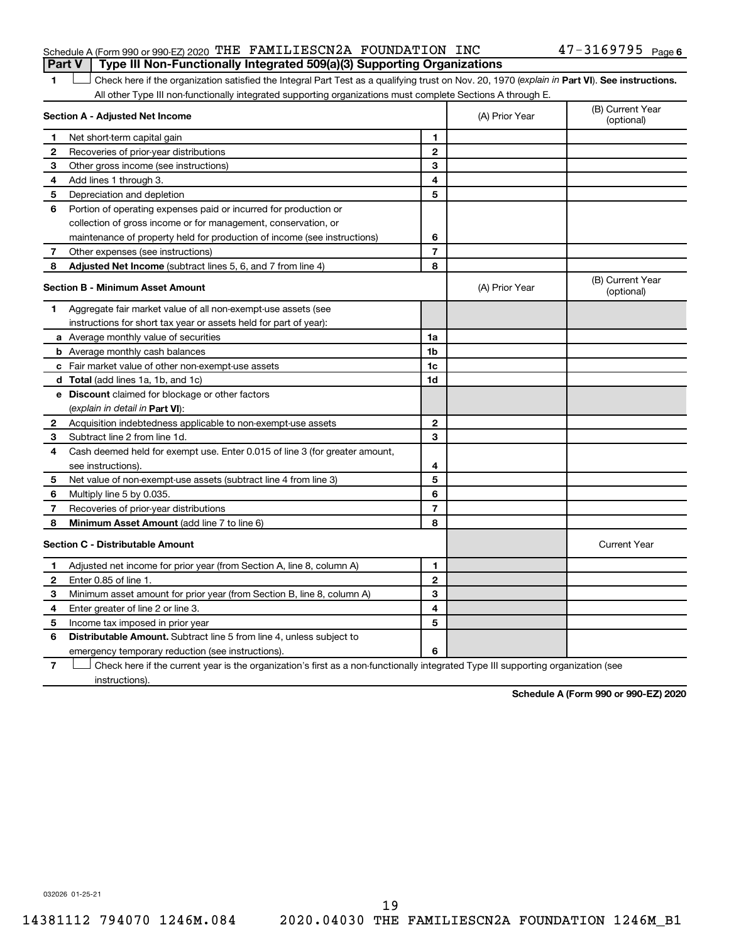### Schedule A (Form 990 or 990-EZ) 2020 THE FAMILIESCN2A FOUNDATION INC **Part V** | Type III Non-Functionally Integrated 509(a)(3) Supporting Organizations

 $\blacksquare$  $\Box$  Check here if the organization satisfied the Integral Part Test as a qualifying trust on Nov. 20, 1970 (explain in Part VI). See instructions. All other Type III non-functionally integrated supporting organizations must complete Sections A through E.

|              | Section A - Adjusted Net Income                                             | (A) Prior Year | (B) Current Year<br>(optional) |                                |
|--------------|-----------------------------------------------------------------------------|----------------|--------------------------------|--------------------------------|
| 1            | Net short-term capital gain                                                 | 1              |                                |                                |
| 2            | Recoveries of prior-year distributions                                      | $\mathbf{2}$   |                                |                                |
| 3            | Other gross income (see instructions)                                       | 3              |                                |                                |
| 4            | Add lines 1 through 3.                                                      | 4              |                                |                                |
| 5            | Depreciation and depletion                                                  | 5              |                                |                                |
| 6            | Portion of operating expenses paid or incurred for production or            |                |                                |                                |
|              | collection of gross income or for management, conservation, or              |                |                                |                                |
|              | maintenance of property held for production of income (see instructions)    | 6              |                                |                                |
| 7            | Other expenses (see instructions)                                           | $\overline{7}$ |                                |                                |
| 8            | Adjusted Net Income (subtract lines 5, 6, and 7 from line 4)                | 8              |                                |                                |
|              | <b>Section B - Minimum Asset Amount</b>                                     |                | (A) Prior Year                 | (B) Current Year<br>(optional) |
| 1            | Aggregate fair market value of all non-exempt-use assets (see               |                |                                |                                |
|              | instructions for short tax year or assets held for part of year):           |                |                                |                                |
|              | <b>a</b> Average monthly value of securities                                | 1a             |                                |                                |
|              | <b>b</b> Average monthly cash balances                                      | 1 <sub>b</sub> |                                |                                |
|              | <b>c</b> Fair market value of other non-exempt-use assets                   | 1c             |                                |                                |
|              | d Total (add lines 1a, 1b, and 1c)                                          | 1d             |                                |                                |
|              | <b>e</b> Discount claimed for blockage or other factors                     |                |                                |                                |
|              | (explain in detail in Part VI):                                             |                |                                |                                |
| 2            | Acquisition indebtedness applicable to non-exempt-use assets                | $\mathbf{2}$   |                                |                                |
| 3            | Subtract line 2 from line 1d.                                               | 3              |                                |                                |
| 4            | Cash deemed held for exempt use. Enter 0.015 of line 3 (for greater amount, |                |                                |                                |
|              | see instructions).                                                          | 4              |                                |                                |
| 5            | Net value of non-exempt-use assets (subtract line 4 from line 3)            | 5              |                                |                                |
| 6            | Multiply line 5 by 0.035.                                                   | 6              |                                |                                |
| 7            | Recoveries of prior-year distributions                                      | 7              |                                |                                |
| 8            | Minimum Asset Amount (add line 7 to line 6)                                 | 8              |                                |                                |
|              | <b>Section C - Distributable Amount</b>                                     |                |                                | <b>Current Year</b>            |
| 1            | Adjusted net income for prior year (from Section A, line 8, column A)       | 1              |                                |                                |
| $\mathbf{2}$ | Enter 0.85 of line 1.                                                       | $\mathbf{2}$   |                                |                                |
| 3            | Minimum asset amount for prior year (from Section B, line 8, column A)      | 3              |                                |                                |
| 4            | Enter greater of line 2 or line 3.                                          | 4              |                                |                                |
| 5            | Income tax imposed in prior year                                            | 5              |                                |                                |
| 6            | Distributable Amount. Subtract line 5 from line 4, unless subject to        |                |                                |                                |
|              | emergency temporary reduction (see instructions).                           | 6              |                                |                                |
|              |                                                                             |                |                                |                                |

Check here if the current year is the organization's first as a non-functionally integrated Type III supporting organization (see 7 instructions).

Schedule A (Form 990 or 990-EZ) 2020

032026 01-25-21

14381112 794070 1246M.084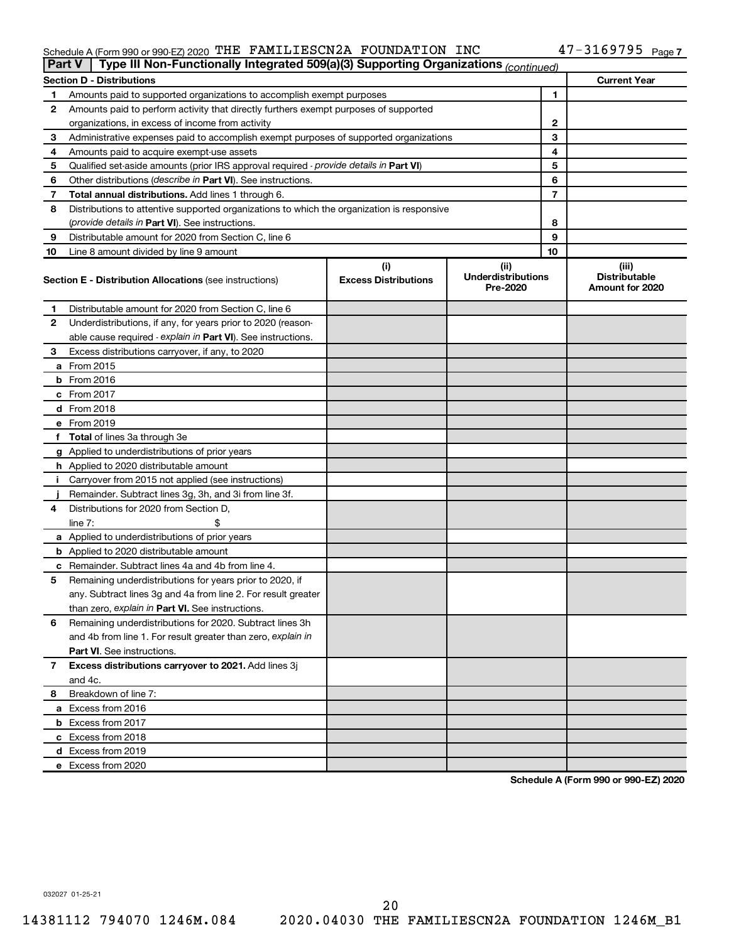# Schedule A (Form 990 or 990-EZ) 2020 THE FAMILIESCN2A FOUNDATION INC<br>**Part V** Type III Non-Functionally Integrated 509(a)(3) Supporting Organizations  $\alpha$

|    | Type III Non-Functionally Integrated 509(a)(3) Supporting Organizations (continued)<br><b>Part V</b> |                             |                                       |                                         |  |  |  |
|----|------------------------------------------------------------------------------------------------------|-----------------------------|---------------------------------------|-----------------------------------------|--|--|--|
|    | <b>Section D - Distributions</b>                                                                     |                             |                                       | <b>Current Year</b>                     |  |  |  |
| 1  | Amounts paid to supported organizations to accomplish exempt purposes                                |                             |                                       | 1                                       |  |  |  |
| 2  | Amounts paid to perform activity that directly furthers exempt purposes of supported                 |                             |                                       |                                         |  |  |  |
|    | organizations, in excess of income from activity                                                     |                             | 2                                     |                                         |  |  |  |
| З  | Administrative expenses paid to accomplish exempt purposes of supported organizations                |                             | 3                                     |                                         |  |  |  |
| 4  | Amounts paid to acquire exempt-use assets                                                            |                             |                                       | 4                                       |  |  |  |
| 5  | Qualified set-aside amounts (prior IRS approval required - provide details in Part VI)               |                             |                                       | 5                                       |  |  |  |
| 6  | Other distributions (describe in Part VI). See instructions.                                         |                             |                                       | 6                                       |  |  |  |
| 7  | <b>Total annual distributions.</b> Add lines 1 through 6.                                            |                             |                                       | 7                                       |  |  |  |
| 8  | Distributions to attentive supported organizations to which the organization is responsive           |                             |                                       |                                         |  |  |  |
|    | ( <i>provide details in Part VI</i> ). See instructions.                                             |                             |                                       | 8                                       |  |  |  |
| 9  | Distributable amount for 2020 from Section C, line 6                                                 |                             |                                       | 9                                       |  |  |  |
| 10 | Line 8 amount divided by line 9 amount                                                               |                             | 10                                    |                                         |  |  |  |
|    |                                                                                                      | (i)                         | (ii)                                  | (iii)                                   |  |  |  |
|    | <b>Section E - Distribution Allocations (see instructions)</b>                                       | <b>Excess Distributions</b> | <b>Underdistributions</b><br>Pre-2020 | <b>Distributable</b><br>Amount for 2020 |  |  |  |
| 1. | Distributable amount for 2020 from Section C, line 6                                                 |                             |                                       |                                         |  |  |  |
| 2  | Underdistributions, if any, for years prior to 2020 (reason-                                         |                             |                                       |                                         |  |  |  |
|    | able cause required - explain in Part VI). See instructions.                                         |                             |                                       |                                         |  |  |  |
| З  | Excess distributions carryover, if any, to 2020                                                      |                             |                                       |                                         |  |  |  |
|    | <b>a</b> From 2015                                                                                   |                             |                                       |                                         |  |  |  |
|    | $b$ From 2016                                                                                        |                             |                                       |                                         |  |  |  |
|    | c From 2017                                                                                          |                             |                                       |                                         |  |  |  |
|    | <b>d</b> From 2018                                                                                   |                             |                                       |                                         |  |  |  |
|    | e From 2019                                                                                          |                             |                                       |                                         |  |  |  |
|    | f Total of lines 3a through 3e                                                                       |                             |                                       |                                         |  |  |  |
|    | <b>g</b> Applied to underdistributions of prior years                                                |                             |                                       |                                         |  |  |  |
|    | <b>h</b> Applied to 2020 distributable amount                                                        |                             |                                       |                                         |  |  |  |
| Ι. | Carryover from 2015 not applied (see instructions)                                                   |                             |                                       |                                         |  |  |  |
|    | Remainder. Subtract lines 3g, 3h, and 3i from line 3f.                                               |                             |                                       |                                         |  |  |  |
| 4  | Distributions for 2020 from Section D,                                                               |                             |                                       |                                         |  |  |  |
|    | line $7:$                                                                                            |                             |                                       |                                         |  |  |  |
|    | <b>a</b> Applied to underdistributions of prior years                                                |                             |                                       |                                         |  |  |  |
|    | <b>b</b> Applied to 2020 distributable amount                                                        |                             |                                       |                                         |  |  |  |
|    | <b>c</b> Remainder. Subtract lines 4a and 4b from line 4.                                            |                             |                                       |                                         |  |  |  |
| 5  | Remaining underdistributions for years prior to 2020, if                                             |                             |                                       |                                         |  |  |  |
|    | any. Subtract lines 3g and 4a from line 2. For result greater                                        |                             |                                       |                                         |  |  |  |
|    | than zero, explain in Part VI. See instructions.                                                     |                             |                                       |                                         |  |  |  |
| 6  | Remaining underdistributions for 2020. Subtract lines 3h                                             |                             |                                       |                                         |  |  |  |
|    | and 4b from line 1. For result greater than zero, explain in                                         |                             |                                       |                                         |  |  |  |
|    | <b>Part VI.</b> See instructions.                                                                    |                             |                                       |                                         |  |  |  |
| 7  | Excess distributions carryover to 2021. Add lines 3j                                                 |                             |                                       |                                         |  |  |  |
|    | and 4c.                                                                                              |                             |                                       |                                         |  |  |  |
| 8  | Breakdown of line 7:                                                                                 |                             |                                       |                                         |  |  |  |
|    | a Excess from 2016                                                                                   |                             |                                       |                                         |  |  |  |
|    | <b>b</b> Excess from 2017                                                                            |                             |                                       |                                         |  |  |  |
|    | c Excess from 2018                                                                                   |                             |                                       |                                         |  |  |  |
|    | d Excess from 2019                                                                                   |                             |                                       |                                         |  |  |  |
|    | e Excess from 2020                                                                                   |                             |                                       |                                         |  |  |  |

Schedule A (Form 990 or 990-EZ) 2020

032027 01-25-21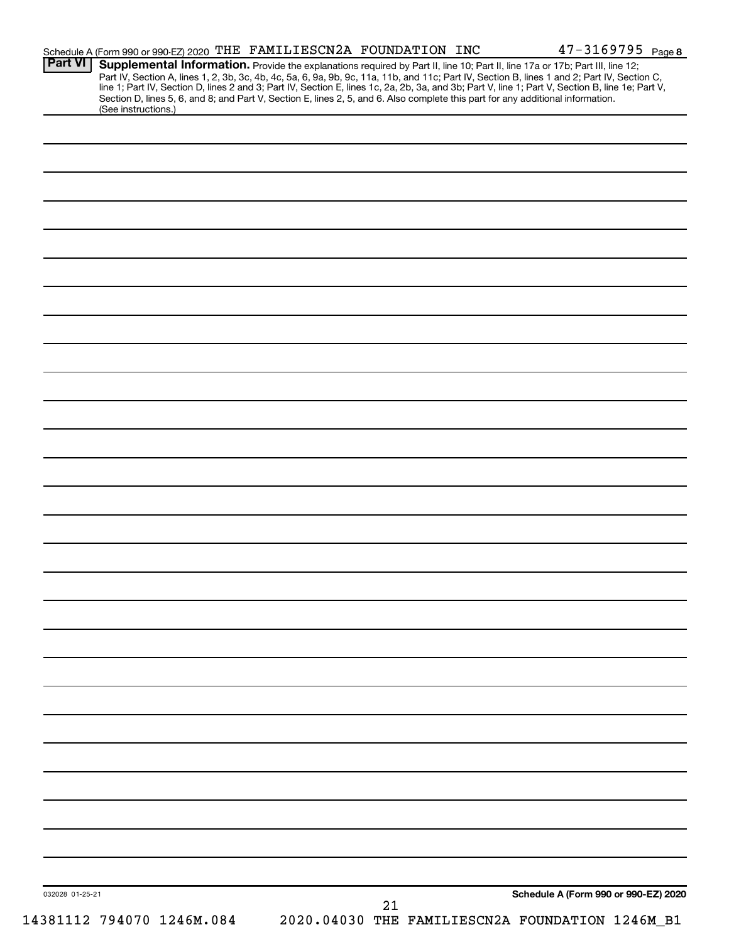| <b>Part VI</b>  | Schedule A (Form 990 or 990-EZ) 2020 THE FAMILIESCN2A FOUNDATION INC<br>Supplemental Information. Provide the explanations required by Part II, line 10; Part II, line 17a or 17b; Part III, line 12; |  |                                      |
|-----------------|-------------------------------------------------------------------------------------------------------------------------------------------------------------------------------------------------------|--|--------------------------------------|
|                 | Part IV, Section A, lines 1, 2, 3b, 3c, 4b, 4c, 5a, 6, 9a, 9b, 9c, 11a, 11b, and 11c; Part IV, Section B, lines 1 and 2; Part IV, Section C,                                                          |  |                                      |
|                 | line 1; Part IV, Section D, lines 2 and 3; Part IV, Section E, lines 1c, 2a, 2b, 3a, and 3b; Part V, line 1; Part V, Section B, line 1e; Part V,                                                      |  |                                      |
|                 | Section D, lines 5, 6, and 8; and Part V, Section E, lines 2, 5, and 6. Also complete this part for any additional information.<br>(See instructions.)                                                |  |                                      |
|                 |                                                                                                                                                                                                       |  |                                      |
|                 |                                                                                                                                                                                                       |  |                                      |
|                 |                                                                                                                                                                                                       |  |                                      |
|                 |                                                                                                                                                                                                       |  |                                      |
|                 |                                                                                                                                                                                                       |  |                                      |
|                 |                                                                                                                                                                                                       |  |                                      |
|                 |                                                                                                                                                                                                       |  |                                      |
|                 |                                                                                                                                                                                                       |  |                                      |
|                 |                                                                                                                                                                                                       |  |                                      |
|                 |                                                                                                                                                                                                       |  |                                      |
|                 |                                                                                                                                                                                                       |  |                                      |
|                 |                                                                                                                                                                                                       |  |                                      |
|                 |                                                                                                                                                                                                       |  |                                      |
|                 |                                                                                                                                                                                                       |  |                                      |
|                 |                                                                                                                                                                                                       |  |                                      |
|                 |                                                                                                                                                                                                       |  |                                      |
|                 |                                                                                                                                                                                                       |  |                                      |
|                 |                                                                                                                                                                                                       |  |                                      |
|                 |                                                                                                                                                                                                       |  |                                      |
|                 |                                                                                                                                                                                                       |  |                                      |
|                 |                                                                                                                                                                                                       |  |                                      |
|                 |                                                                                                                                                                                                       |  |                                      |
|                 |                                                                                                                                                                                                       |  |                                      |
|                 |                                                                                                                                                                                                       |  |                                      |
|                 |                                                                                                                                                                                                       |  |                                      |
|                 |                                                                                                                                                                                                       |  |                                      |
|                 |                                                                                                                                                                                                       |  |                                      |
|                 |                                                                                                                                                                                                       |  |                                      |
|                 |                                                                                                                                                                                                       |  |                                      |
|                 |                                                                                                                                                                                                       |  |                                      |
|                 |                                                                                                                                                                                                       |  |                                      |
|                 |                                                                                                                                                                                                       |  |                                      |
|                 |                                                                                                                                                                                                       |  |                                      |
|                 |                                                                                                                                                                                                       |  |                                      |
|                 |                                                                                                                                                                                                       |  |                                      |
|                 |                                                                                                                                                                                                       |  |                                      |
|                 |                                                                                                                                                                                                       |  |                                      |
|                 |                                                                                                                                                                                                       |  |                                      |
|                 |                                                                                                                                                                                                       |  |                                      |
|                 |                                                                                                                                                                                                       |  |                                      |
|                 |                                                                                                                                                                                                       |  |                                      |
|                 |                                                                                                                                                                                                       |  |                                      |
|                 |                                                                                                                                                                                                       |  |                                      |
|                 |                                                                                                                                                                                                       |  |                                      |
|                 |                                                                                                                                                                                                       |  |                                      |
|                 |                                                                                                                                                                                                       |  |                                      |
|                 |                                                                                                                                                                                                       |  |                                      |
|                 |                                                                                                                                                                                                       |  |                                      |
|                 |                                                                                                                                                                                                       |  |                                      |
|                 |                                                                                                                                                                                                       |  |                                      |
|                 |                                                                                                                                                                                                       |  |                                      |
|                 |                                                                                                                                                                                                       |  |                                      |
|                 |                                                                                                                                                                                                       |  |                                      |
|                 |                                                                                                                                                                                                       |  | Schedule A (Form 990 or 990-EZ) 2020 |
| 032028 01-25-21 |                                                                                                                                                                                                       |  |                                      |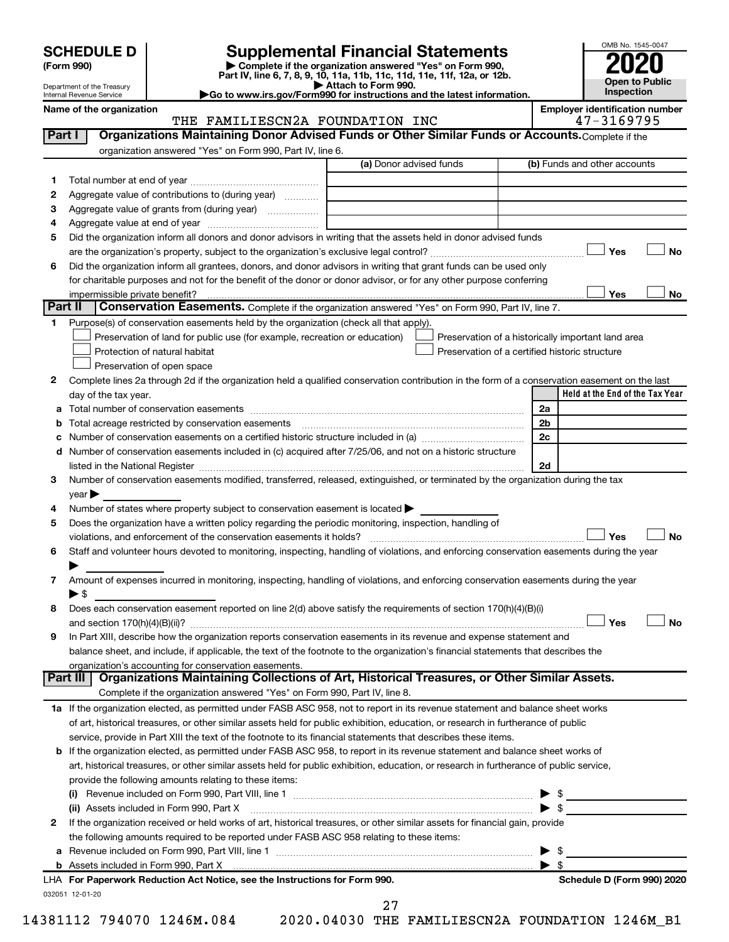| <b>SCHEDULE D</b> |  |
|-------------------|--|
|-------------------|--|

Department of the Treasury<br>Internal Revenue Service

| (Form 990) |  |
|------------|--|
|------------|--|

Supplemental Financial Statements<br>
> complete if the organization answered "Yes" on Form 990,<br>
Part IV, line 6, 7, 8, 9, 10, 11a, 11b, 11c, 11d, 11e, 11f, 12a, or 12b.<br>
> Attach to Form 990.<br>
> Go to www.irs.gov/Form990 fo



Name of the organization

### THE FAMILIESCN2A FOUNDATION INC

**Employer identification number** 47-3169795

| Part I  | <b>Organizations Maintaining Donor Advised Funds or Other Similar Funds or Accounts.</b> Complete if the                                                                                                                                |                         |                                                    |
|---------|-----------------------------------------------------------------------------------------------------------------------------------------------------------------------------------------------------------------------------------------|-------------------------|----------------------------------------------------|
|         | organization answered "Yes" on Form 990, Part IV, line 6.                                                                                                                                                                               | (a) Donor advised funds | (b) Funds and other accounts                       |
|         |                                                                                                                                                                                                                                         |                         |                                                    |
| 1       | Aggregate value of contributions to (during year)                                                                                                                                                                                       |                         |                                                    |
| 2       | Aggregate value of grants from (during year)                                                                                                                                                                                            |                         |                                                    |
| 3       |                                                                                                                                                                                                                                         |                         |                                                    |
| 4<br>5  | Did the organization inform all donors and donor advisors in writing that the assets held in donor advised funds                                                                                                                        |                         |                                                    |
|         |                                                                                                                                                                                                                                         |                         | Yes<br><b>No</b>                                   |
|         |                                                                                                                                                                                                                                         |                         |                                                    |
| 6       | Did the organization inform all grantees, donors, and donor advisors in writing that grant funds can be used only<br>for charitable purposes and not for the benefit of the donor or donor advisor, or for any other purpose conferring |                         |                                                    |
|         | impermissible private benefit?                                                                                                                                                                                                          |                         | Yes<br>No                                          |
| Part II | Conservation Easements. Complete if the organization answered "Yes" on Form 990, Part IV, line 7.                                                                                                                                       |                         |                                                    |
| 1       | Purpose(s) of conservation easements held by the organization (check all that apply).                                                                                                                                                   |                         |                                                    |
|         | Preservation of land for public use (for example, recreation or education)                                                                                                                                                              |                         | Preservation of a historically important land area |
|         | Protection of natural habitat                                                                                                                                                                                                           |                         | Preservation of a certified historic structure     |
|         | Preservation of open space                                                                                                                                                                                                              |                         |                                                    |
| 2       | Complete lines 2a through 2d if the organization held a qualified conservation contribution in the form of a conservation easement on the last                                                                                          |                         |                                                    |
|         | day of the tax year.                                                                                                                                                                                                                    |                         | Held at the End of the Tax Year                    |
| а       |                                                                                                                                                                                                                                         |                         | 2a                                                 |
| b       |                                                                                                                                                                                                                                         |                         | 2b                                                 |
| с       |                                                                                                                                                                                                                                         |                         | 2c                                                 |
|         | d Number of conservation easements included in (c) acquired after 7/25/06, and not on a historic structure                                                                                                                              |                         |                                                    |
|         |                                                                                                                                                                                                                                         |                         | 2d                                                 |
| 3       | Number of conservation easements modified, transferred, released, extinguished, or terminated by the organization during the tax                                                                                                        |                         |                                                    |
|         | $year \blacktriangleright$                                                                                                                                                                                                              |                         |                                                    |
| 4       | Number of states where property subject to conservation easement is located $\blacktriangleright$                                                                                                                                       |                         |                                                    |
| 5       | Does the organization have a written policy regarding the periodic monitoring, inspection, handling of                                                                                                                                  |                         |                                                    |
|         |                                                                                                                                                                                                                                         |                         | Yes<br><b>No</b>                                   |
| 6       | Staff and volunteer hours devoted to monitoring, inspecting, handling of violations, and enforcing conservation easements during the year                                                                                               |                         |                                                    |
|         |                                                                                                                                                                                                                                         |                         |                                                    |
| 7       | Amount of expenses incurred in monitoring, inspecting, handling of violations, and enforcing conservation easements during the year                                                                                                     |                         |                                                    |
|         | $\blacktriangleright$ \$                                                                                                                                                                                                                |                         |                                                    |
| 8       | Does each conservation easement reported on line 2(d) above satisfy the requirements of section 170(h)(4)(B)(i)                                                                                                                         |                         |                                                    |
|         |                                                                                                                                                                                                                                         |                         | Yes<br><b>No</b>                                   |
| 9       | In Part XIII, describe how the organization reports conservation easements in its revenue and expense statement and                                                                                                                     |                         |                                                    |
|         | balance sheet, and include, if applicable, the text of the footnote to the organization's financial statements that describes the                                                                                                       |                         |                                                    |
|         | organization's accounting for conservation easements.<br>Organizations Maintaining Collections of Art, Historical Treasures, or Other Similar Assets.<br>Part III                                                                       |                         |                                                    |
|         | Complete if the organization answered "Yes" on Form 990, Part IV, line 8.                                                                                                                                                               |                         |                                                    |
|         | 1a If the organization elected, as permitted under FASB ASC 958, not to report in its revenue statement and balance sheet works                                                                                                         |                         |                                                    |
|         | of art, historical treasures, or other similar assets held for public exhibition, education, or research in furtherance of public                                                                                                       |                         |                                                    |
|         | service, provide in Part XIII the text of the footnote to its financial statements that describes these items.                                                                                                                          |                         |                                                    |
| b       | If the organization elected, as permitted under FASB ASC 958, to report in its revenue statement and balance sheet works of                                                                                                             |                         |                                                    |
|         | art, historical treasures, or other similar assets held for public exhibition, education, or research in furtherance of public service,                                                                                                 |                         |                                                    |
|         | provide the following amounts relating to these items:                                                                                                                                                                                  |                         |                                                    |
|         |                                                                                                                                                                                                                                         |                         | \$                                                 |
|         | (ii) Assets included in Form 990, Part X                                                                                                                                                                                                |                         | $\blacktriangleright$ \$                           |
| 2       | If the organization received or held works of art, historical treasures, or other similar assets for financial gain, provide                                                                                                            |                         |                                                    |
|         | the following amounts required to be reported under FASB ASC 958 relating to these items:                                                                                                                                               |                         |                                                    |
|         |                                                                                                                                                                                                                                         |                         | $\blacktriangleright$ \$                           |
|         |                                                                                                                                                                                                                                         |                         | $\blacktriangleright$ \$                           |
|         | LHA For Paperwork Reduction Act Notice, see the Instructions for Form 990.                                                                                                                                                              |                         | Schedule D (Form 990) 2020                         |
|         | 032051 12-01-20                                                                                                                                                                                                                         | 27                      |                                                    |
|         |                                                                                                                                                                                                                                         |                         |                                                    |

14381112 794070 1246M.084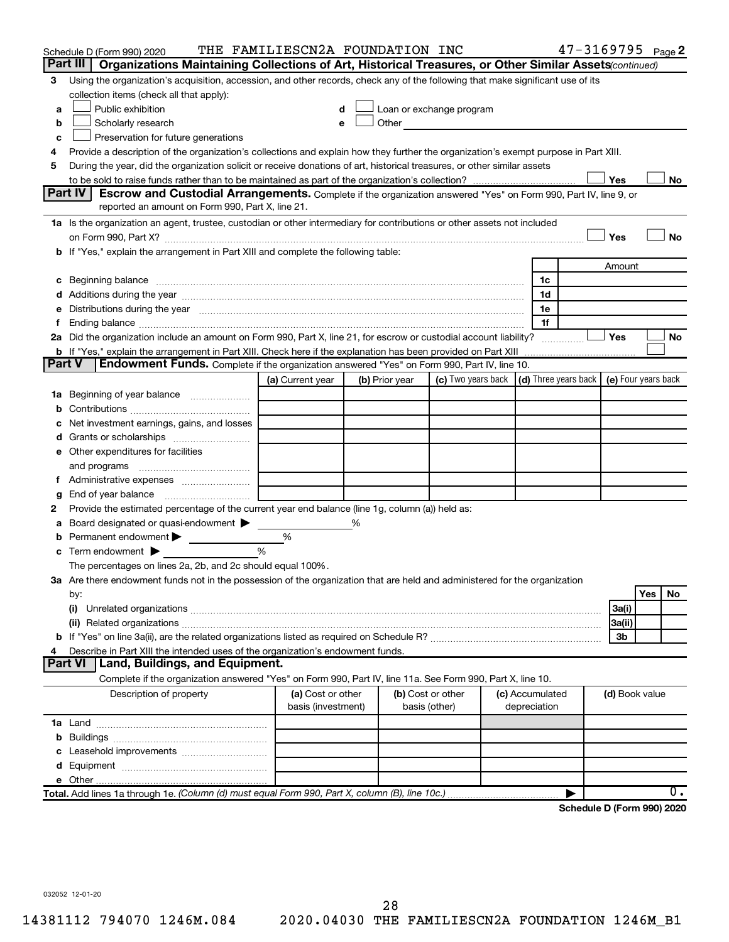|               | Schedule D (Form 990) 2020                                                                                                                                                                                                          | THE FAMILIESCN2A FOUNDATION INC |   |                |                                                                                                                                                                                                                               |                 | 47-3169795 Page 2          |                |     |    |
|---------------|-------------------------------------------------------------------------------------------------------------------------------------------------------------------------------------------------------------------------------------|---------------------------------|---|----------------|-------------------------------------------------------------------------------------------------------------------------------------------------------------------------------------------------------------------------------|-----------------|----------------------------|----------------|-----|----|
|               | Part III  <br>Organizations Maintaining Collections of Art, Historical Treasures, or Other Similar Assets (continued)                                                                                                               |                                 |   |                |                                                                                                                                                                                                                               |                 |                            |                |     |    |
| 3             | Using the organization's acquisition, accession, and other records, check any of the following that make significant use of its                                                                                                     |                                 |   |                |                                                                                                                                                                                                                               |                 |                            |                |     |    |
|               | collection items (check all that apply):                                                                                                                                                                                            |                                 |   |                |                                                                                                                                                                                                                               |                 |                            |                |     |    |
| a             | Public exhibition                                                                                                                                                                                                                   |                                 |   |                | Loan or exchange program                                                                                                                                                                                                      |                 |                            |                |     |    |
| b             | Scholarly research                                                                                                                                                                                                                  |                                 |   |                | Other and the contract of the contract of the contract of the contract of the contract of the contract of the contract of the contract of the contract of the contract of the contract of the contract of the contract of the |                 |                            |                |     |    |
| с             | Preservation for future generations                                                                                                                                                                                                 |                                 |   |                |                                                                                                                                                                                                                               |                 |                            |                |     |    |
| 4             | Provide a description of the organization's collections and explain how they further the organization's exempt purpose in Part XIII.                                                                                                |                                 |   |                |                                                                                                                                                                                                                               |                 |                            |                |     |    |
| 5             | During the year, did the organization solicit or receive donations of art, historical treasures, or other similar assets                                                                                                            |                                 |   |                |                                                                                                                                                                                                                               |                 |                            |                |     |    |
|               |                                                                                                                                                                                                                                     |                                 |   |                |                                                                                                                                                                                                                               |                 |                            | Yes            |     | No |
|               | Part IV<br><b>Escrow and Custodial Arrangements.</b> Complete if the organization answered "Yes" on Form 990, Part IV, line 9, or                                                                                                   |                                 |   |                |                                                                                                                                                                                                                               |                 |                            |                |     |    |
|               | reported an amount on Form 990, Part X, line 21.                                                                                                                                                                                    |                                 |   |                |                                                                                                                                                                                                                               |                 |                            |                |     |    |
|               | 1a Is the organization an agent, trustee, custodian or other intermediary for contributions or other assets not included                                                                                                            |                                 |   |                |                                                                                                                                                                                                                               |                 |                            |                |     |    |
|               |                                                                                                                                                                                                                                     |                                 |   |                |                                                                                                                                                                                                                               |                 |                            | Yes            |     | No |
|               | b If "Yes," explain the arrangement in Part XIII and complete the following table:                                                                                                                                                  |                                 |   |                |                                                                                                                                                                                                                               |                 |                            |                |     |    |
|               |                                                                                                                                                                                                                                     |                                 |   |                |                                                                                                                                                                                                                               | Amount          |                            |                |     |    |
|               | c Beginning balance <b>communications</b> and a construction of the construction of the construction of the construction of the construction of the construction of the construction of the construction of the construction of the |                                 |   |                |                                                                                                                                                                                                                               | 1c              |                            |                |     |    |
|               |                                                                                                                                                                                                                                     |                                 |   |                |                                                                                                                                                                                                                               | 1d              |                            |                |     |    |
|               | e Distributions during the year manufactured and continuum control of the control of the control of the state of the state of the control of the control of the control of the control of the control of the control of the co      |                                 |   |                |                                                                                                                                                                                                                               | 1е<br>1f        |                            |                |     |    |
| Ť.            | 2a Did the organization include an amount on Form 990, Part X, line 21, for escrow or custodial account liability?                                                                                                                  |                                 |   |                |                                                                                                                                                                                                                               |                 |                            | Yes            |     | No |
|               |                                                                                                                                                                                                                                     |                                 |   |                |                                                                                                                                                                                                                               |                 |                            |                |     |    |
| <b>Part V</b> | <b>Endowment Funds.</b> Complete if the organization answered "Yes" on Form 990, Part IV, line 10.                                                                                                                                  |                                 |   |                |                                                                                                                                                                                                                               |                 |                            |                |     |    |
|               |                                                                                                                                                                                                                                     | (a) Current year                |   | (b) Prior year | (c) Two years back $\vert$ (d) Three years back $\vert$ (e) Four years back                                                                                                                                                   |                 |                            |                |     |    |
|               | 1a Beginning of year balance                                                                                                                                                                                                        |                                 |   |                |                                                                                                                                                                                                                               |                 |                            |                |     |    |
| b             |                                                                                                                                                                                                                                     |                                 |   |                |                                                                                                                                                                                                                               |                 |                            |                |     |    |
|               | Net investment earnings, gains, and losses                                                                                                                                                                                          |                                 |   |                |                                                                                                                                                                                                                               |                 |                            |                |     |    |
|               | Grants or scholarships                                                                                                                                                                                                              |                                 |   |                |                                                                                                                                                                                                                               |                 |                            |                |     |    |
|               | e Other expenditures for facilities                                                                                                                                                                                                 |                                 |   |                |                                                                                                                                                                                                                               |                 |                            |                |     |    |
|               | and programs                                                                                                                                                                                                                        |                                 |   |                |                                                                                                                                                                                                                               |                 |                            |                |     |    |
|               |                                                                                                                                                                                                                                     |                                 |   |                |                                                                                                                                                                                                                               |                 |                            |                |     |    |
| g             |                                                                                                                                                                                                                                     |                                 |   |                |                                                                                                                                                                                                                               |                 |                            |                |     |    |
| 2             | Provide the estimated percentage of the current year end balance (line 1g, column (a)) held as:                                                                                                                                     |                                 |   |                |                                                                                                                                                                                                                               |                 |                            |                |     |    |
| а             | Board designated or quasi-endowment >                                                                                                                                                                                               |                                 | % |                |                                                                                                                                                                                                                               |                 |                            |                |     |    |
| b             | Permanent endowment                                                                                                                                                                                                                 | %                               |   |                |                                                                                                                                                                                                                               |                 |                            |                |     |    |
|               | $\mathbf c$ Term endowment $\blacktriangleright$                                                                                                                                                                                    | %                               |   |                |                                                                                                                                                                                                                               |                 |                            |                |     |    |
|               | The percentages on lines 2a, 2b, and 2c should equal 100%.                                                                                                                                                                          |                                 |   |                |                                                                                                                                                                                                                               |                 |                            |                |     |    |
|               | 3a Are there endowment funds not in the possession of the organization that are held and administered for the organization                                                                                                          |                                 |   |                |                                                                                                                                                                                                                               |                 |                            |                |     |    |
|               | by:                                                                                                                                                                                                                                 |                                 |   |                |                                                                                                                                                                                                                               |                 |                            |                | Yes | No |
|               | (i)                                                                                                                                                                                                                                 |                                 |   |                |                                                                                                                                                                                                                               |                 |                            | 3a(i)          |     |    |
|               |                                                                                                                                                                                                                                     |                                 |   |                |                                                                                                                                                                                                                               |                 |                            | 3a(ii)         |     |    |
|               |                                                                                                                                                                                                                                     |                                 |   |                |                                                                                                                                                                                                                               |                 |                            | 3b             |     |    |
| 4             | Describe in Part XIII the intended uses of the organization's endowment funds.                                                                                                                                                      |                                 |   |                |                                                                                                                                                                                                                               |                 |                            |                |     |    |
|               | <b>Part VI</b><br>Land, Buildings, and Equipment.                                                                                                                                                                                   |                                 |   |                |                                                                                                                                                                                                                               |                 |                            |                |     |    |
|               | Complete if the organization answered "Yes" on Form 990, Part IV, line 11a. See Form 990, Part X, line 10.                                                                                                                          |                                 |   |                |                                                                                                                                                                                                                               |                 |                            |                |     |    |
|               | Description of property                                                                                                                                                                                                             | (a) Cost or other               |   |                | (b) Cost or other                                                                                                                                                                                                             | (c) Accumulated |                            | (d) Book value |     |    |
|               |                                                                                                                                                                                                                                     | basis (investment)              |   |                | basis (other)                                                                                                                                                                                                                 | depreciation    |                            |                |     |    |
|               |                                                                                                                                                                                                                                     |                                 |   |                |                                                                                                                                                                                                                               |                 |                            |                |     |    |
| b             |                                                                                                                                                                                                                                     |                                 |   |                |                                                                                                                                                                                                                               |                 |                            |                |     |    |
| c             | Leasehold improvements                                                                                                                                                                                                              |                                 |   |                |                                                                                                                                                                                                                               |                 |                            |                |     |    |
|               |                                                                                                                                                                                                                                     |                                 |   |                |                                                                                                                                                                                                                               |                 |                            |                |     |    |
|               |                                                                                                                                                                                                                                     |                                 |   |                |                                                                                                                                                                                                                               |                 |                            |                |     |    |
|               | Total. Add lines 1a through 1e. (Column (d) must equal Form 990, Part X, column (B), line 10c.)                                                                                                                                     |                                 |   |                |                                                                                                                                                                                                                               |                 |                            |                |     | 0. |
|               |                                                                                                                                                                                                                                     |                                 |   |                |                                                                                                                                                                                                                               |                 | Schedule D (Form 990) 2020 |                |     |    |

032052 12-01-20

14381112 794070 1246M.084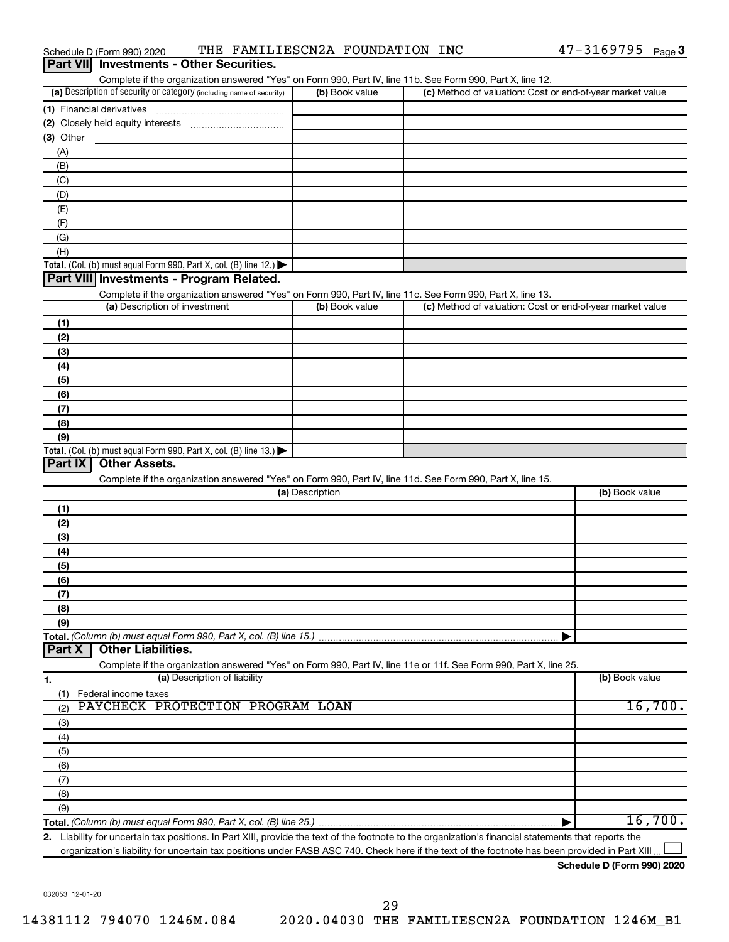| Complete if the organization answered "Yes" on Form 990, Part IV, line 11b. See Form 990, Part X, line 12.        |                 |                                                           |                |
|-------------------------------------------------------------------------------------------------------------------|-----------------|-----------------------------------------------------------|----------------|
| (a) Description of security or category (including name of security)                                              | (b) Book value  | (c) Method of valuation: Cost or end-of-year market value |                |
|                                                                                                                   |                 |                                                           |                |
|                                                                                                                   |                 |                                                           |                |
| (3) Other                                                                                                         |                 |                                                           |                |
| (A)                                                                                                               |                 |                                                           |                |
| (B)                                                                                                               |                 |                                                           |                |
| (C)                                                                                                               |                 |                                                           |                |
| (D)                                                                                                               |                 |                                                           |                |
|                                                                                                                   |                 |                                                           |                |
| (E)                                                                                                               |                 |                                                           |                |
| (F)                                                                                                               |                 |                                                           |                |
| (G)                                                                                                               |                 |                                                           |                |
| (H)                                                                                                               |                 |                                                           |                |
| Total. (Col. (b) must equal Form 990, Part X, col. (B) line 12.)                                                  |                 |                                                           |                |
| Part VIII Investments - Program Related.                                                                          |                 |                                                           |                |
| Complete if the organization answered "Yes" on Form 990, Part IV, line 11c. See Form 990, Part X, line 13.        |                 |                                                           |                |
| (a) Description of investment                                                                                     | (b) Book value  | (c) Method of valuation: Cost or end-of-year market value |                |
| (1)                                                                                                               |                 |                                                           |                |
| (2)                                                                                                               |                 |                                                           |                |
| (3)                                                                                                               |                 |                                                           |                |
| (4)                                                                                                               |                 |                                                           |                |
| (5)                                                                                                               |                 |                                                           |                |
|                                                                                                                   |                 |                                                           |                |
| (6)                                                                                                               |                 |                                                           |                |
| (7)                                                                                                               |                 |                                                           |                |
| (8)                                                                                                               |                 |                                                           |                |
| (9)                                                                                                               |                 |                                                           |                |
| Total. (Col. (b) must equal Form 990, Part X, col. (B) line 13.) $\blacktriangleright$                            |                 |                                                           |                |
| Part IX<br><b>Other Assets.</b>                                                                                   |                 |                                                           |                |
| Complete if the organization answered "Yes" on Form 990, Part IV, line 11d. See Form 990, Part X, line 15.        |                 |                                                           |                |
|                                                                                                                   | (a) Description |                                                           | (b) Book value |
| (1)                                                                                                               |                 |                                                           |                |
| (2)                                                                                                               |                 |                                                           |                |
| (3)                                                                                                               |                 |                                                           |                |
| (4)                                                                                                               |                 |                                                           |                |
| (5)                                                                                                               |                 |                                                           |                |
| (6)                                                                                                               |                 |                                                           |                |
| (7)                                                                                                               |                 |                                                           |                |
| (8)                                                                                                               |                 |                                                           |                |
|                                                                                                                   |                 |                                                           |                |
| (9)                                                                                                               |                 |                                                           |                |
| Total. (Column (b) must equal Form 990, Part X, col. (B) line 15.)                                                |                 |                                                           |                |
| <b>Other Liabilities.</b><br>Part X                                                                               |                 |                                                           |                |
| Complete if the organization answered "Yes" on Form 990, Part IV, line 11e or 11f. See Form 990, Part X, line 25. |                 |                                                           |                |
| (a) Description of liability<br><u>1.</u>                                                                         |                 |                                                           | (b) Book value |
| Federal income taxes<br>(1)                                                                                       |                 |                                                           |                |
| PAYCHECK PROTECTION PROGRAM LOAN<br>(2)                                                                           |                 |                                                           | 16,700.        |
| (3)                                                                                                               |                 |                                                           |                |
| (4)                                                                                                               |                 |                                                           |                |
| (5)                                                                                                               |                 |                                                           |                |
|                                                                                                                   |                 |                                                           |                |
|                                                                                                                   |                 |                                                           |                |
| (6)                                                                                                               |                 |                                                           |                |
| (7)                                                                                                               |                 |                                                           |                |
| (8)                                                                                                               |                 |                                                           |                |
| (9)                                                                                                               |                 |                                                           | 16,700.        |

Schedule D (Form 990) 2020

032053 12-01-20

### THE FAMILIESCN2A FOUNDATION INC Schedule D (Form 990) 2020

**Part VII** Investments - Other Securities.

### 29 2020.04030 THE FAMILIESCN2A FOUNDATION 1246M\_B1

14381112 794070 1246M.084

| (a) Description | (b) Book value |
|-----------------|----------------|
|                 |                |
| (1)             |                |
| (2)             |                |
| (3)             |                |
| (4)             |                |
| (5)             |                |
| (6)             |                |
| (7)             |                |
| (8)             |                |
| (9)             |                |
|                 |                |

organization's liability for uncertain tax positions under FASB ASC 740. Check here if the text of the footnote has been provided in Part XIII... L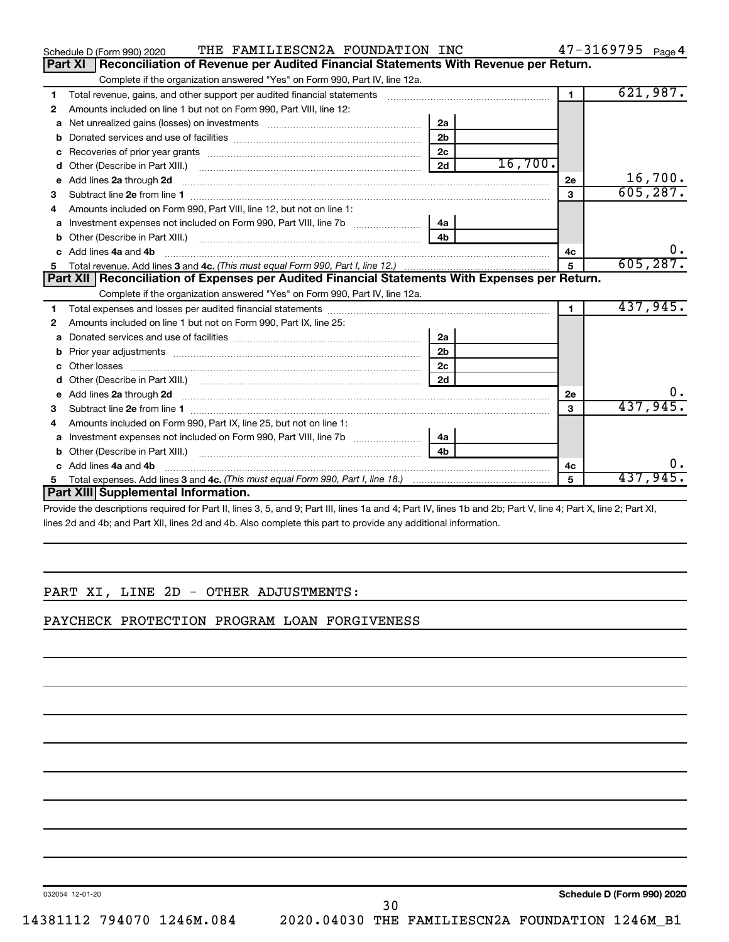|   | THE FAMILIESCN2A FOUNDATION INC<br>Schedule D (Form 990) 2020                                                                                                                                                                  |                |              | 47-3169795 Page 4 |
|---|--------------------------------------------------------------------------------------------------------------------------------------------------------------------------------------------------------------------------------|----------------|--------------|-------------------|
|   | <b>Part XI</b><br>Reconciliation of Revenue per Audited Financial Statements With Revenue per Return.                                                                                                                          |                |              |                   |
|   | Complete if the organization answered "Yes" on Form 990, Part IV, line 12a.                                                                                                                                                    |                |              |                   |
| 1 | Total revenue, gains, and other support per audited financial statements [111][11] matter controller matter controller matter controller matter controller matter controller matter controller matter controller matter contro |                | $\mathbf{1}$ | 621,987.          |
| 2 | Amounts included on line 1 but not on Form 990, Part VIII, line 12:                                                                                                                                                            |                |              |                   |
| a |                                                                                                                                                                                                                                | 2a             |              |                   |
| b |                                                                                                                                                                                                                                | 2 <sub>b</sub> |              |                   |
| c |                                                                                                                                                                                                                                | 2c             |              |                   |
| d |                                                                                                                                                                                                                                | 16,700.<br>2d  |              |                   |
| e | Add lines 2a through 2d                                                                                                                                                                                                        |                | 2е           | 16,700.           |
| 3 |                                                                                                                                                                                                                                |                | 3            | 605, 287.         |
| 4 | Amounts included on Form 990, Part VIII, line 12, but not on line 1:                                                                                                                                                           |                |              |                   |
| a |                                                                                                                                                                                                                                | 4a             |              |                   |
| b |                                                                                                                                                                                                                                |                |              |                   |
|   | c Add lines 4a and 4b                                                                                                                                                                                                          |                | 4с           | 0.                |
|   |                                                                                                                                                                                                                                |                | 5            | 605, 287.         |
|   | Part XII   Reconciliation of Expenses per Audited Financial Statements With Expenses per Return.                                                                                                                               |                |              |                   |
|   | Complete if the organization answered "Yes" on Form 990, Part IV, line 12a.                                                                                                                                                    |                |              |                   |
| 1 |                                                                                                                                                                                                                                |                | $\mathbf{1}$ | 437,945.          |
| 2 | Amounts included on line 1 but not on Form 990, Part IX, line 25:                                                                                                                                                              |                |              |                   |
| a |                                                                                                                                                                                                                                | 2a             |              |                   |
| b |                                                                                                                                                                                                                                | 2 <sub>b</sub> |              |                   |
| c |                                                                                                                                                                                                                                | 2 <sub>c</sub> |              |                   |
| d |                                                                                                                                                                                                                                | 2d             |              |                   |
| е |                                                                                                                                                                                                                                |                | 2е           | υ.                |
| 3 |                                                                                                                                                                                                                                |                | 3            | 437,945.          |
| 4 | Amounts included on Form 990, Part IX, line 25, but not on line 1:                                                                                                                                                             |                |              |                   |
| a |                                                                                                                                                                                                                                | 4a             |              |                   |
|   |                                                                                                                                                                                                                                | 4 <sub>b</sub> |              |                   |
|   | c Add lines 4a and 4b                                                                                                                                                                                                          |                | 4c           | υ.                |
|   |                                                                                                                                                                                                                                |                | 5            | 437,945.          |
|   | Part XIII Supplemental Information.                                                                                                                                                                                            |                |              |                   |
|   | Provide the descriptions required for Part II, lines 3, 5, and 9: Part III, lines 1a and 4: Part IV, lines 1h and 2h; Part V, line 4: Part Y, line 2: Part YI                                                                  |                |              |                   |

ovide the descriptions required for Part II, lines 3, 5, and 9; Part III, lines 1a and 4; Part IV, lines 1b and 2b; Part V, line 4; Part X, line 2; Part XI, lines 2d and 4b; and Part XII, lines 2d and 4b. Also complete this part to provide any additional information.

### PART XI, LINE 2D - OTHER ADJUSTMENTS:

### PAYCHECK PROTECTION PROGRAM LOAN FORGIVENESS

032054 12-01-20

Schedule D (Form 990) 2020

14381112 794070 1246M.084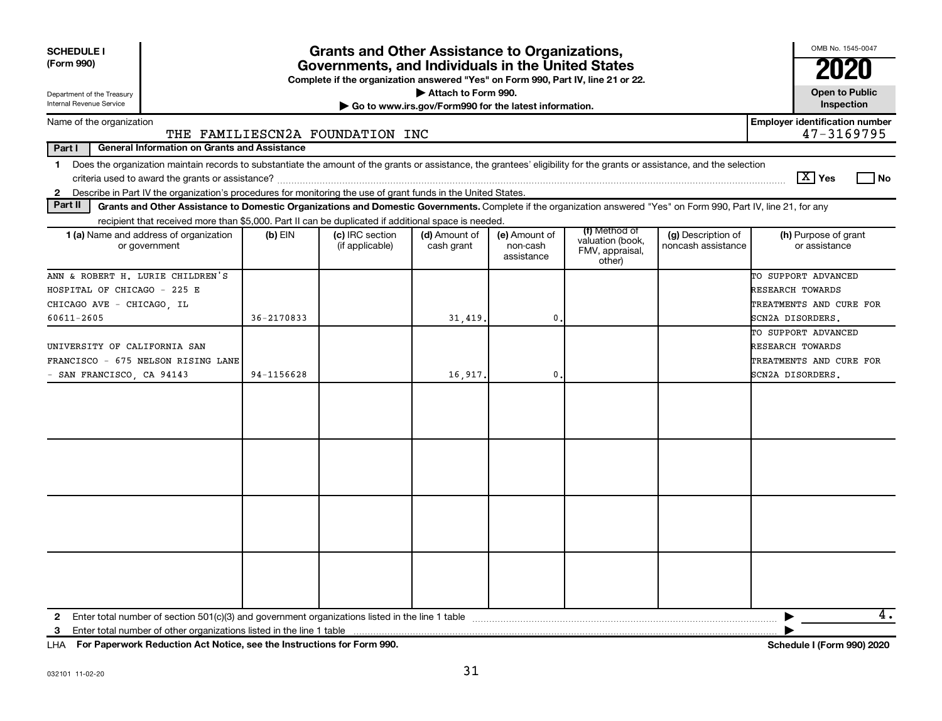| <b>SCHEDULE I</b><br>(Form 990)                                                                                                                                               | <b>Grants and Other Assistance to Organizations,</b><br>Governments, and Individuals in the United States<br>Complete if the organization answered "Yes" on Form 990, Part IV, line 21 or 22. |                                    |                             |                                         |                                                                |                                          | OMB No. 1545-0047<br>2020                                          |  |  |  |  |
|-------------------------------------------------------------------------------------------------------------------------------------------------------------------------------|-----------------------------------------------------------------------------------------------------------------------------------------------------------------------------------------------|------------------------------------|-----------------------------|-----------------------------------------|----------------------------------------------------------------|------------------------------------------|--------------------------------------------------------------------|--|--|--|--|
| Department of the Treasury                                                                                                                                                    | Attach to Form 990.                                                                                                                                                                           |                                    |                             |                                         |                                                                |                                          | <b>Open to Public</b>                                              |  |  |  |  |
| Internal Revenue Service                                                                                                                                                      | Go to www.irs.gov/Form990 for the latest information.                                                                                                                                         |                                    |                             |                                         |                                                                |                                          | Inspection                                                         |  |  |  |  |
| Name of the organization                                                                                                                                                      |                                                                                                                                                                                               | THE FAMILIESCN2A FOUNDATION INC    |                             |                                         |                                                                |                                          | <b>Employer identification number</b><br>47-3169795                |  |  |  |  |
| Part I<br><b>General Information on Grants and Assistance</b>                                                                                                                 |                                                                                                                                                                                               |                                    |                             |                                         |                                                                |                                          |                                                                    |  |  |  |  |
| 1 Does the organization maintain records to substantiate the amount of the grants or assistance, the grantees' eligibility for the grants or assistance, and the selection    |                                                                                                                                                                                               |                                    |                             |                                         |                                                                |                                          |                                                                    |  |  |  |  |
| criteria used to award the grants or assistance?                                                                                                                              |                                                                                                                                                                                               |                                    |                             |                                         |                                                                |                                          | $\boxed{\text{X}}$ Yes<br><b>No</b>                                |  |  |  |  |
| Describe in Part IV the organization's procedures for monitoring the use of grant funds in the United States.<br>$\mathbf{2}$                                                 |                                                                                                                                                                                               |                                    |                             |                                         |                                                                |                                          |                                                                    |  |  |  |  |
| Part II<br>Grants and Other Assistance to Domestic Organizations and Domestic Governments. Complete if the organization answered "Yes" on Form 990, Part IV, line 21, for any |                                                                                                                                                                                               |                                    |                             |                                         |                                                                |                                          |                                                                    |  |  |  |  |
| recipient that received more than \$5,000. Part II can be duplicated if additional space is needed.                                                                           |                                                                                                                                                                                               |                                    |                             |                                         |                                                                |                                          |                                                                    |  |  |  |  |
| 1 (a) Name and address of organization<br>or government                                                                                                                       | $(b)$ EIN                                                                                                                                                                                     | (c) IRC section<br>(if applicable) | (d) Amount of<br>cash grant | (e) Amount of<br>non-cash<br>assistance | (f) Method of<br>valuation (book,<br>FMV, appraisal,<br>other) | (g) Description of<br>noncash assistance | (h) Purpose of grant<br>or assistance                              |  |  |  |  |
| ANN & ROBERT H. LURIE CHILDREN'S<br>HOSPITAL OF CHICAGO - 225 E<br>CHICAGO AVE - CHICAGO, IL                                                                                  | $36 - 2170833$                                                                                                                                                                                |                                    |                             | 0.                                      |                                                                |                                          | TO SUPPORT ADVANCED<br>RESEARCH TOWARDS<br>TREATMENTS AND CURE FOR |  |  |  |  |
| 60611-2605                                                                                                                                                                    |                                                                                                                                                                                               |                                    | 31,419.                     |                                         |                                                                |                                          | SCN2A DISORDERS.<br>TO SUPPORT ADVANCED                            |  |  |  |  |
| UNIVERSITY OF CALIFORNIA SAN                                                                                                                                                  |                                                                                                                                                                                               |                                    |                             |                                         |                                                                |                                          | RESEARCH TOWARDS                                                   |  |  |  |  |
| FRANCISCO - 675 NELSON RISING LANE                                                                                                                                            |                                                                                                                                                                                               |                                    |                             |                                         |                                                                |                                          | TREATMENTS AND CURE FOR                                            |  |  |  |  |
| SAN FRANCISCO, CA 94143                                                                                                                                                       | 94-1156628<br>16,917.<br>$\mathbf 0$                                                                                                                                                          |                                    |                             |                                         |                                                                |                                          | SCN2A DISORDERS.                                                   |  |  |  |  |
|                                                                                                                                                                               |                                                                                                                                                                                               |                                    |                             |                                         |                                                                |                                          |                                                                    |  |  |  |  |
|                                                                                                                                                                               |                                                                                                                                                                                               |                                    |                             |                                         |                                                                |                                          |                                                                    |  |  |  |  |
|                                                                                                                                                                               |                                                                                                                                                                                               |                                    |                             |                                         |                                                                |                                          |                                                                    |  |  |  |  |
|                                                                                                                                                                               |                                                                                                                                                                                               |                                    |                             |                                         |                                                                |                                          |                                                                    |  |  |  |  |
| $\mathbf{2}$<br>Enter total number of other organizations listed in the line 1 table<br>3                                                                                     |                                                                                                                                                                                               |                                    |                             |                                         |                                                                |                                          | 4.                                                                 |  |  |  |  |

LHA For Paperwork Reduction Act Notice, see the Instructions for Form 990.

Schedule I (Form 990) 2020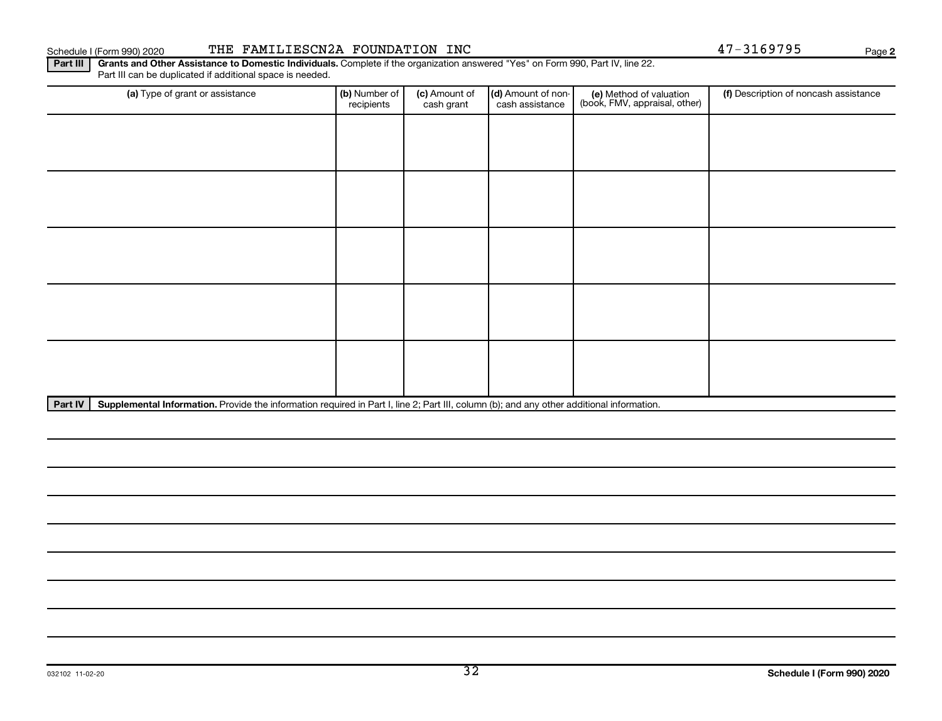### THE FAMILIESCN2A FOUNDATION INC Schedule I (Form 990) 2020

**Part III** Grants and Other Assistance to Domestic Individuals. Complete if the organization answered "Yes" on Form 990, Part IV, line 22.<br>Part III can be duplicated if additional space is needed.

| (a) Type of grant or assistance                                                                                                                      | (b) Number of<br>recipients | (c) Amount of<br>cash grant | (d) Amount of non-<br>cash assistance | (e) Method of valuation<br>(book, FMV, appraisal, other) | (f) Description of noncash assistance |  |  |
|------------------------------------------------------------------------------------------------------------------------------------------------------|-----------------------------|-----------------------------|---------------------------------------|----------------------------------------------------------|---------------------------------------|--|--|
|                                                                                                                                                      |                             |                             |                                       |                                                          |                                       |  |  |
|                                                                                                                                                      |                             |                             |                                       |                                                          |                                       |  |  |
|                                                                                                                                                      |                             |                             |                                       |                                                          |                                       |  |  |
|                                                                                                                                                      |                             |                             |                                       |                                                          |                                       |  |  |
|                                                                                                                                                      |                             |                             |                                       |                                                          |                                       |  |  |
|                                                                                                                                                      |                             |                             |                                       |                                                          |                                       |  |  |
|                                                                                                                                                      |                             |                             |                                       |                                                          |                                       |  |  |
|                                                                                                                                                      |                             |                             |                                       |                                                          |                                       |  |  |
|                                                                                                                                                      |                             |                             |                                       |                                                          |                                       |  |  |
|                                                                                                                                                      |                             |                             |                                       |                                                          |                                       |  |  |
| Part IV<br>Supplemental Information. Provide the information required in Part I, line 2; Part III, column (b); and any other additional information. |                             |                             |                                       |                                                          |                                       |  |  |

47-3169795

Page 2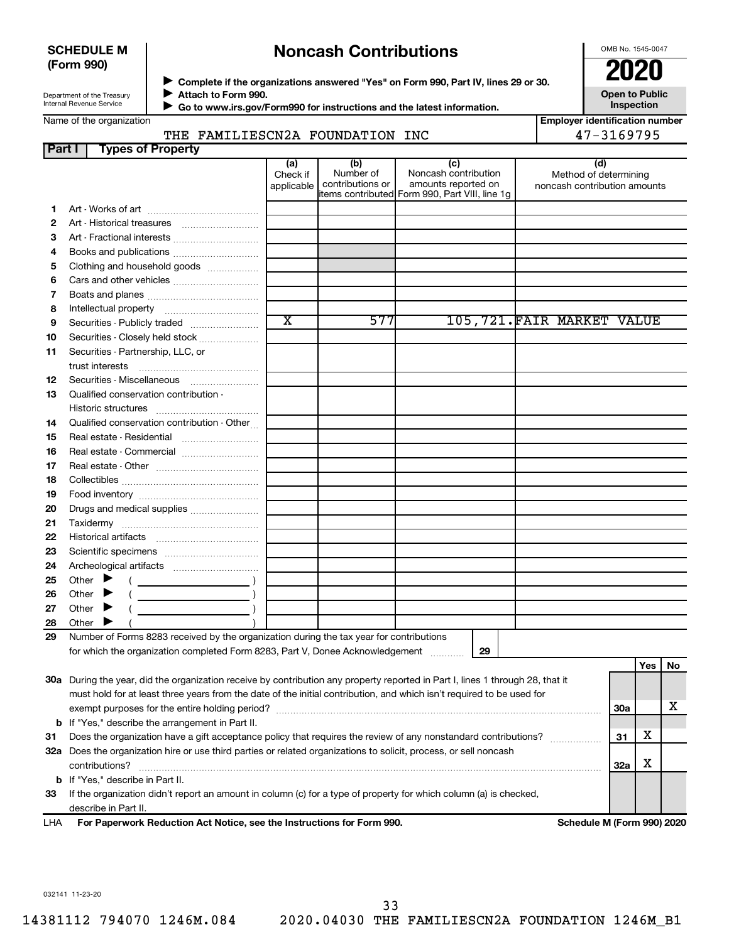### **SCHEDULE M** (Form 990)

# **Noncash Contributions**

OMB No. 1545-0047

œ **ZII** 

**Open to Public** 

Inspection

f

ZU

Department of the Treasury Internal Revenue Service

Complete if the organizations answered "Yes" on Form 990, Part IV, lines 29 or 30. Attach to Form 990.

Go to www.irs.gov/Form990 for instructions and the latest information.

Name of the organization

| <b>Employer identification number</b> |
|---------------------------------------|
| 47-3169795                            |

### THE FAMILIESCN2A FOUNDATION INC

| Part I | <b>Types of Property</b>                                                                                                            |                               |                                      |                                                                                                      |                                                              |     |     |     |
|--------|-------------------------------------------------------------------------------------------------------------------------------------|-------------------------------|--------------------------------------|------------------------------------------------------------------------------------------------------|--------------------------------------------------------------|-----|-----|-----|
|        |                                                                                                                                     | (a)<br>Check if<br>applicable | (b)<br>Number of<br>contributions or | (c)<br>Noncash contribution<br>amounts reported on<br>items contributed Form 990, Part VIII, line 1g | (d)<br>Method of determining<br>noncash contribution amounts |     |     |     |
| 1      |                                                                                                                                     |                               |                                      |                                                                                                      |                                                              |     |     |     |
| 2      |                                                                                                                                     |                               |                                      |                                                                                                      |                                                              |     |     |     |
| 3      | Art - Fractional interests                                                                                                          |                               |                                      |                                                                                                      |                                                              |     |     |     |
| 4      | Books and publications                                                                                                              |                               |                                      |                                                                                                      |                                                              |     |     |     |
| 5      | Clothing and household goods                                                                                                        |                               |                                      |                                                                                                      |                                                              |     |     |     |
| 6      |                                                                                                                                     |                               |                                      |                                                                                                      |                                                              |     |     |     |
| 7      |                                                                                                                                     |                               |                                      |                                                                                                      |                                                              |     |     |     |
| 8      |                                                                                                                                     |                               |                                      |                                                                                                      |                                                              |     |     |     |
| 9      | Securities - Publicly traded                                                                                                        | $\overline{\text{x}}$         | 577                                  |                                                                                                      | 105,721.FAIR MARKET VALUE                                    |     |     |     |
| 10     | Securities - Closely held stock                                                                                                     |                               |                                      |                                                                                                      |                                                              |     |     |     |
| 11     | Securities - Partnership, LLC, or<br>trust interests                                                                                |                               |                                      |                                                                                                      |                                                              |     |     |     |
| 12     | Securities - Miscellaneous                                                                                                          |                               |                                      |                                                                                                      |                                                              |     |     |     |
| 13     | Qualified conservation contribution -                                                                                               |                               |                                      |                                                                                                      |                                                              |     |     |     |
|        |                                                                                                                                     |                               |                                      |                                                                                                      |                                                              |     |     |     |
| 14     | Qualified conservation contribution - Other                                                                                         |                               |                                      |                                                                                                      |                                                              |     |     |     |
| 15     | Real estate - Residential                                                                                                           |                               |                                      |                                                                                                      |                                                              |     |     |     |
| 16     | Real estate - Commercial                                                                                                            |                               |                                      |                                                                                                      |                                                              |     |     |     |
| 17     |                                                                                                                                     |                               |                                      |                                                                                                      |                                                              |     |     |     |
| 18     |                                                                                                                                     |                               |                                      |                                                                                                      |                                                              |     |     |     |
| 19     |                                                                                                                                     |                               |                                      |                                                                                                      |                                                              |     |     |     |
| 20     | Drugs and medical supplies                                                                                                          |                               |                                      |                                                                                                      |                                                              |     |     |     |
| 21     |                                                                                                                                     |                               |                                      |                                                                                                      |                                                              |     |     |     |
| 22     |                                                                                                                                     |                               |                                      |                                                                                                      |                                                              |     |     |     |
| 23     |                                                                                                                                     |                               |                                      |                                                                                                      |                                                              |     |     |     |
| 24     |                                                                                                                                     |                               |                                      |                                                                                                      |                                                              |     |     |     |
| 25     | Other $\blacktriangleright$                                                                                                         |                               |                                      |                                                                                                      |                                                              |     |     |     |
| 26     | Other $\blacktriangleright$                                                                                                         |                               |                                      |                                                                                                      |                                                              |     |     |     |
| 27     | Other $\blacktriangleright$                                                                                                         |                               |                                      |                                                                                                      |                                                              |     |     |     |
| 28     | Other $\blacktriangleright$                                                                                                         |                               |                                      |                                                                                                      |                                                              |     |     |     |
| 29     | Number of Forms 8283 received by the organization during the tax year for contributions                                             |                               |                                      |                                                                                                      |                                                              |     |     |     |
|        | for which the organization completed Form 8283, Part V, Donee Acknowledgement                                                       |                               |                                      | 29                                                                                                   |                                                              |     |     |     |
|        |                                                                                                                                     |                               |                                      |                                                                                                      |                                                              |     | Yes | No. |
|        | 30a During the year, did the organization receive by contribution any property reported in Part I, lines 1 through 28, that it      |                               |                                      |                                                                                                      |                                                              |     |     |     |
|        | must hold for at least three years from the date of the initial contribution, and which isn't required to be used for               |                               |                                      |                                                                                                      |                                                              |     |     |     |
|        |                                                                                                                                     |                               |                                      |                                                                                                      |                                                              | 30a |     | x.  |
|        | <b>b</b> If "Yes," describe the arrangement in Part II.                                                                             |                               |                                      |                                                                                                      |                                                              |     | х   |     |
| 31     | Does the organization have a gift acceptance policy that requires the review of any nonstandard contributions?                      |                               |                                      |                                                                                                      |                                                              | 31  |     |     |
|        | 32a Does the organization hire or use third parties or related organizations to solicit, process, or sell noncash<br>contributions? |                               |                                      |                                                                                                      |                                                              | 32a | х   |     |
|        | b If "Yes," describe in Part II.                                                                                                    |                               |                                      |                                                                                                      |                                                              |     |     |     |
| 33     | If the organization didn't report an amount in column (c) for a type of property for which column (a) is checked,                   |                               |                                      |                                                                                                      |                                                              |     |     |     |
|        | describe in Part II.                                                                                                                |                               |                                      |                                                                                                      |                                                              |     |     |     |
| I HA   | For Paperwork Reduction Act Notice, see the Instructions for Form 990.                                                              |                               |                                      |                                                                                                      | Schedule M (Form 990) 2020                                   |     |     |     |

032141 11-23-20

14381112 794070 1246M.084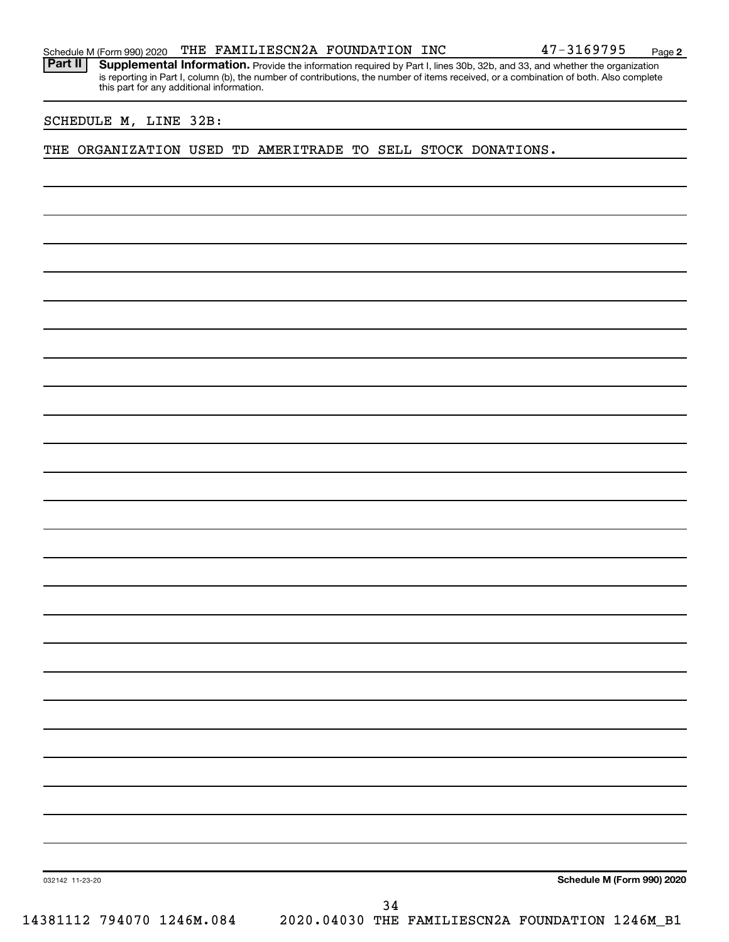Supplemental Information. Provide the information required by Part I, lines 30b, 32b, and 33, and whether the organization is reporting in Part I, column (b), the number of contributions, the number of items received, or a combination of both. Also complete this part for any additional information.

SCHEDULE M, LINE 32B:

**Part II** 

THE ORGANIZATION USED TD AMERITRADE TO SELL STOCK DONATIONS.

Schedule M (Form 990) 2020

47-3169795

Page 2

032142 11-23-20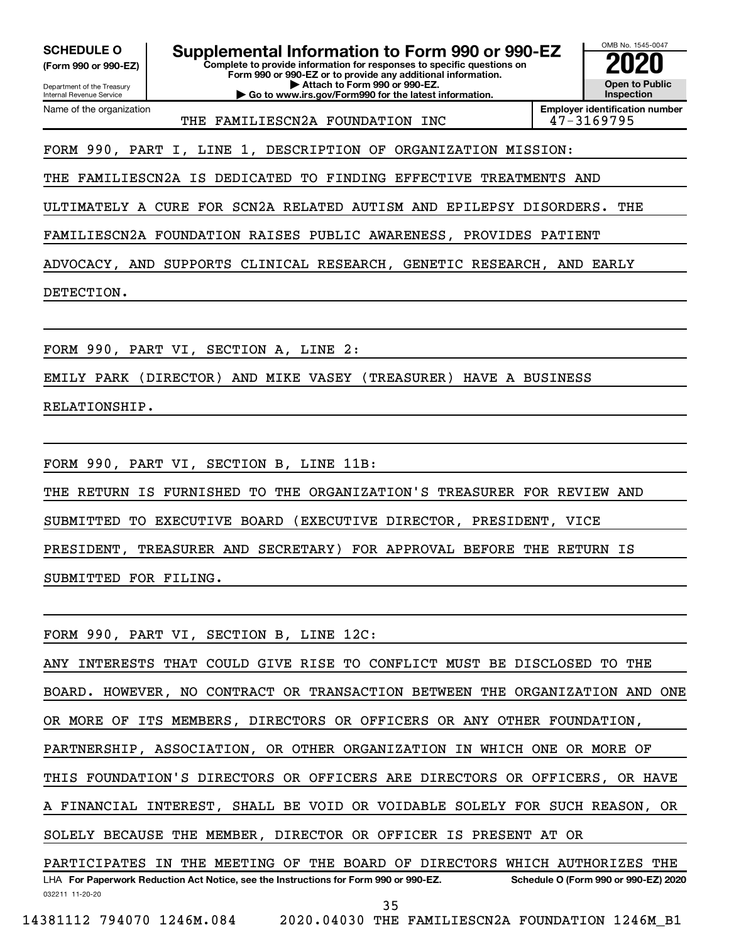**SCHEDULE O** 

(Form 990 or 990-EZ) Department of the Treasury

Internal Revenue Service Name of the organization Supplemental Information to Form 990 or 990-EZ

Complete to provide information for responses to specific questions on Form 990 or 990-EZ or to provide any additional information. Attach to Form 990 or 990-EZ.

Go to www.irs.gov/Form990 for the latest information.



THE FAMILIESCN2A FOUNDATION INC

**Employer identification number** 47-3169795

FORM 990, PART I, LINE 1, DESCRIPTION OF ORGANIZATION MISSION:

THE FAMILIESCN2A IS DEDICATED TO FINDING EFFECTIVE TREATMENTS AND

ULTIMATELY A CURE FOR SCN2A RELATED AUTISM AND EPILEPSY DISORDERS. THE

FAMILIESCN2A FOUNDATION RAISES PUBLIC AWARENESS, PROVIDES PATIENT

ADVOCACY, AND SUPPORTS CLINICAL RESEARCH, GENETIC RESEARCH, AND EARLY

DETECTION.

FORM 990, PART VI, SECTION A, LINE 2:

EMILY PARK (DIRECTOR) AND MIKE VASEY (TREASURER) HAVE A BUSINESS

RELATIONSHIP.

FORM 990, PART VI, SECTION B, LINE 11B:

THE RETURN IS FURNISHED TO THE ORGANIZATION'S TREASURER FOR REVIEW AND

SUBMITTED TO EXECUTIVE BOARD (EXECUTIVE DIRECTOR, PRESIDENT, VICE

TREASURER AND SECRETARY) FOR APPROVAL BEFORE THE RETURN IS PRESIDENT,

SUBMITTED FOR FILING.

FORM 990, PART VI, SECTION B, LINE 12C:

ANY INTERESTS THAT COULD GIVE RISE TO CONFLICT MUST BE DISCLOSED TO THE NO CONTRACT OR TRANSACTION BETWEEN THE ORGANIZATION AND ONE BOARD. HOWEVER, OR MORE OF ITS MEMBERS, DIRECTORS OR OFFICERS OR ANY OTHER FOUNDATION, PARTNERSHIP, ASSOCIATION, OR OTHER ORGANIZATION IN WHICH ONE OR MORE OF THIS FOUNDATION'S DIRECTORS OR OFFICERS ARE DIRECTORS OR OFFICERS, OR HAVE FINANCIAL INTEREST, SHALL BE VOID OR VOIDABLE SOLELY FOR SUCH REASON, А OR. SOLELY BECAUSE THE MEMBER, DIRECTOR OR OFFICER IS PRESENT AT OR PARTICIPATES IN THE MEETING OF THE BOARD OF DIRECTORS WHICH AUTHORIZES THE

LHA For Paperwork Reduction Act Notice, see the Instructions for Form 990 or 990-EZ. Schedule O (Form 990 or 990-EZ) 2020 032211 11-20-20

14381112 794070 1246M.084

35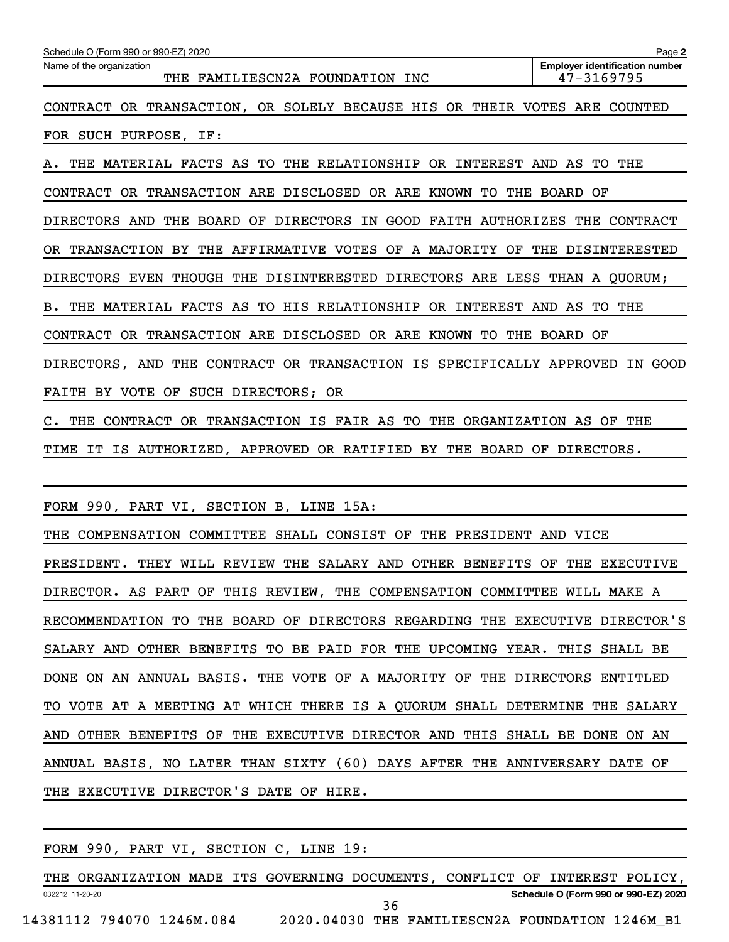| Schedule O (Form 990 or 990-EZ) 2020                                        | Page 2                                              |
|-----------------------------------------------------------------------------|-----------------------------------------------------|
| Name of the organization<br>THE FAMILIESCN2A FOUNDATION INC                 | <b>Employer identification number</b><br>47-3169795 |
| CONTRACT OR TRANSACTION, OR SOLELY BECAUSE HIS OR THEIR VOTES ARE COUNTED   |                                                     |
| FOR SUCH PURPOSE, IF:                                                       |                                                     |
| THE MATERIAL FACTS AS TO THE RELATIONSHIP OR INTEREST AND AS TO THE<br>А.   |                                                     |
| CONTRACT OR TRANSACTION ARE DISCLOSED OR ARE KNOWN TO THE BOARD OF          |                                                     |
| DIRECTORS AND THE BOARD OF DIRECTORS IN GOOD FAITH AUTHORIZES THE CONTRACT  |                                                     |
| OR TRANSACTION BY THE AFFIRMATIVE VOTES OF A MAJORITY OF THE DISINTERESTED  |                                                     |
| DIRECTORS EVEN THOUGH THE DISINTERESTED DIRECTORS ARE LESS THAN A QUORUM;   |                                                     |
| B. THE MATERIAL FACTS AS TO HIS RELATIONSHIP OR INTEREST AND AS TO THE      |                                                     |
| CONTRACT OR TRANSACTION ARE DISCLOSED OR ARE KNOWN TO THE BOARD OF          |                                                     |
| DIRECTORS, AND THE CONTRACT OR TRANSACTION IS SPECIFICALLY APPROVED IN GOOD |                                                     |
| FAITH BY VOTE OF SUCH DIRECTORS; OR                                         |                                                     |
| C. THE CONTRACT OR TRANSACTION IS FAIR AS TO THE ORGANIZATION AS OF THE     |                                                     |
| TIME IT IS AUTHORIZED, APPROVED OR RATIFIED BY THE BOARD OF DIRECTORS.      |                                                     |
|                                                                             |                                                     |
| FORM 990, PART VI, SECTION B, LINE 15A:                                     |                                                     |
| THE COMPENSATION COMMITTEE SHALL CONSIST OF THE PRESIDENT AND VICE          |                                                     |
| PRESIDENT. THEY WILL REVIEW THE SALARY AND OTHER BENEFITS OF THE EXECUTIVE  |                                                     |
| DIRECTOR. AS PART OF THIS REVIEW, THE COMPENSATION COMMITTEE WILL MAKE A    |                                                     |
| RECOMMENDATION TO THE BOARD OF DIRECTORS REGARDING THE EXECUTIVE DIRECTOR'S |                                                     |
| SALARY AND OTHER BENEFITS TO BE PAID FOR THE UPCOMING YEAR. THIS SHALL BE   |                                                     |
| DONE ON AN ANNUAL BASIS. THE VOTE OF A MAJORITY OF THE DIRECTORS ENTITLED   |                                                     |
| TO VOTE AT A MEETING AT WHICH THERE IS A QUORUM SHALL DETERMINE THE SALARY  |                                                     |
| AND OTHER BENEFITS OF THE EXECUTIVE DIRECTOR AND THIS SHALL BE DONE ON AN   |                                                     |
| ANNUAL BASIS, NO LATER THAN SIXTY (60) DAYS AFTER THE ANNIVERSARY DATE OF   |                                                     |
| THE EXECUTIVE DIRECTOR'S DATE OF HIRE.                                      |                                                     |

FORM 990, PART VI, SECTION C, LINE 19: THE ORGANIZATION MADE ITS GOVERNING DOCUMENTS, CONFLICT OF INTEREST POLICY, Schedule O (Form 990 or 990-EZ) 2020 032212 11-20-20 36 14381112 794070 1246M.084 2020.04030 THE FAMILIESCN2A FOUNDATION 1246M\_B1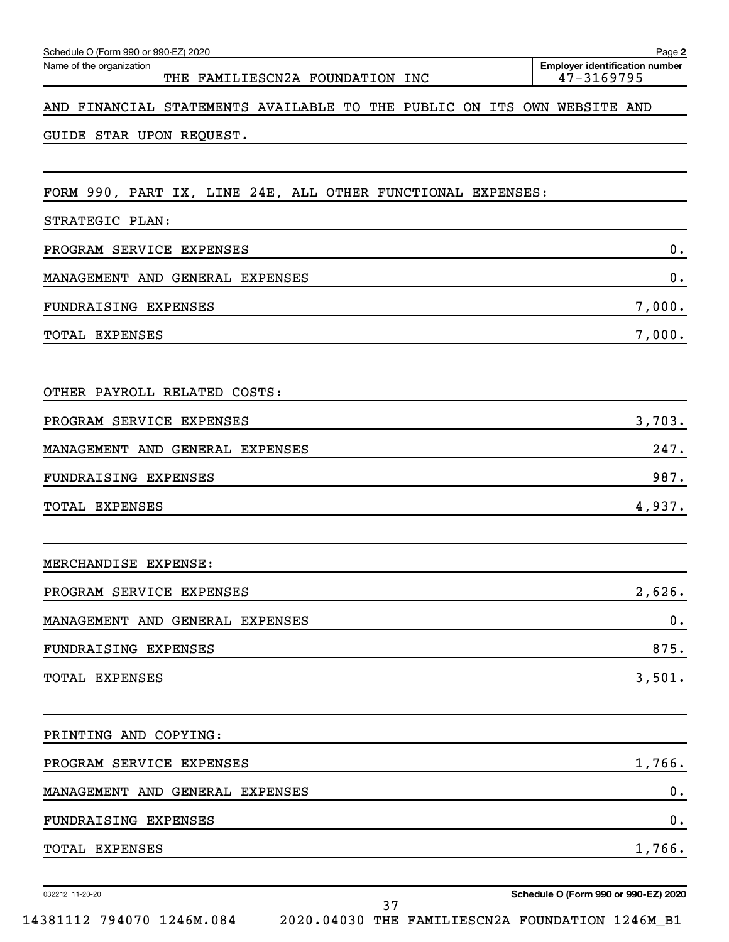| Schedule O (Form 990 or 990-EZ) 2020                                           | Page 2                                              |
|--------------------------------------------------------------------------------|-----------------------------------------------------|
| Name of the organization<br>THE FAMILIESCN2A FOUNDATION INC                    | <b>Employer identification number</b><br>47-3169795 |
| AND FINANCIAL STATEMENTS AVAILABLE TO THE PUBLIC ON ITS OWN WEBSITE AND        |                                                     |
| GUIDE STAR UPON REQUEST.                                                       |                                                     |
| FORM 990, PART IX, LINE 24E, ALL OTHER FUNCTIONAL EXPENSES:<br>STRATEGIC PLAN: |                                                     |
| PROGRAM SERVICE EXPENSES                                                       | 0.                                                  |
| MANAGEMENT AND GENERAL EXPENSES                                                | 0.                                                  |
| FUNDRAISING EXPENSES                                                           | 7,000.                                              |
| TOTAL EXPENSES                                                                 | 7,000.                                              |
| OTHER PAYROLL RELATED COSTS:                                                   |                                                     |
| PROGRAM SERVICE EXPENSES                                                       | 3,703.                                              |
| MANAGEMENT AND GENERAL EXPENSES                                                | 247.                                                |
| FUNDRAISING EXPENSES                                                           | 987.                                                |
| TOTAL EXPENSES                                                                 | 4,937.                                              |
| MERCHANDISE EXPENSE:                                                           |                                                     |
| PROGRAM SERVICE EXPENSES                                                       | 2,626.                                              |
| MANAGEMENT AND GENERAL EXPENSES                                                | 0.                                                  |
| FUNDRAISING EXPENSES                                                           | 875.                                                |
| <b>TOTAL EXPENSES</b>                                                          | 3,501.                                              |
| PRINTING AND COPYING:                                                          |                                                     |
| PROGRAM SERVICE EXPENSES                                                       | 1,766.                                              |
| MANAGEMENT AND GENERAL EXPENSES                                                | $\mathbf 0$ .                                       |
| FUNDRAISING EXPENSES                                                           | 0.                                                  |
| TOTAL EXPENSES                                                                 | 1,766.                                              |
|                                                                                |                                                     |

032212 11-20-20

Schedule O (Form 990 or 990-EZ) 2020

14381112 794070 1246M.084

 $37$